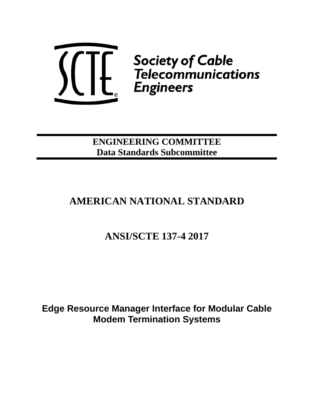

**ENGINEERING COMMITTEE Data Standards Subcommittee**

# **AMERICAN NATIONAL STANDARD**

# **ANSI/SCTE 137-4 2017**

**Edge Resource Manager Interface for Modular Cable Modem Termination Systems**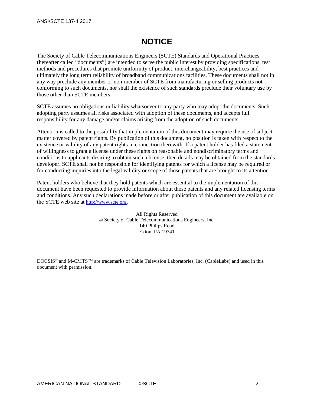# **NOTICE**

The Society of Cable Telecommunications Engineers (SCTE) Standards and Operational Practices (hereafter called "documents") are intended to serve the public interest by providing specifications, test methods and procedures that promote uniformity of product, interchangeability, best practices and ultimately the long term reliability of broadband communications facilities. These documents shall not in any way preclude any member or non-member of SCTE from manufacturing or selling products not conforming to such documents, nor shall the existence of such standards preclude their voluntary use by those other than SCTE members.

SCTE assumes no obligations or liability whatsoever to any party who may adopt the documents. Such adopting party assumes all risks associated with adoption of these documents, and accepts full responsibility for any damage and/or claims arising from the adoption of such documents.

Attention is called to the possibility that implementation of this document may require the use of subject matter covered by patent rights. By publication of this document, no position is taken with respect to the existence or validity of any patent rights in connection therewith. If a patent holder has filed a statement of willingness to grant a license under these rights on reasonable and nondiscriminatory terms and conditions to applicants desiring to obtain such a license, then details may be obtained from the standards developer. SCTE shall not be responsible for identifying patents for which a license may be required or for conducting inquiries into the legal validity or scope of those patents that are brought to its attention.

Patent holders who believe that they hold patents which are essential to the implementation of this document have been requested to provide information about those patents and any related licensing terms and conditions. Any such declarations made before or after publication of this document are available on the SCTE web site at [http://www.scte.org.](http://www.scte.org/)

> All Rights Reserved © Society of Cable Telecommunications Engineers, Inc. 140 Philips Road Exton, PA 19341

DOCSIS® and M-CMTS™ are trademarks of Cable Television Laboratories, Inc. (CableLabs) and used in this document with permission.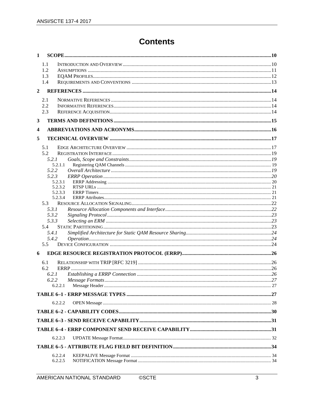# **Contents**

| $\mathbf{1}$            |                    |  |
|-------------------------|--------------------|--|
|                         | 1.1                |  |
|                         | 1.2                |  |
|                         | 1.3                |  |
|                         | 1.4                |  |
| $\overline{2}$          |                    |  |
|                         | 2.1                |  |
|                         | 2.2                |  |
|                         | 2.3                |  |
| 3                       |                    |  |
| $\overline{\mathbf{4}}$ |                    |  |
| 5                       |                    |  |
|                         | 5.1                |  |
|                         | 5.2                |  |
|                         | 5.2.1              |  |
|                         | 5.2.1.1            |  |
|                         | 5.2.2              |  |
|                         | 5.2.3              |  |
|                         | 5.2.3.1<br>5.2.3.2 |  |
|                         | 5.2.3.3            |  |
|                         | 5.2.3.4            |  |
|                         | 5.3                |  |
|                         | 5.3.1              |  |
|                         | 5.3.2              |  |
|                         | 5.3.3              |  |
|                         | 5.4                |  |
|                         | 5.4.1              |  |
|                         | 5.4.2              |  |
|                         | 5.5                |  |
| 6                       |                    |  |
|                         | 6.1                |  |
|                         | 6.2                |  |
|                         | 6.2.1              |  |
|                         | 6.2.2              |  |
|                         | 6.2.2.1            |  |
|                         |                    |  |
|                         | 6.2.2.2            |  |
|                         |                    |  |
|                         |                    |  |
|                         |                    |  |
|                         | 6.2.2.3            |  |
|                         |                    |  |
|                         | 6.2.2.4            |  |
|                         | 6.2.2.5            |  |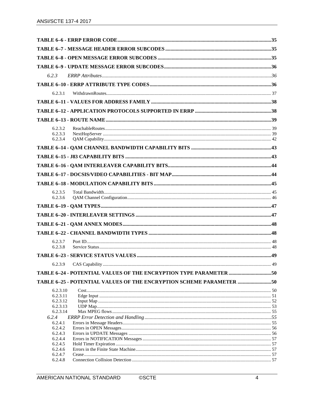| 6.2.3                                                                |      |
|----------------------------------------------------------------------|------|
|                                                                      |      |
|                                                                      |      |
| 6.2.3.1                                                              |      |
|                                                                      |      |
|                                                                      |      |
|                                                                      |      |
| 6.2.3.2                                                              |      |
| 6.2.3.3                                                              |      |
| 6.2.3.4                                                              |      |
|                                                                      |      |
|                                                                      |      |
|                                                                      |      |
|                                                                      |      |
|                                                                      |      |
|                                                                      |      |
| 6.2.3.5<br>6.2.3.6                                                   |      |
|                                                                      |      |
|                                                                      |      |
|                                                                      |      |
|                                                                      |      |
|                                                                      |      |
| 6.2.3.7                                                              |      |
| 6.2.3.8                                                              |      |
|                                                                      |      |
|                                                                      | . 49 |
| TABLE 6-24 - POTENTIAL VALUES OF THE ENCRYPTION TYPE PARAMETER 50    |      |
| TABLE 6-25 - POTENTIAL VALUES OF THE ENCRYPTION SCHEME PARAMETER  50 |      |
| 6.2.3.10                                                             |      |
| 6.2.3.11                                                             |      |
| 6.2.3.12                                                             |      |
| 6.2.3.13                                                             |      |
| 6.2.3.14                                                             |      |
| 6.2.4<br>6.2.4.1                                                     |      |
| 6.2.4.2                                                              |      |
| 6.2.4.3                                                              |      |
| 6.2.4.4                                                              |      |
| 6.2.4.5                                                              |      |
| 6.2.4.6<br>6.2.4.7                                                   |      |
| 6.2.4.8                                                              |      |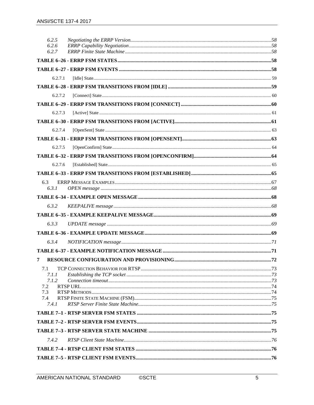| 6.2.5          |  |
|----------------|--|
| 6.2.6<br>6.2.7 |  |
|                |  |
|                |  |
|                |  |
| 6.2.7.1        |  |
|                |  |
| 6.2.7.2        |  |
|                |  |
| 6.2.7.3        |  |
|                |  |
| 6.2.7.4        |  |
|                |  |
| 6.2.7.5        |  |
|                |  |
| 6.2.7.6        |  |
|                |  |
| 6.3<br>6.3.1   |  |
|                |  |
| 6.3.2          |  |
|                |  |
| 6.3.3          |  |
|                |  |
| 6.3.4          |  |
|                |  |
| 7              |  |
|                |  |
| 7.1<br>7.1.1   |  |
| 7.1.2          |  |
| 7.2<br>7.3     |  |
| 7.4            |  |
| 7.4.1          |  |
|                |  |
|                |  |
|                |  |
| 7.4.2          |  |
|                |  |
|                |  |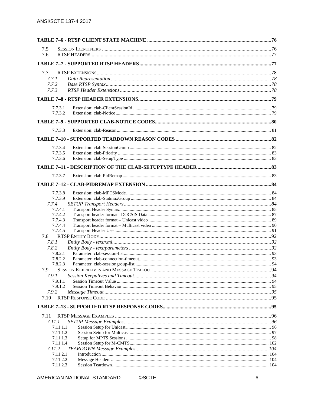| 7.5                  |  |
|----------------------|--|
| 7.6                  |  |
|                      |  |
|                      |  |
| 7.7                  |  |
| 7.7.1                |  |
| 7.7.2                |  |
| 7.7.3                |  |
|                      |  |
| 7.7.3.1              |  |
| 7.7.3.2              |  |
|                      |  |
| 7.7.3.3              |  |
|                      |  |
| 7.7.3.4              |  |
| 7.7.3.5              |  |
| 7.7.3.6              |  |
|                      |  |
| 7.7.3.7              |  |
|                      |  |
|                      |  |
| 7.7.3.8              |  |
| 7.7.3.9              |  |
| 7.7.4                |  |
| 7.7.4.1              |  |
| 7.7.4.2              |  |
| 7.7.4.3<br>7.7.4.4   |  |
| 7.7.4.5              |  |
| 7.8                  |  |
| 7.8.1                |  |
| 7.8.2                |  |
| 7.8.2.1              |  |
| 7.8.2.2              |  |
| 7.8.2.3              |  |
| 7.9                  |  |
| 7.9.1                |  |
| 7.9.1.1              |  |
| 7.9.1.2              |  |
| 7.9.2                |  |
| 7.10                 |  |
|                      |  |
| 7.11                 |  |
| 7.11.1               |  |
| 7.11.1.1             |  |
| 7.11.1.2<br>7.11.1.3 |  |
| 7.11.1.4             |  |
| 7.11.2               |  |
| 7.11.2.1             |  |
| 7.11.2.2             |  |
| 7.11.2.3             |  |

**©SCTE**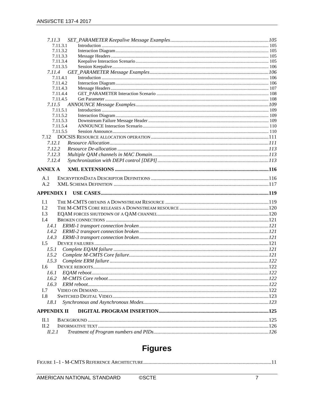| 7.11.3.1                     |  |
|------------------------------|--|
| 7.11.3.2                     |  |
| 7.11.3.3                     |  |
| 7.11.3.4                     |  |
| 7.11.3.5                     |  |
| 7.11.4                       |  |
| 7.11.4.1                     |  |
| 7.11.4.2                     |  |
| 7.11.4.3<br>7.11.4.4         |  |
| 7.11.4.5                     |  |
| 7.11.5                       |  |
| 7.11.5.1                     |  |
| 7.11.5.2                     |  |
| 7.11.5.3                     |  |
| 7.11.5.4                     |  |
| 7.11.5.5                     |  |
|                              |  |
| 7.12.1                       |  |
| 7.12.2                       |  |
| 7.12.3                       |  |
| 7.12.4                       |  |
| <b>ANNEX A</b>               |  |
| A.1                          |  |
| A.2                          |  |
|                              |  |
|                              |  |
|                              |  |
| I.1                          |  |
| 1.2                          |  |
| I.3                          |  |
| APPENDIX I<br>I.4            |  |
| I.4.1                        |  |
| I.4.2                        |  |
| I.4.3                        |  |
| $L_{\rm 5}$                  |  |
| I.5.1                        |  |
|                              |  |
| I.5.2                        |  |
| I.5.3                        |  |
| I.6                          |  |
| I.6.1                        |  |
| I.6.2                        |  |
| I.6.3                        |  |
| I.7                          |  |
| I.8                          |  |
| I.8.1                        |  |
|                              |  |
| II.1                         |  |
| II.2                         |  |
| <b>APPENDIX II</b><br>II.2.1 |  |

# **Figures**

|--|--|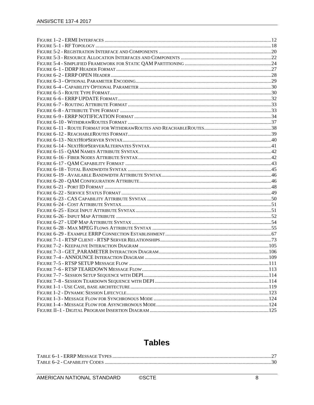# **Tables**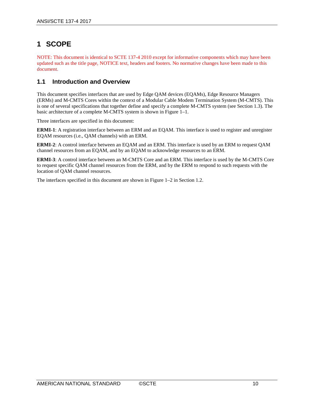# <span id="page-9-0"></span>**1 SCOPE**

NOTE: This document is identical to SCTE 137-4 2010 except for informative components which may have been updated such as the title page, NOTICE text, headers and footers. No normative changes have been made to this document.

# <span id="page-9-1"></span>**1.1 Introduction and Overview**

This document specifies interfaces that are used by Edge QAM devices (EQAMs), Edge Resource Managers (ERMs) and M-CMTS Cores within the context of a Modular Cable Modem Termination System (M-CMTS). This is one of several specifications that together define and specify a complete M-CMTS system (see Section [1.3\)](#page-11-0). The basic architecture of a complete M-CMTS system is shown in [Figure 1–1.](#page-10-1)

Three interfaces are specified in this document:

**ERMI-1**: A registration interface between an ERM and an EQAM. This interface is used to register and unregister EQAM resources (i.e.*,* QAM channels) with an ERM.

**ERMI-2**: A control interface between an EQAM and an ERM. This interface is used by an ERM to request QAM channel resources from an EQAM, and by an EQAM to acknowledge resources to an ERM.

**ERMI-3**: A control interface between an M-CMTS Core and an ERM. This interface is used by the M-CMTS Core to request specific QAM channel resources from the ERM, and by the ERM to respond to such requests with the location of QAM channel resources.

The interfaces specified in this document are shown in [Figure 1–2](#page-11-1) in Sectio[n 1.2.](#page-10-0)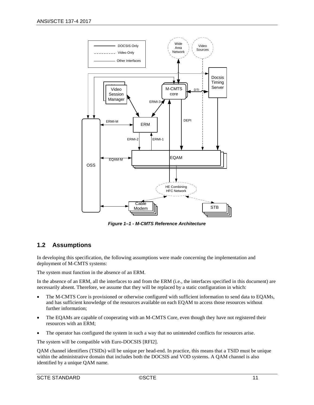

*Figure 1–1 - M-CMTS Reference Architecture*

# <span id="page-10-1"></span><span id="page-10-0"></span>**1.2 Assumptions**

In developing this specification, the following assumptions were made concerning the implementation and deployment of M-CMTS systems:

The system must function in the absence of an ERM.

In the absence of an ERM, all the interfaces to and from the ERM (i.e.*,* the interfaces specified in this document) are necessarily absent. Therefore, we assume that they will be replaced by a static configuration in which:

- The M-CMTS Core is provisioned or otherwise configured with sufficient information to send data to EQAMs, and has sufficient knowledge of the resources available on each EQAM to access those resources without further information;
- The EQAMs are capable of cooperating with an M-CMTS Core, even though they have not registered their resources with an ERM;
- The operator has configured the system in such a way that no unintended conflicts for resources arise.

The system will be compatible with Euro-DOCSIS [\[RFI2\].](#page-13-4)

QAM channel identifiers (TSIDs) will be unique per head-end. In practice, this means that a TSID must be unique within the administrative domain that includes both the DOCSIS and VOD systems. A QAM channel is also identified by a unique QAM name.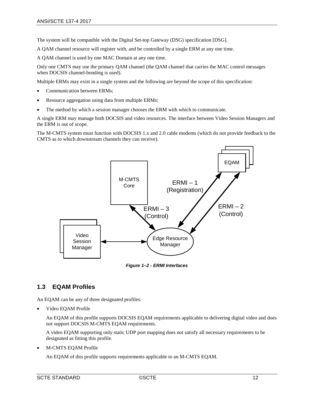The system will be compatible with the Digital Set-top Gateway (DSG) specificatio[n \[DSG\].](#page-13-5)

A QAM channel resource will register with, and be controlled by a single ERM at any one time.

A QAM channel is used by one MAC Domain at any one time.

Only one CMTS may use the primary QAM channel (the QAM channel that carries the MAC control messages when DOCSIS channel-bonding is used).

Multiple ERMs may exist in a single system and the following are beyond the scope of this specification:

- Communication between ERMs;
- Resource aggregation using data from multiple ERMs;
- The method by which a session manager chooses the ERM with which to communicate.

A single ERM may manage both DOCSIS and video resources. The interface between Video Session Managers and the ERM is out of scope.

The M-CMTS system must function with DOCSIS 1.x and 2.0 cable modems (which do not provide feedback to the CMTS as to which downstream channels they can receive).



*Figure 1–2 - ERMI Interfaces*

# <span id="page-11-1"></span><span id="page-11-0"></span>**1.3 EQAM Profiles**

An EQAM can be any of three designated profiles:

• Video EQAM Profile

An EQAM of this profile supports DOCSIS EQAM requirements applicable to delivering digital video and does not support DOCSIS M-CMTS EQAM requirements.

A video EQAM supporting only static UDP port mapping does not satisfy all necessary requirements to be designated as fitting this profile.

• M-CMTS EQAM Profile

An EQAM of this profile supports requirements applicable to an M-CMTS EQAM.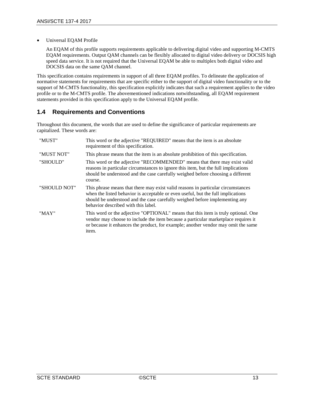• Universal EQAM Profile

An EQAM of this profile supports requirements applicable to delivering digital video and supporting M-CMTS EQAM requirements. Output QAM channels can be flexibly allocated to digital video delivery or DOCSIS high speed data service. It is not required that the Universal EQAM be able to multiplex both digital video and DOCSIS data on the same QAM channel.

This specification contains requirements in support of all three EQAM profiles. To delineate the application of normative statements for requirements that are specific either to the support of digital video functionality or to the support of M-CMTS functionality, this specification explicitly indicates that such a requirement applies to the video profile or to the M-CMTS profile. The abovementioned indications notwithstanding, all EQAM requirement statements provided in this specification apply to the Universal EQAM profile.

# <span id="page-12-0"></span>**1.4 Requirements and Conventions**

Throughout this document, the words that are used to define the significance of particular requirements are capitalized. These words are:

| "MUST"       | This word or the adjective "REQUIRED" means that the item is an absolute<br>requirement of this specification.                                                                                                                                                                             |
|--------------|--------------------------------------------------------------------------------------------------------------------------------------------------------------------------------------------------------------------------------------------------------------------------------------------|
| "MUST NOT"   | This phrase means that the item is an absolute prohibition of this specification.                                                                                                                                                                                                          |
| "SHOULD"     | This word or the adjective "RECOMMENDED" means that there may exist valid<br>reasons in particular circumstances to ignore this item, but the full implications<br>should be understood and the case carefully weighed before choosing a different<br>course.                              |
| "SHOULD NOT" | This phrase means that there may exist valid reasons in particular circumstances<br>when the listed behavior is acceptable or even useful, but the full implications<br>should be understood and the case carefully weighed before implementing any<br>behavior described with this label. |
| "MAY"        | This word or the adjective "OPTIONAL" means that this item is truly optional. One<br>vendor may choose to include the item because a particular marketplace requires it<br>or because it enhances the product, for example; another vendor may omit the same<br>item.                      |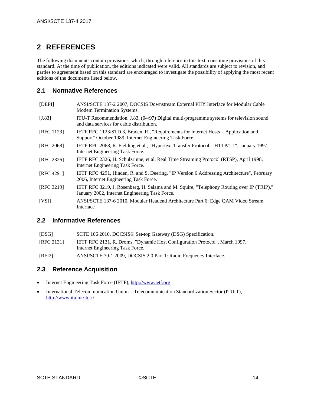# <span id="page-13-0"></span>**2 REFERENCES**

The following documents contain provisions, which, through reference in this text, constitute provisions of this standard. At the time of publication, the editions indicated were valid. All standards are subject to revision, and parties to agreement based on this standard are encouraged to investigate the possibility of applying the most recent editions of the documents listed below.

# <span id="page-13-1"></span>**2.1 Normative References**

<span id="page-13-8"></span><span id="page-13-7"></span>

| [DEF]             | ANSI/SCTE 137-2 2007, DOCSIS Downstream External PHY Interface for Modular Cable<br>Modem Termination Systems.                                 |
|-------------------|------------------------------------------------------------------------------------------------------------------------------------------------|
| $[J.83]$          | ITU-T Recommendation. J.83, (04/97) Digital multi-programme systems for television sound<br>and data services for cable distribution.          |
| <b>[RFC 1123]</b> | IETF RFC 1123/STD 3, Braden, R., "Requirements for Internet Hosts – Application and<br>Support" October 1989, Internet Engineering Task Force. |
| [RFC 2068]        | IETF RFC 2068, R. Fielding et al., "Hypertext Transfer Protocol – HTTP/1.1", January 1997,<br>Internet Engineering Task Force.                 |
| [RFC 2326]        | IETF RFC 2326, H. Schulzrinne; et al. Real Time Streaming Protocol (RTSP), April 1998,<br>Internet Engineering Task Force.                     |
| [RFC 4291]        | IETF RFC 4291, Hinden, R. and S. Deering, "IP Version 6 Addressing Architecture", February<br>2006, Internet Engineering Task Force.           |
| [RFC 3219]        | IETF RFC 3219, J. Rosenberg, H. Salama and M. Squire, "Telephony Routing over IP (TRIP),"<br>January 2002, Internet Engineering Task Force.    |
| [VSI]             | ANSI/SCTE 137-6 2010, Modular Headend Architecture Part 6: Edge QAM Video Stream<br>Interface                                                  |

# <span id="page-13-6"></span><span id="page-13-2"></span>**2.2 Informative References**

<span id="page-13-5"></span>

| [DSG]      | SCTE 106 2010, DOCSIS <sup>®</sup> Set-top Gateway (DSG) Specification.                                         |
|------------|-----------------------------------------------------------------------------------------------------------------|
| [RFC 2131] | IETF RFC 2131, R. Droms, "Dynamic Host Configuration Protocol", March 1997,<br>Internet Engineering Task Force. |
| [RFI2]     | ANSI/SCTE 79-1 2009, DOCSIS 2.0 Part 1: Radio Frequency Interface.                                              |

# <span id="page-13-4"></span><span id="page-13-3"></span>**2.3 Reference Acquisition**

- Internet Engineering Task Force (IETF), [http://www.ietf.org](http://www.ietf.org/)
- International Telecommunication Union Telecommunication Standardization Sector (ITU-T), <http://www.itu.int/itu-t/>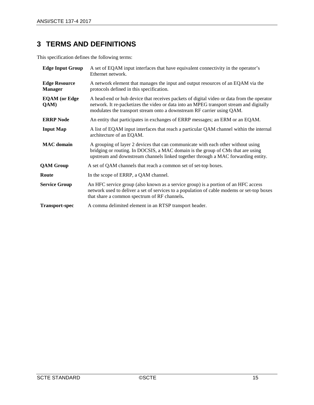# <span id="page-14-0"></span>**3 TERMS AND DEFINITIONS**

This specification defines the following terms:

| <b>Edge Input Group</b>                | A set of EQAM input interfaces that have equivalent connectivity in the operator's<br>Ethernet network.                                                                                                                                                        |
|----------------------------------------|----------------------------------------------------------------------------------------------------------------------------------------------------------------------------------------------------------------------------------------------------------------|
| <b>Edge Resource</b><br><b>Manager</b> | A network element that manages the input and output resources of an EQAM via the<br>protocols defined in this specification.                                                                                                                                   |
| <b>EQAM</b> (or Edge<br>QAM)           | A head-end or hub device that receives packets of digital video or data from the operator<br>network. It re-packetizes the video or data into an MPEG transport stream and digitally<br>modulates the transport stream onto a downstream RF carrier using QAM. |
| <b>ERRP Node</b>                       | An entity that participates in exchanges of ERRP messages; an ERM or an EQAM.                                                                                                                                                                                  |
| <b>Input Map</b>                       | A list of EQAM input interfaces that reach a particular QAM channel within the internal<br>architecture of an EQAM.                                                                                                                                            |
| <b>MAC</b> domain                      | A grouping of layer 2 devices that can communicate with each other without using<br>bridging or routing. In DOCSIS, a MAC domain is the group of CMs that are using<br>upstream and downstream channels linked together through a MAC forwarding entity.       |
| <b>QAM Group</b>                       | A set of QAM channels that reach a common set of set-top boxes.                                                                                                                                                                                                |
| Route                                  | In the scope of ERRP, a QAM channel.                                                                                                                                                                                                                           |
| <b>Service Group</b>                   | An HFC service group (also known as a service group) is a portion of an HFC access<br>network used to deliver a set of services to a population of cable modems or set-top boxes<br>that share a common spectrum of RF channels.                               |
| <b>Transport-spec</b>                  | A comma delimited element in an RTSP transport header.                                                                                                                                                                                                         |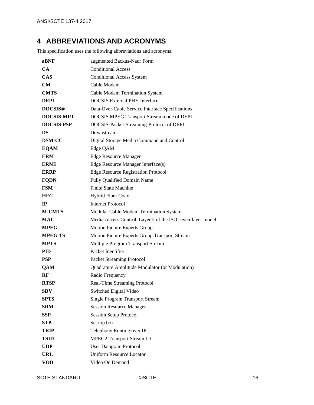# <span id="page-15-0"></span>**4 ABBREVIATIONS AND ACRONYMS**

This specification uses the following abbreviations and acronyms:

| aBNF              | augmented Backus-Naur Form                                  |
|-------------------|-------------------------------------------------------------|
| <b>CA</b>         | <b>Conditional Access</b>                                   |
| <b>CAS</b>        | <b>Conditional Access System</b>                            |
| CM.               | Cable Modem                                                 |
| <b>CMTS</b>       | <b>Cable Modem Termination System</b>                       |
| <b>DEPI</b>       | <b>DOCSIS External PHY Interface</b>                        |
| <b>DOCSIS®</b>    | Data-Over-Cable Service Interface Specifications            |
| <b>DOCSIS-MPT</b> | DOCSIS MPEG Transport Stream mode of DEPI                   |
| <b>DOCSIS-PSP</b> | DOCSIS-Packet-Streaming-Protocol of DEPI                    |
| DS                | Downstream                                                  |
| <b>DSM-CC</b>     | Digital Storage Media Command and Control                   |
| <b>EQAM</b>       | Edge QAM                                                    |
| <b>ERM</b>        | <b>Edge Resource Manager</b>                                |
| <b>ERMI</b>       | Edge Resource Manager Interface(s)                          |
| <b>ERRP</b>       | <b>Edge Resource Registration Protocol</b>                  |
| <b>FQDN</b>       | Fully Qualified Domain Name                                 |
| <b>FSM</b>        | <b>Finite State Machine</b>                                 |
| <b>HFC</b>        | Hybrid Fiber Coax                                           |
| $_{\rm IP}$       | <b>Internet Protocol</b>                                    |
| <b>M-CMTS</b>     | Modular Cable Modem Termination System                      |
| <b>MAC</b>        | Media Access Control. Layer 2 of the ISO seven-layer model. |
| <b>MPEG</b>       | Motion Picture Experts Group                                |
| <b>MPEG-TS</b>    | Motion Picture Experts Group Transport Stream               |
| <b>MPTS</b>       | Multiple Program Transport Stream                           |
| <b>PID</b>        | Packet Identifier                                           |
| <b>PSP</b>        | Packet Streaming Protocol                                   |
| <b>QAM</b>        | Quadrature Amplitude Modulator (or Modulation)              |
| RF                | Radio Frequency                                             |
| <b>RTSP</b>       | Real-Time Streaming Protocol                                |
| <b>SDV</b>        | Switched Digital Video                                      |
| <b>SPTS</b>       | <b>Single Program Transport Stream</b>                      |
| <b>SRM</b>        | <b>Session Resource Manager</b>                             |
| <b>SSP</b>        | <b>Session Setup Protocol</b>                               |
| <b>STB</b>        | Set top box                                                 |
| <b>TRIP</b>       | Telephony Routing over IP                                   |
| <b>TSID</b>       | <b>MPEG2 Transport Stream ID</b>                            |
| <b>UDP</b>        | <b>User Datagram Protocol</b>                               |
| <b>URL</b>        | <b>Uniform Resource Locator</b>                             |
| <b>VOD</b>        | Video On Demand                                             |
|                   |                                                             |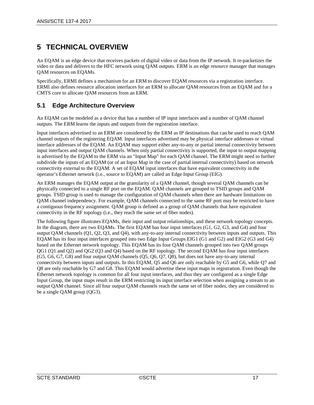# <span id="page-16-0"></span>**5 TECHNICAL OVERVIEW**

An EQAM is an edge device that receives packets of digital video or data from the IP network. It re-packetizes the video or data and delivers to the HFC network using QAM outputs. ERM is an edge resource manager that manages QAM resources on EQAMs.

Specifically, ERMI defines a mechanism for an ERM to discover EQAM resources via a registration interface. ERMI also defines resource allocation interfaces for an ERM to allocate QAM resources from an EQAM and for a CMTS core to allocate QAM resources from an ERM.

# <span id="page-16-1"></span>**5.1 Edge Architecture Overview**

An EQAM can be modeled as a device that has a number of IP input interfaces and a number of QAM channel outputs. The ERM learns the inputs and outputs from the registration interface.

Input interfaces advertised to an ERM are considered by the ERM as IP destinations that can be used to reach QAM channel outputs of the registering EQAM. Input interfaces advertised may be physical interface addresses or virtual interface addresses of the EQAM. An EQAM may support either any-to-any or partial internal connectivity between input interfaces and output QAM channels. When only partial connectivity is supported, the input to output mapping is advertised by the EQAM to the ERM via an "Input Map" for each QAM channel. The ERM might need to further subdivide the inputs of an EQAM (or of an Input Map in the case of partial internal connectivity) based on network connectivity external to the EQAM. A set of EQAM input interfaces that have equivalent connectivity in the operator's Ethernet network (i.e., source to EQAM) are called an Edge Input Group (EIG).

An ERM manages the EQAM output at the granularity of a QAM channel, though several QAM channels can be physically connected to a single RF port on the EQAM. QAM channels are grouped to TSID groups and QAM groups. TSID group is used to manage the configuration of QAM channels when there are hardware limitations on QAM channel independency. For example, QAM channels connected to the same RF port may be restricted to have a contiguous frequency assignment. QAM group is defined as a group of QAM channels that have equivalent connectivity in the RF topology (i.e., they reach the same set of fiber nodes).

The following figure illustrates EQAMs, their input and output relationships, and these network topology concepts. In the diagram, there are two EQAMs. The first EQAM has four input interfaces (G1, G2, G3, and G4) and four output QAM channels (Q1, Q2, Q3, and Q4), with any-to-any internal connectivity between inputs and outputs. This EQAM has its four input interfaces grouped into two Edge Input Groups EIG1 (G1 and G2) and EIG2 (G3 and G4) based on the Ethernet network topology. This EQAM has its four QAM channels grouped into two QAM groups QG1 (Q1 and Q2) and QG2 (Q3 and Q4) based on the RF topology. The second EQAM has four input interfaces (G5, G6, G7, G8) and four output QAM channels (Q5, Q6, Q7, Q8), but does not have any-to-any internal connectivity between inputs and outputs. In this EQAM, Q5 and Q6 are only reachable by G5 and G6, while Q7 and Q8 are only reachable by G7 and G8. This EQAM would advertise these input maps in registration. Even though the Ethernet network topology is common for all four input interfaces, and thus they are configured as a single Edge Input Group, the input maps result in the ERM restricting its input interface selection when assigning a stream to an output QAM channel. Since all four output QAM channels reach the same set of fiber nodes, they are considered to be a single QAM group (QG3).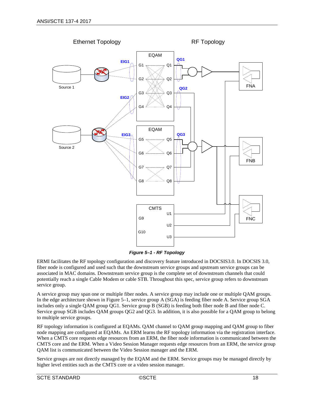

*Figure 5–1 - RF Topology*

<span id="page-17-0"></span>ERMI facilitates the RF topology configuration and discovery feature introduced in DOCSIS3.0. In DOCSIS 3.0, fiber node is configured and used such that the downstream service groups and upstream service groups can be associated in MAC domains. Downstream service group is the complete set of downstream channels that could potentially reach a single Cable Modem or cable STB. Throughout this spec, service group refers to downstream service group.

A service group may span one or multiple fiber nodes. A service group may include one or multiple QAM groups. In the edge architecture shown i[n Figure 5–1,](#page-17-0) service group A (SGA) is feeding fiber node A. Service group SGA includes only a single QAM group QG1. Service group B (SGB) is feeding both fiber node B and fiber node C. Service group SGB includes QAM groups QG2 and QG3. In addition, it is also possible for a QAM group to belong to multiple service groups.

RF topology information is configured at EQAMs. QAM channel to QAM group mapping and QAM group to fiber node mapping are configured at EQAMs. An ERM learns the RF topology information via the registration interface. When a CMTS core requests edge resources from an ERM, the fiber node information is communicated between the CMTS core and the ERM. When a Video Session Manager requests edge resources from an ERM, the service group QAM list is communicated between the Video Session manager and the ERM.

Service groups are not directly managed by the EQAM and the ERM. Service groups may be managed directly by higher level entities such as the CMTS core or a video session manager.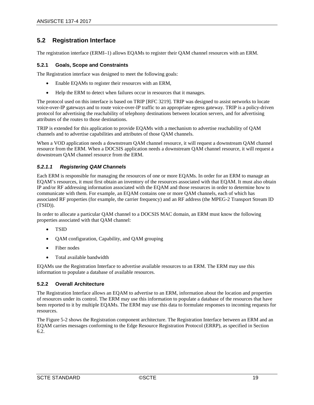# <span id="page-18-0"></span>**5.2 Registration Interface**

The registration interface (ERMI–1) allows EQAMs to register their QAM channel resources with an ERM.

#### <span id="page-18-1"></span>**5.2.1 Goals, Scope and Constraints**

The Registration interface was designed to meet the following goals:

- Enable EQAMs to register their resources with an ERM,
- Help the ERM to detect when failures occur in resources that it manages.

The protocol used on this interface is based on TRIP [RFC [3219\].](#page-13-6) TRIP was designed to assist networks to locate voice-over-IP gateways and to route voice-over-IP traffic to an appropriate egress gateway. TRIP is a policy-driven protocol for advertising the reachability of telephony destinations between location servers, and for advertising attributes of the routes to those destinations.

TRIP is extended for this application to provide EQAMs with a mechanism to advertise reachability of QAM channels and to advertise capabilities and attributes of those QAM channels.

When a VOD application needs a downstream QAM channel resource, it will request a downstream QAM channel resource from the ERM. When a DOCSIS application needs a downstream QAM channel resource, it will request a downstream QAM channel resource from the ERM.

# <span id="page-18-2"></span>*5.2.1.1 Registering QAM Channels*

Each ERM is responsible for managing the resources of one or more EQAMs. In order for an ERM to manage an EQAM's resources, it must first obtain an inventory of the resources associated with that EQAM. It must also obtain IP and/or RF addressing information associated with the EQAM and those resources in order to determine how to communicate with them. For example, an EQAM contains one or more QAM channels, each of which has associated RF properties (for example, the carrier frequency) and an RF address (the MPEG-2 Transport Stream ID (TSID)).

In order to allocate a particular QAM channel to a DOCSIS MAC domain, an ERM must know the following properties associated with that QAM channel:

- TSID
- QAM configuration, Capability, and QAM grouping
- Fiber nodes
- Total available bandwidth

EQAMs use the Registration Interface to advertise available resources to an ERM. The ERM may use this information to populate a database of available resources.

# <span id="page-18-3"></span>**5.2.2 Overall Architecture**

The Registration Interface allows an EQAM to advertise to an ERM, information about the location and properties of resources under its control. The ERM may use this information to populate a database of the resources that have been reported to it by multiple EQAMs. The ERM may use this data to formulate responses to incoming requests for resources.

The [Figure 5-2](#page-19-2) shows the Registration component architecture. The Registration Interface between an ERM and an EQAM carries messages conforming to the Edge Resource Registration Protocol (ERRP), as specified in Section [6.2.](#page-25-2)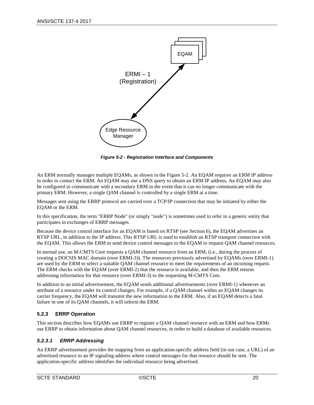

*Figure 5-2 - Registration Interface and Components*

<span id="page-19-2"></span>An ERM normally manages multiple EQAMs, as shown in th[e Figure 5-2.](#page-19-2) An EQAM requires an ERM IP address in order to contact the ERM. An EQAM may use a DNS query to obtain an ERM IP address. An EQAM may also be configured to communicate with a secondary ERM in the event that it can no longer communicate with the primary ERM. However, a single QAM channel is controlled by a single ERM at a time.

Messages sent using the ERRP protocol are carried over a TCP/IP connection that may be initiated by either the EQAM or the ERM.

In this specification, the term "ERRP Node" (or simply "node") is sometimes used to refer to a generic entity that participates in exchanges of ERRP messages.

Because the device control interface for an EQAM is based on RTSP (see Section [6\)](#page-25-0), the EQAM advertises an RTSP URL, in addition to the IP address. This RTSP URL is used to establish an RTSP transport connection with the EQAM. This allows the ERM to send device control messages to the EQAM to request QAM channel resources.

In normal use, an M-CMTS Core requests a QAM channel resource from an ERM, (i.e.*,* during the process of creating a DOCSIS MAC domain (over ERMI-3)). The resources previously advertised by EQAMs (over ERMI-1) are used by the ERM to select a suitable QAM channel resource to meet the requirements of an incoming request. The ERM checks with the EQAM (over ERMI-2) that the resource is available, and then the ERM returns addressing information for that resource (over ERMI-3) to the requesting M-CMTS Core.

In addition to an initial advertisement, the EQAM sends additional advertisements (over ERMI-1) whenever an attribute of a resource under its control changes. For example, if a QAM channel within an EQAM changes its carrier frequency, the EQAM will transmit the new information to the ERM. Also, if an EQAM detects a fatal failure in one of its QAM channels, it will inform the ERM.

# <span id="page-19-0"></span>**5.2.3 ERRP Operation**

This section describes how EQAMs use ERRP to register a QAM channel resource with an ERM and how ERMs use ERRP to obtain information about QAM channel resources, in order to build a database of available resources.

# <span id="page-19-1"></span>*5.2.3.1 ERRP Addressing*

An ERRP advertisement provides the mapping from an application-specific address field (in our case, a URL) of an advertised resource to an IP signaling address where control messages for that resource should be sent. The application-specific address identifies the individual resource being advertised.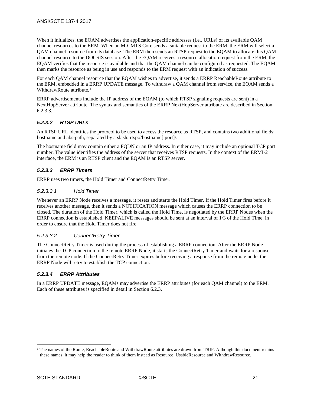When it initializes, the EQAM advertises the application-specific addresses (i.e.*,* URLs) of its available QAM channel resources to the ERM. When an M-CMTS Core sends a suitable request to the ERM, the ERM will select a QAM channel resource from its database. The ERM then sends an RTSP request to the EQAM to allocate this QAM channel resource to the DOCSIS session. After the EQAM receives a resource allocation request from the ERM, the EQAM verifies that the resource is available and that the QAM channel can be configured as requested. The EQAM then marks the resource as being in use and responds to the ERM request with an indication of success.

For each QAM channel resource that the EQAM wishes to advertise, it sends a ERRP ReachableRoute attribute to the ERM, embedded in a ERRP UPDATE message. To withdraw a QAM channel from service, the EQAM sends a WithdrawRoute attribute.<sup>[1](#page-20-3)</sup>

ERRP advertisements include the IP address of the EQAM (to which RTSP signaling requests are sent) in a NextHopServer attribute. The syntax and semantics of the ERRP NextHopServer attribute are described in Section [6.2.3.3.](#page-38-2)

# <span id="page-20-0"></span>*5.2.3.2 RTSP URLs*

An RTSP URL identifies the protocol to be used to access the resource as RTSP, and contains two additional fields: hostname and abs-path, separated by a slash: rtsp://hostname[:port]/.

The hostname field may contain either a FQDN or an IP address. In either case, it may include an optional TCP port number. The value identifies the address of the server that receives RTSP requests. In the context of the ERMI-2 interface, the ERM is an RTSP client and the EQAM is an RTSP server.

# <span id="page-20-1"></span>*5.2.3.3 ERRP Timers*

ERRP uses two timers, the Hold Timer and ConnectRetry Timer.

#### *5.2.3.3.1 Hold Timer*

Whenever an ERRP Node receives a message, it resets and starts the Hold Timer. If the Hold Timer fires before it receives another message, then it sends a NOTIFICATION message which causes the ERRP connection to be closed. The duration of the Hold Timer, which is called the Hold Time, is negotiated by the ERRP Nodes when the ERRP connection is established. KEEPALIVE messages should be sent at an interval of 1/3 of the Hold Time, in order to ensure that the Hold Timer does not fire.

#### *5.2.3.3.2 ConnectRetry Timer*

The ConnectRetry Timer is used during the process of establishing a ERRP connection. After the ERRP Node initiates the TCP connection to the remote ERRP Node, it starts the ConnectRetry Timer and waits for a response from the remote node. If the ConnectRetry Timer expires before receiving a response from the remote node, the ERRP Node will retry to establish the TCP connection.

# <span id="page-20-2"></span>*5.2.3.4 ERRP Attributes*

In a ERRP UPDATE message, EQAMs may advertise the ERRP attributes (for each QAM channel) to the ERM. Each of these attributes is specified in detail in Sectio[n 6.2.3.](#page-35-1)

<span id="page-20-3"></span> $1$  The names of the Route, ReachableRoute and WithdrawRoute attributes are drawn from TRIP. Although this document retains these names, it may help the reader to think of them instead as Resource, UsableResource and WithdrawResource.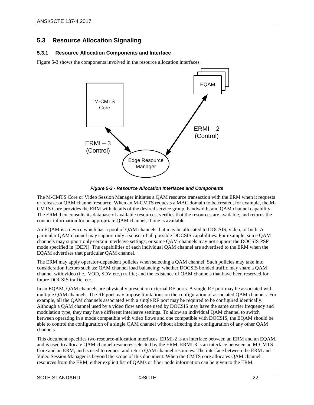# <span id="page-21-0"></span>**5.3 Resource Allocation Signaling**

# <span id="page-21-1"></span>**5.3.1 Resource Allocation Components and Interface**

[Figure 5-3](#page-21-2) shows the components involved in the resource allocation interfaces.



*Figure 5-3 - Resource Allocation Interfaces and Components*

<span id="page-21-2"></span>The M-CMTS Core or Video Session Manager initiates a QAM resource transaction with the ERM when it requests or releases a QAM channel resource. When an M-CMTS requests a MAC domain to be created, for example, the M-CMTS Core provides the ERM with details of the desired service group, bandwidth, and QAM channel capability. The ERM then consults its database of available resources, verifies that the resources are available, and returns the contact information for an appropriate QAM channel, if one is available.

An EQAM is a device which has a pool of QAM channels that may be allocated to DOCSIS, video, or both. A particular QAM channel may support only a subset of all possible DOCSIS capabilities. For example, some QAM channels may support only certain interleave settings; or some QAM channels may not support the DOCSIS PSP mode specified in [\[DEPI\].](#page-13-7) The capabilities of each individual QAM channel are advertised to the ERM when the EQAM advertises that particular QAM channel.

The ERM may apply operator-dependent policies when selecting a QAM channel. Such policies may take into consideration factors such as: QAM channel load balancing; whether DOCSIS bonded traffic may share a QAM channel with video (i.e., VOD, SDV etc.) traffic; and the existence of QAM channels that have been reserved for future DOCSIS traffic, etc.

In an EQAM, QAM channels are physically present on external RF ports. A single RF port may be associated with multiple QAM channels. The RF port may impose limitations on the configuration of associated QAM channels. For example, all the QAM channels associated with a single RF port may be required to be configured identically. Although a QAM channel used by a video flow and one used by DOCSIS may have the same carrier frequency and modulation type, they may have different interleave settings. To allow an individual QAM channel to switch between operating in a mode compatible with video flows and one compatible with DOCSIS, the EQAM should be able to control the configuration of a single QAM channel without affecting the configuration of any other QAM channels.

This document specifies two resource-allocation interfaces. ERMI-2 is an interface between an ERM and an EQAM, and is used to allocate QAM channel resources selected by the ERM. ERMI-3 is an interface between an M-CMTS Core and an ERM, and is used to request and return QAM channel resources. The interface between the ERM and Video Session Manager is beyond the scope of this document. When the CMTS core allocates QAM channel resources from the ERM, either explicit list of QAMs or fiber node information can be given to the ERM.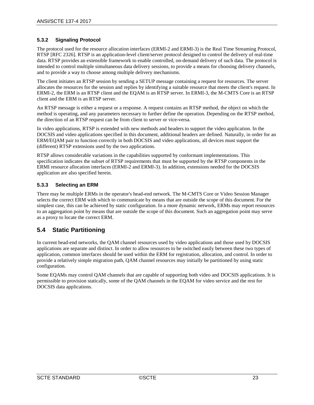# <span id="page-22-0"></span>**5.3.2 Signaling Protocol**

The protocol used for the resource allocation interfaces (ERMI-2 and ERMI-3) is the Real Time Streaming Protocol, RTSP [RFC [2326\].](#page-13-8) RTSP is an application-level client/server protocol designed to control the delivery of real-time data. RTSP provides an extensible framework to enable controlled, on-demand delivery of such data. The protocol is intended to control multiple simultaneous data delivery sessions, to provide a means for choosing delivery channels, and to provide a way to choose among multiple delivery mechanisms.

The client initiates an RTSP session by sending a SETUP message containing a request for resources. The server allocates the resources for the session and replies by identifying a suitable resource that meets the client's request. In ERMI-2, the ERM is an RTSP client and the EQAM is an RTSP server. In ERMI-3, the M-CMTS Core is an RTSP client and the ERM is an RTSP server.

An RTSP message is either a request or a response. A request contains an RTSP method, the object on which the method is operating, and any parameters necessary to further define the operation. Depending on the RTSP method, the direction of an RTSP request can be from client to server or vice-versa.

In video applications, RTSP is extended with new methods and headers to support the video application. In the DOCSIS and video applications specified in this document, additional headers are defined. Naturally, in order for an ERM/EQAM pair to function correctly in both DOCSIS and video applications, all devices must support the (different) RTSP extensions used by the two applications.

RTSP allows considerable variations in the capabilities supported by conformant implementations. This specification indicates the subset of RTSP requirements that must be supported by the RTSP components in the ERMI resource allocation interfaces (ERMI-2 and ERMI-3). In addition, extensions needed for the DOCSIS application are also specified herein.

# <span id="page-22-1"></span>**5.3.3 Selecting an ERM**

There may be multiple ERMs in the operator's head-end network. The M-CMTS Core or Video Session Manager selects the correct ERM with which to communicate by means that are outside the scope of this document. For the simplest case, this can be achieved by static configuration. In a more dynamic network, ERMs may report resources to an aggregation point by means that are outside the scope of this document. Such an aggregation point may serve as a proxy to locate the correct ERM.

# <span id="page-22-2"></span>**5.4 Static Partitioning**

In current head-end networks, the QAM channel resources used by video applications and those used by DOCSIS applications are separate and distinct. In order to allow resources to be switched easily between these two types of application, common interfaces should be used within the ERM for registration, allocation, and control. In order to provide a relatively simple migration path, QAM channel resources may initially be partitioned by using static configuration.

Some EQAMs may control QAM channels that are capable of supporting both video and DOCSIS applications. It is permissible to provision statically, some of the QAM channels in the EQAM for video service and the rest for DOCSIS data applications.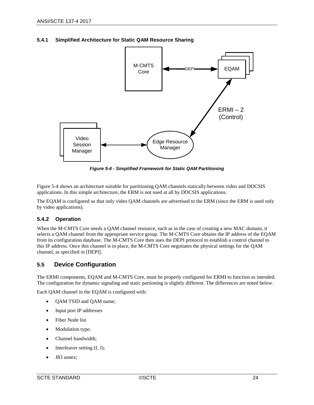<span id="page-23-0"></span>



*Figure 5-4 - Simplified Framework for Static QAM Partitioning*

<span id="page-23-3"></span>[Figure 5-4](#page-23-3) shows an architecture suitable for partitioning QAM channels statically between video and DOCSIS applications. In this simple architecture, the ERM is not used at all by DOCSIS applications.

The EQAM is configured so that only video QAM channels are advertised to the ERM (since the ERM is used only by video applications).

# <span id="page-23-1"></span>**5.4.2 Operation**

When the M-CMTS Core needs a QAM channel resource, such as in the case of creating a new MAC domain, it selects a QAM channel from the appropriate service group. The M-CMTS Core obtains the IP address of the EQAM from its configuration database. The M-CMTS Core then uses the DEPI protocol to establish a control channel to this IP address. Once this channel is in place, the M-CMTS Core negotiates the physical settings for the QAM channel, as specified in [\[DEPI\].](#page-13-7)

# <span id="page-23-2"></span>**5.5 Device Configuration**

The ERMI components, EQAM and M-CMTS Core, must be properly configured for ERMI to function as intended. The configuration for dynamic signaling and static partioning is slightly different. The differences are noted below.

Each QAM channel in the EQAM is configured with:

- QAM TSID and QAM name;
- Input port IP addresses
- Fiber Node list
- Modulation type;
- Channel bandwidth;
- Interleaver setting (I, J);
- J83 annex;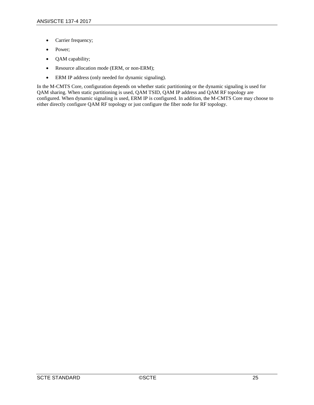- Carrier frequency;
- Power;
- QAM capability;
- Resource allocation mode (ERM, or non-ERM);
- ERM IP address (only needed for dynamic signaling).

In the M-CMTS Core, configuration depends on whether static partitioning or the dynamic signaling is used for QAM sharing. When static partitioning is used, QAM TSID, QAM IP address and QAM RF topology are configured. When dynamic signaling is used, ERM IP is configured. In addition, the M-CMTS Core may choose to either directly configure QAM RF topology or just configure the fiber node for RF topology.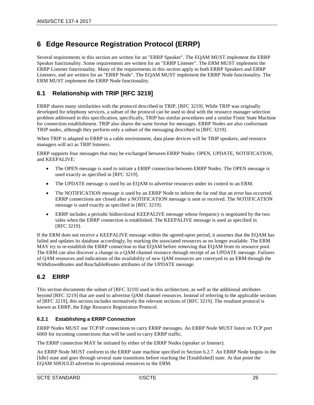# <span id="page-25-0"></span>**6 Edge Resource Registration Protocol (ERRP)**

Several requirements in this section are written for an "ERRP Speaker". The EQAM MUST implement the ERRP Speaker functionality. Some requirements are written for an "ERRP Listener". The ERM MUST implement the ERRP Listener functionality. Many of the requirements in this section apply to both ERRP Speakers and ERRP Listeners, and are written for an "ERRP Node". The EQAM MUST implement the ERRP Node functionality. The ERM MUST implement the ERRP Node functionality.

# <span id="page-25-1"></span>**6.1 Relationship with TRIP [\[RFC](#page-13-6) 3219]**

ERRP shares many similarities with the protocol described in TRIP, [RFC [3219\].](#page-13-6) While TRIP was originally developed for telephony services, a subset of the protocol can be used to deal with the resource manager selection problem addressed in this specification, specifically, TRIP has similar procedures and a similar Finite State Machine for connection establishment. TRIP also shares the same format for messages. ERRP Nodes are also conformant TRIP nodes, although they perform only a subset of the messaging described in [RFC [3219\].](#page-13-6)

When TRIP is adapted to ERRP in a cable environment, data plane devices will be TRIP speakers, and resource managers will act as TRIP listeners.

ERRP supports four messages that may be exchanged between ERRP Nodes: OPEN, UPDATE, NOTIFICATION, and KEEPALIVE:

- The OPEN message is used to initiate a ERRP connection between ERRP Nodes. The OPEN message is used exactly as specified in [RFC [3219\].](#page-13-6)
- The UPDATE message is used by an EQAM to advertise resources under its control to an ERM.
- The NOTIFICATION message is used by an ERRP Node to inform the far end that an error has occurred. ERRP connections are closed after a NOTIFICATION message is sent or received. The NOTIFICATION message is used exactly as specified in [RFC [3219\].](#page-13-6)
- ERRP includes a periodic bidirectional KEEPALIVE message whose frequency is negotiated by the two sides when the ERRP connection is established. The KEEPALIVE message is used as specified in [RFC [3219\].](#page-13-6)

If the ERM does not receive a KEEPALIVE message within the agreed-upon period, it assumes that the EQAM has failed and updates its database accordingly, by marking the associated resources as no longer available. The ERM MAY try to re-establish the ERRP connection to that EQAM before removing that EQAM from its resource pool. The ERM can also discover a change in a QAM channel resource through receipt of an UPDATE message. Failures of QAM resources and indications of the availability of new QAM resources are conveyed to an ERM through the WithdrawnRoutes and ReachableRoutes attributes of the UPDATE message.

# <span id="page-25-2"></span>**6.2 ERRP**

This section documents the subset of [\[RFC](#page-13-6) 3219] used in this architecture, as well as the additional attributes beyond [\[RFC](#page-13-6) 3219] that are used to advertise QAM channel resources. Instead of referring to the applicable sections of [RFC [3219\],](#page-13-6) this section includes normatively the relevant sections of [RFC [3219\].](#page-13-6) The resultant protocol is known as ERRP, the Edge Resource Registration Protocol.

# <span id="page-25-3"></span>**6.2.1 Establishing a ERRP Connection**

ERRP Nodes MUST use TCP/IP connections to carry ERRP messages. An ERRP Node MUST listen on TCP port 6069 for incoming connections that will be used to carry ERRP traffic.

The ERRP connection MAY be initiated by either of the ERRP Nodes (speaker or listener).

An ERRP Node MUST conform to the ERRP state machine specified in Section [6.2.7.](#page-57-2) An ERRP Node begins in the [Idle] state and goes through several state transitions before reaching the [Established] state. At that point the EQAM SHOULD advertise its operational resources to the ERM.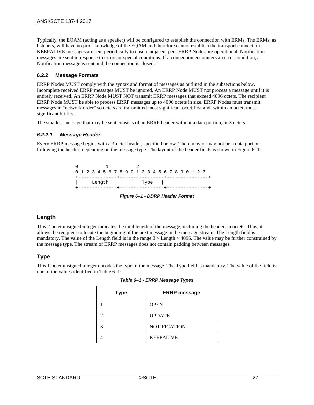Typically, the EQAM (acting as a speaker) will be configured to establish the connection with ERMs. The ERMs, as listeners, will have no prior knowledge of the EQAM and therefore cannot establish the transport connection. KEEPALIVE messages are sent periodically to ensure adjacent peer ERRP Nodes are operational. Notification messages are sent in response to errors or special conditions. If a connection encounters an error condition, a Notification message is sent and the connection is closed.

#### <span id="page-26-0"></span>**6.2.2 Message Formats**

ERRP Nodes MUST comply with the syntax and format of messages as outlined in the subsections below. Incomplete received ERRP messages MUST be ignored. An ERRP Node MUST not process a message until it is entirely received. An ERRP Node MUST NOT transmit ERRP messages that exceed 4096 octets. The recipient ERRP Node MUST be able to process ERRP messages up to 4096 octets in size. ERRP Nodes must transmit messages in "network order" so octets are transmitted most significant octet first and, within an octet, most significant bit first.

The smallest message that may be sent consists of an ERRP header without a data portion, or 3 octets.

#### <span id="page-26-1"></span>*6.2.2.1 Message Header*

Every ERRP message begins with a 3-octet header, specified below. There may or may not be a data portion following the header, depending on the message type. The layout of the header fields is shown i[n Figure 6–1:](#page-26-3)

> $0$  1 2 0 1 2 3 4 5 6 7 8 9 0 1 2 3 4 5 6 7 8 9 0 1 2 3 +--------------+----------------+---------------+ | Length | Type | +--------------+----------------+---------------+

*Figure 6–1 - DDRP Header Format*

# <span id="page-26-3"></span>**Length**

This 2-octet unsigned integer indicates the total length of the message, including the header, in octets. Thus, it allows the recipient to locate the beginning of the next message in the message stream. The Length field is mandatory. The value of the Length field is in the range  $3 \leq$  Length  $\leq$  4096. The value may be further constrained by the message type. The stream of ERRP messages does not contain padding between messages.

# **Type**

<span id="page-26-2"></span>This 1-octet unsigned integer encodes the type of the message. The Type field is mandatory. The value of the field is one of the values identified i[n Table](#page-26-2) 6–1:

| <b>Type</b> | <b>ERRP</b> message |
|-------------|---------------------|
|             | <b>OPEN</b>         |
|             | <b>UPDATE</b>       |
|             | <b>NOTIFICATION</b> |
|             | <b>KEEPALIVE</b>    |

*Table 6–1 - ERRP Message Types*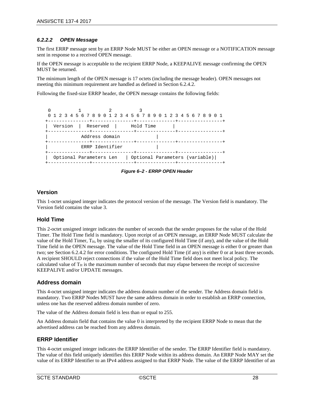# <span id="page-27-0"></span>*6.2.2.2 OPEN Message*

The first ERRP message sent by an ERRP Node MUST be either an OPEN message or a NOTIFICATION message sent in response to a received OPEN message.

If the OPEN message is acceptable to the recipient ERRP Node, a KEEPALIVE message confirming the OPEN MUST be returned.

The minimum length of the OPEN message is 17 octets (including the message header). OPEN messages not meeting this minimum requirement are handled as defined in Section [6.2.4.2.](#page-55-0)

Following the fixed-size ERRP header, the OPEN message contains the following fields:

|                                |                 |  | 0 1 2 3 4 5 6 7 8 9 0 1 2 3 4 5 6 7 8 9 0 1 2 3 4 5 6 7 8 9 0 1 |
|--------------------------------|-----------------|--|-----------------------------------------------------------------|
| Version   Reserved   Hold Time |                 |  |                                                                 |
|                                | Address domain  |  |                                                                 |
|                                | ERRP Identifier |  |                                                                 |
| Optional Parameters Len        |                 |  | Optional Parameters (variable)                                  |

*Figure 6–2 - ERRP OPEN Header*

# <span id="page-27-1"></span>**Version**

This 1-octet unsigned integer indicates the protocol version of the message. The Version field is mandatory. The Version field contains the value 3.

# **Hold Time**

This 2-octet unsigned integer indicates the number of seconds that the sender proposes for the value of the Hold Timer. The Hold Time field is mandatory. Upon receipt of an OPEN message, an ERRP Node MUST calculate the value of the Hold Timer,  $T_H$ , by using the smaller of its configured Hold Time (if any), and the value of the Hold Time field in the OPEN message. The value of the Hold Time field in an OPEN message is either 0 or greater than two; see Section [6.2.4.2](#page-55-0) for error conditions. The configured Hold Time (if any) is either 0 or at least three seconds. A recipient SHOULD reject connections if the value of the Hold Time field does not meet local policy. The calculated value of  $T_H$  is the maximum number of seconds that may elapse between the receipt of successive KEEPALIVE and/or UPDATE messages.

# **Address domain**

This 4-octet unsigned integer indicates the address domain number of the sender. The Address domain field is mandatory. Two ERRP Nodes MUST have the same address domain in order to establish an ERRP connection, unless one has the reserved address domain number of zero.

The value of the Address domain field is less than or equal to 255.

An Address domain field that contains the value 0 is interpreted by the recipient ERRP Node to mean that the advertised address can be reached from any address domain.

# **ERRP Identifier**

This 4-octet unsigned integer indicates the ERRP Identifier of the sender. The ERRP Identifier field is mandatory. The value of this field uniquely identifies this ERRP Node within its address domain. An ERRP Node MAY set the value of its ERRP Identifier to an IPv4 address assigned to that ERRP Node. The value of the ERRP Identifier of an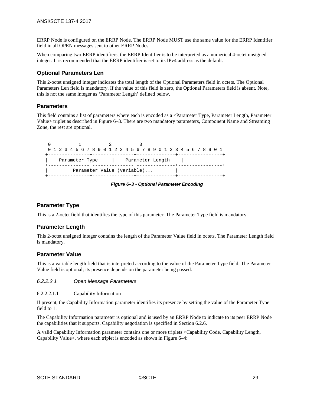ERRP Node is configured on the ERRP Node. The ERRP Node MUST use the same value for the ERRP Identifier field in all OPEN messages sent to other ERRP Nodes.

When comparing two ERRP identifiers, the ERRP Identifier is to be interpreted as a numerical 4-octet unsigned integer. It is recommended that the ERRP identifier is set to its IPv4 address as the default.

# **Optional Parameters Len**

This 2-octet unsigned integer indicates the total length of the Optional Parameters field in octets. The Optional Parameters Len field is mandatory. If the value of this field is zero, the Optional Parameters field is absent. Note, this is not the same integer as 'Parameter Length' defined below.

# **Parameters**

This field contains a list of parameters where each is encoded as a <Parameter Type, Parameter Length, Parameter Value> triplet as described in Figure 6–3. There are two mandatory parameters, Component Name and Streaming Zone, the rest are optional.

 0 1 2 3 0 1 2 3 4 5 6 7 8 9 0 1 2 3 4 5 6 7 8 9 0 1 2 3 4 5 6 7 8 9 0 1 +---------------+---------------+--------------+----------------+ Parameter Type | Parameter Length +---------------+---------------+--------------+----------------+ Parameter Value (variable)... +---------------+---------------+--------------+----------------+

*Figure 6–3 - Optional Parameter Encoding*

# <span id="page-28-0"></span>**Parameter Type**

This is a 2-octet field that identifies the type of this parameter. The Parameter Type field is mandatory.

# **Parameter Length**

This 2-octet unsigned integer contains the length of the Parameter Value field in octets. The Parameter Length field is mandatory.

# **Parameter Value**

This is a variable length field that is interpreted according to the value of the Parameter Type field. The Parameter Value field is optional; its presence depends on the parameter being passed.

#### *6.2.2.2.1 Open Message Parameters*

6.2.2.2.1.1 Capability Information

If present, the Capability Information parameter identifies its presence by setting the value of the Parameter Type field to 1.

The Capability Information parameter is optional and is used by an ERRP Node to indicate to its peer ERRP Node the capabilities that it supports. Capability negotiation is specified in Section [6.2.6.](#page-57-1)

A valid Capability Information parameter contains one or more triplets <Capability Code, Capability Length, Capability Value>, where each triplet is encoded as shown in [Figure 6–4:](#page-29-1)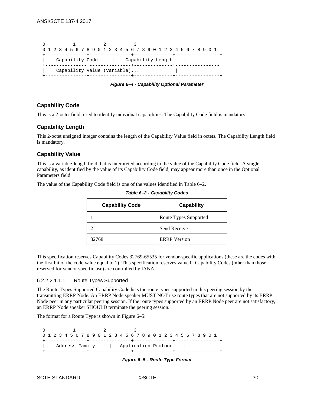|  |  |                     |  |  |  | 0 1 2 3 4 5 6 7 8 9 0 1 2 3 4 5 6 7 8 9 0 1 2 3 4 5 6 7 8 9 0 1 |  |  |  |  |                   |  |  |  |  |  |
|--|--|---------------------|--|--|--|-----------------------------------------------------------------|--|--|--|--|-------------------|--|--|--|--|--|
|  |  |                     |  |  |  |                                                                 |  |  |  |  |                   |  |  |  |  |  |
|  |  | Capability Code     |  |  |  |                                                                 |  |  |  |  | Capability Length |  |  |  |  |  |
|  |  | -------------+----- |  |  |  |                                                                 |  |  |  |  |                   |  |  |  |  |  |
|  |  |                     |  |  |  | Capability Value (variable)                                     |  |  |  |  |                   |  |  |  |  |  |
|  |  |                     |  |  |  |                                                                 |  |  |  |  |                   |  |  |  |  |  |

*Figure 6–4 - Capability Optional Parameter*

# <span id="page-29-1"></span>**Capability Code**

This is a 2-octet field, used to identify individual capabilities. The Capability Code field is mandatory.

# **Capability Length**

This 2-octet unsigned integer contains the length of the Capability Value field in octets. The Capability Length field is mandatory.

# **Capability Value**

This is a variable-length field that is interpreted according to the value of the Capability Code field. A single capability, as identified by the value of its Capability Code field, may appear more than once in the Optional Parameters field.

<span id="page-29-0"></span>The value of the Capability Code field is one of the values identified in [Table](#page-29-0) 6–2.

| <b>Capability Code</b> | Capability            |
|------------------------|-----------------------|
|                        | Route Types Supported |
|                        | Send Receive          |
| 32768                  | <b>ERRP</b> Version   |

*Table 6–2 - Capability Codes*

This specification reserves Capability Codes 32769-65535 for vendor-specific applications (these are the codes with the first bit of the code value equal to 1). This specification reserves value 0. Capability Codes (other than those reserved for vendor specific use) are controlled by IANA.

#### 6.2.2.2.1.1.1 Route Types Supported

The Route Types Supported Capability Code lists the route types supported in this peering session by the transmitting ERRP Node. An ERRP Node speaker MUST NOT use route types that are not supported by its ERRP Node peer in any particular peering session. If the route types supported by an ERRP Node peer are not satisfactory, an ERRP Node speaker SHOULD terminate the peering session.

The format for a Route Type is shown in [Figure 6–5:](#page-29-2)

<span id="page-29-2"></span> 0 1 2 3 0 1 2 3 4 5 6 7 8 9 0 1 2 3 4 5 6 7 8 9 0 1 2 3 4 5 6 7 8 9 0 1 +---------------+---------------+--------------+----------------+ Address Family | Application Protocol | +---------------+---------------+--------------+----------------+

*Figure 6–5 - Route Type Format*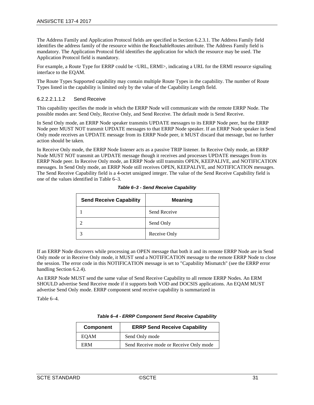The Address Family and Application Protocol fields are specified in Section [6.2.3.1.](#page-36-0) The Address Family field identifies the address family of the resource within the ReachableRoutes attribute. The Address Family field is mandatory. The Application Protocol field identifies the application for which the resource may be used. The Application Protocol field is mandatory.

For example, a Route Type for ERRP could be <URL, ERMI>, indicating a URL for the ERMI resource signaling interface to the EQAM.

The Route Types Supported capability may contain multiple Route Types in the capability. The number of Route Types listed in the capability is limited only by the value of the Capability Length field.

#### 6.2.2.2.1.1.2 Send Receive

This capability specifies the mode in which the ERRP Node will communicate with the remote ERRP Node. The possible modes are: Send Only, Receive Only, and Send Receive. The default mode is Send Receive.

In Send Only mode, an ERRP Node speaker transmits UPDATE messages to its ERRP Node peer, but the ERRP Node peer MUST NOT transmit UPDATE messages to that ERRP Node speaker. If an ERRP Node speaker in Send Only mode receives an UPDATE message from its ERRP Node peer, it MUST discard that message, but no further action should be taken.

<span id="page-30-0"></span>In Receive Only mode, the ERRP Node listener acts as a passive TRIP listener. In Receive Only mode, an ERRP Node MUST NOT transmit an UPDATE message though it receives and processes UPDATE messages from its ERRP Node peer. In Receive Only mode, an ERRP Node still transmits OPEN, KEEPALIVE, and NOTIFICATION messages. In Send Only mode, an ERRP Node still receives OPEN, KEEPALIVE, and NOTIFICATION messages. The Send Receive Capability field is a 4-octet unsigned integer. The value of the Send Receive Capability field is one of the values identified i[n Table](#page-30-0) 6–3.

| <b>Send Receive Capability</b> | <b>Meaning</b> |
|--------------------------------|----------------|
|                                | Send Receive   |
|                                | Send Only      |
|                                | Receive Only   |

|  |  |  |  | Table 6-3 - Send Receive Capability |
|--|--|--|--|-------------------------------------|
|--|--|--|--|-------------------------------------|

If an ERRP Node discovers while processing an OPEN message that both it and its remote ERRP Node are in Send Only mode or in Receive Only mode, it MUST send a NOTIFICATION message to the remote ERRP Node to close the session. The error code in this NOTIFICATION message is set to "Capability Mismatch" (see the ERRP error handling Section [6.2.4\)](#page-54-1).

An ERRP Node MUST send the same value of Send Receive Capability to all remote ERRP Nodes. An ERM SHOULD advertise Send Receive mode if it supports both VOD and DOCSIS applications. An EQAM MUST advertise Send Only mode. ERRP component send receive capability is summarized in

<span id="page-30-2"></span><span id="page-30-1"></span>[Table](#page-30-2) 6–4.

| <b>Component</b> | <b>ERRP Send Receive Capability</b>    |  |  |  |  |  |  |  |
|------------------|----------------------------------------|--|--|--|--|--|--|--|
| <b>EOAM</b>      | Send Only mode                         |  |  |  |  |  |  |  |
| <b>FRM</b>       | Send Receive mode or Receive Only mode |  |  |  |  |  |  |  |

|  |  | Table 6-4 - ERRP Component Send Receive Capability |
|--|--|----------------------------------------------------|
|--|--|----------------------------------------------------|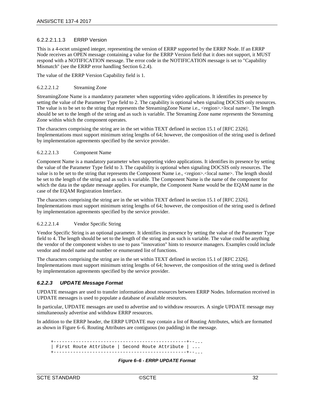#### 6.2.2.2.1.1.3 ERRP Version

This is a 4-octet unsigned integer, representing the version of ERRP supported by the ERRP Node. If an ERRP Node receives an OPEN message containing a value for the ERRP Version field that it does not support, it MUST respond with a NOTIFICATION message. The error code in the NOTIFICATION message is set to "Capability Mismatch" (see the ERRP error handling Section [6.2.4\)](#page-54-1).

The value of the ERRP Version Capability field is 1.

#### 6.2.2.2.1.2 Streaming Zone

StreamingZone Name is a mandatory parameter when supporting video applications. It identifies its presence by setting the value of the Parameter Type field to 2. The capability is optional when signaling DOCSIS only resources. The value is to be set to the string that represents the StreamingZone Name i.e., <region>.<local name>. The length should be set to the length of the string and as such is variable. The Streaming Zone name represents the Streaming Zone within which the component operates.

The characters comprising the string are in the set within TEXT defined in section 15.1 of [RFC [2326\].](#page-13-8) Implementations must support minimum string lengths of 64; however, the composition of the string used is defined by implementation agreements specified by the service provider.

#### 6.2.2.2.1.3 Component Name

Component Name is a mandatory parameter when supporting video applications. It identifies its presence by setting the value of the Parameter Type field to 3. The capability is optional when signaling DOCSIS only resources. The value is to be set to the string that represents the Component Name i.e., <region>.<local name>. The length should be set to the length of the string and as such is variable. The Component Name is the name of the component for which the data in the update message applies. For example, the Component Name would be the EQAM name in the case of the EQAM Registration Interface.

The characters comprising the string are in the set within TEXT defined in section 15.1 of [RFC [2326\].](#page-13-8) Implementations must support minimum string lengths of 64; however, the composition of the string used is defined by implementation agreements specified by the service provider.

#### 6.2.2.2.1.4 Vendor Specific String

Vendor Specific String is an optional parameter. It identifies its presence by setting the value of the Parameter Type field to 4. The length should be set to the length of the string and as such is variable. The value could be anything the vendor of the component wishes to use to pass "innovation" hints to resource managers. Examples could include vendor and model name and number or enumerated list of functions.

The characters comprising the string are in the set within TEXT defined in section 15.1 of [RFC [2326\].](#page-13-8) Implementations must support minimum string lengths of 64; however, the composition of the string used is defined by implementation agreements specified by the service provider.

#### <span id="page-31-0"></span>*6.2.2.3 UPDATE Message Format*

UPDATE messages are used to transfer information about resources between ERRP Nodes. Information received in UPDATE messages is used to populate a database of available resources.

In particular, UPDATE messages are used to advertise and to withdraw resources. A single UPDATE message may simultaneously advertise and withdraw ERRP resources.

In addition to the ERRP header, the ERRP UPDATE may contain a list of Routing Attributes, which are formatted as shown i[n Figure 6–6.](#page-31-1) Routing Attributes are contiguous (no padding) in the message.

<span id="page-31-1"></span> +------------------------------------------------+--... | First Route Attribute | Second Route Attribute | ... +------------------------------------------------+--...

*Figure 6–6 - ERRP UPDATE Format*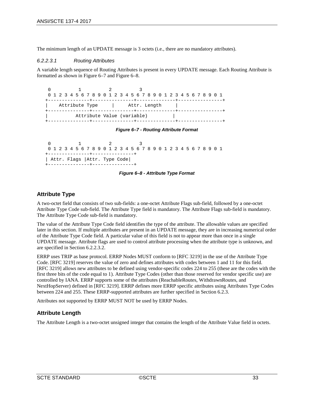The minimum length of an UPDATE message is 3 octets (i.e.*,* there are no mandatory attributes).

#### *6.2.2.3.1 Routing Attributes*

A variable length sequence of Routing Attributes is present in every UPDATE message. Each Routing Attribute is formatted as shown in [Figure 6–7](#page-32-0) and [Figure 6–8.](#page-32-1)

 0 1 2 3 0 1 2 3 4 5 6 7 8 9 0 1 2 3 4 5 6 7 8 9 0 1 2 3 4 5 6 7 8 9 0 1 +---------------+---------------+--------------+----------------+ | Attr. Length +---------------+---------------+--------------+----------------+ Attribute Value (variable) +---------------+---------------+--------------+----------------+

#### *Figure 6–7 - Routing Attribute Format*

<span id="page-32-0"></span>

|  |  |  |  |  |  |  |                               |                                    |  |  |  |  |  |  |  | 0 1 2 3 4 5 6 7 8 9 0 1 2 3 4 5 6 7 8 9 0 1 2 3 4 5 6 7 8 9 0 1 |  |
|--|--|--|--|--|--|--|-------------------------------|------------------------------------|--|--|--|--|--|--|--|-----------------------------------------------------------------|--|
|  |  |  |  |  |  |  |                               | +---------------+----------------+ |  |  |  |  |  |  |  |                                                                 |  |
|  |  |  |  |  |  |  | Attr. Flags   Attr. Type Code |                                    |  |  |  |  |  |  |  |                                                                 |  |
|  |  |  |  |  |  |  |                               | +---------------+----------------  |  |  |  |  |  |  |  |                                                                 |  |



# <span id="page-32-1"></span>**Attribute Type**

A two-octet field that consists of two sub-fields: a one-octet Attribute Flags sub-field, followed by a one-octet Attribute Type Code sub-field. The Attribute Type field is mandatory. The Attribute Flags sub-field is mandatory. The Attribute Type Code sub-field is mandatory.

The value of the Attribute Type Code field identifies the type of the attribute. The allowable values are specified later in this section. If multiple attributes are present in an UPDATE message, they are in increasing numerical order of the Attribute Type Code field. A particular value of this field is not to appear more than once in a single UPDATE message. Attribute flags are used to control attribute processing when the attribute type is unknown, and are specified in Section [6.2.2.3.2.](#page-33-4)

ERRP uses TRIP as base protocol. ERRP Nodes MUST conform to [\[RFC](#page-13-6) 3219] in the use of the Attribute Type Code. [\[RFC](#page-13-6) 3219] reserves the value of zero and defines attributes with codes between 1 and 11 for this field. [RFC [3219\]](#page-13-6) allows new attributes to be defined using vendor-specific codes 224 to 255 (these are the codes with the first three bits of the code equal to 1). Attribute Type Codes (other than those reserved for vendor specific use) are controlled by IANA. ERRP supports some of the attributes (ReachableRoutes, WithdrawnRoutes, and NextHopServer) defined in [RFC [3219\].](#page-13-6) ERRP defines more ERRP specific attributes using Attributes Type Codes between 224 and 255. These ERRP-supported attributes are further specified in Section [6.2.3.](#page-35-1)

Attributes not supported by ERRP MUST NOT be used by ERRP Nodes.

# **Attribute Length**

The Attribute Length is a two-octet unsigned integer that contains the length of the Attribute Value field in octets.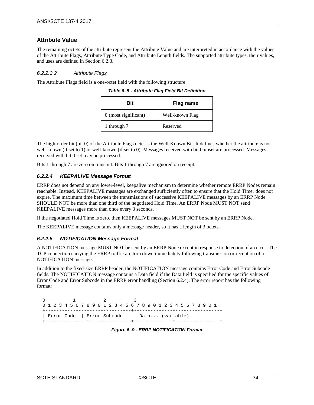# **Attribute Value**

The remaining octets of the attribute represent the Attribute Value and are interpreted in accordance with the values of the Attribute Flags, Attribute Type Code, and Attribute Length fields. The supported attribute types, their values, and uses are defined in Sectio[n 6.2.3.](#page-35-1)

#### <span id="page-33-4"></span>*6.2.2.3.2 Attribute Flags*

<span id="page-33-0"></span>The Attribute Flags field is a one-octet field with the following structure:

| Bit                  | Flag name       |
|----------------------|-----------------|
| 0 (most significant) | Well-known Flag |
| 1 through 7          | Reserved        |

*Table 6–5 - Attribute Flag Field Bit Definition*

The high-order bit (bit 0) of the Attribute Flags octet is the Well-Known Bit. It defines whether the attribute is not well-known (if set to 1) or well-known (if set to 0). Messages received with bit 0 unset are processed. Messages received with bit 0 set may be processed.

Bits 1 through 7 are zero on transmit. Bits 1 through 7 are ignored on receipt.

# <span id="page-33-1"></span>*6.2.2.4 KEEPALIVE Message Format*

ERRP does not depend on any lower-level, keepalive mechanism to determine whether remote ERRP Nodes remain reachable. Instead, KEEPALIVE messages are exchanged sufficiently often to ensure that the Hold Timer does not expire. The maximum time between the transmissions of successive KEEPALIVE messages by an ERRP Node SHOULD NOT be more than one third of the negotiated Hold Time. An ERRP Node MUST NOT send KEEPALIVE messages more than once every 3 seconds.

If the negotiated Hold Time is zero, then KEEPALIVE messages MUST NOT be sent by an ERRP Node.

The KEEPALIVE message contains only a message header, so it has a length of 3 octets.

# <span id="page-33-2"></span>*6.2.2.5 NOTIFICATION Message Format*

A NOTIFICATION message MUST NOT be sent by an ERRP Node except in response to detection of an error. The TCP connection carrying the ERRP traffic are torn down immediately following transmission or reception of a NOTIFICATION message.

In addition to the fixed-size ERRP header, the NOTIFICATION message contains Error Code and Error Subcode fields. The NOTIFICATION message contains a Data field if the Data field is specified for the specific values of Error Code and Error Subcode in the ERRP error handling (Section [6.2.4\)](#page-54-1). The error report has the following format:

<span id="page-33-3"></span> 0 1 2 3 0 1 2 3 4 5 6 7 8 9 0 1 2 3 4 5 6 7 8 9 0 1 2 3 4 5 6 7 8 9 0 1 +---------------+---------------+--------------+----------------+ | Error Code | Error Subcode | Data... (variable) | +---------------+---------------+--------------+----------------+

*Figure 6–9 - ERRP NOTIFICATION Format*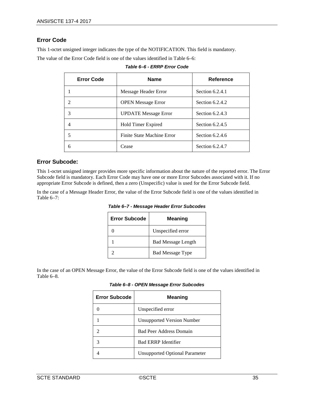# **Error Code**

This 1-octet unsigned integer indicates the type of the NOTIFICATION. This field is mandatory.

<span id="page-34-0"></span>The value of the Error Code field is one of the values identified i[n Table](#page-34-0) 6–6:

| <b>Error Code</b> | <b>Name</b>                 | Reference         |
|-------------------|-----------------------------|-------------------|
|                   | Message Header Error        | Section 6.2.4.1   |
|                   | <b>OPEN Message Error</b>   | Section $6.2.4.2$ |
|                   | <b>UPDATE</b> Message Error | Section $6.2.4.3$ |
|                   | Hold Timer Expired          | Section 6.2.4.5   |
|                   | Finite State Machine Error  | Section $6.2.4.6$ |
| 6                 | Cease                       | Section $6.2.4.7$ |

| Table 6–6 - ERRP Error Code |  |
|-----------------------------|--|
|-----------------------------|--|

# **Error Subcode:**

This 1-octet unsigned integer provides more specific information about the nature of the reported error. The Error Subcode field is mandatory. Each Error Code may have one or more Error Subcodes associated with it. If no appropriate Error Subcode is defined, then a zero (Unspecific) value is used for the Error Subcode field.

<span id="page-34-1"></span>In the case of a Message Header Error, the value of the Error Subcode field is one of the values identified in [Table](#page-34-1) 6–7:

| <b>Error Subcode</b> | Meaning                   |
|----------------------|---------------------------|
|                      | Unspecified error         |
|                      | <b>Bad Message Length</b> |
|                      | <b>Bad Message Type</b>   |

*Table 6–7 - Message Header Error Subcodes*

<span id="page-34-2"></span>In the case of an OPEN Message Error, the value of the Error Subcode field is one of the values identified in [Table](#page-34-2) 6–8.

*Table 6–8 - OPEN Message Error Subcodes*

| <b>Error Subcode</b> | <b>Meaning</b>                        |
|----------------------|---------------------------------------|
|                      | Unspecified error                     |
|                      | Unsupported Version Number            |
|                      | <b>Bad Peer Address Domain</b>        |
|                      | <b>Bad ERRP Identifier</b>            |
|                      | <b>Unsupported Optional Parameter</b> |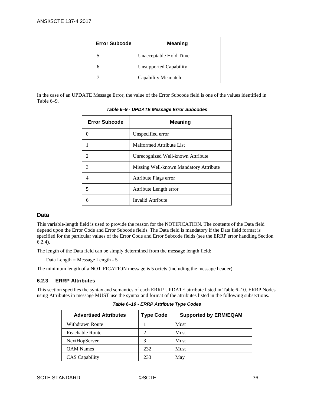| <b>Error Subcode</b> | <b>Meaning</b>                |
|----------------------|-------------------------------|
|                      | Unacceptable Hold Time        |
|                      | <b>Unsupported Capability</b> |
|                      | Capability Mismatch           |

<span id="page-35-0"></span>In the case of an UPDATE Message Error, the value of the Error Subcode field is one of the values identified in [Table](#page-35-0) 6–9.

| <b>Error Subcode</b> | <b>Meaning</b>                         |
|----------------------|----------------------------------------|
| $\theta$             | Unspecified error                      |
|                      | Malformed Attribute List               |
| $\mathfrak{D}$       | Unrecognized Well-known Attribute      |
| $\mathcal{R}$        | Missing Well-known Mandatory Attribute |
| 4                    | Attribute Flags error                  |
| 5                    | Attribute Length error                 |
| 6                    | Invalid Attribute                      |

#### *Table 6–9 - UPDATE Message Error Subcodes*

# **Data**

This variable-length field is used to provide the reason for the NOTIFICATION. The contents of the Data field depend upon the Error Code and Error Subcode fields. The Data field is mandatory if the Data field format is specified for the particular values of the Error Code and Error Subcode fields (see the ERRP error handling Section [6.2.4\)](#page-54-1).

The length of the Data field can be simply determined from the message length field:

Data Length = Message Length - 5

The minimum length of a NOTIFICATION message is 5 octets (including the message header).

# <span id="page-35-1"></span>**6.2.3 ERRP Attributes**

<span id="page-35-2"></span>This section specifies the syntax and semantics of each ERRP UPDATE attribute listed in [Table](#page-35-2) 6–10. ERRP Nodes using Attributes in message MUST use the syntax and format of the attributes listed in the following subsections.

| <b>Advertised Attributes</b> | <b>Type Code</b> | <b>Supported by ERM/EQAM</b> |
|------------------------------|------------------|------------------------------|
| Withdrawn Route              |                  | Must                         |
| Reachable Route              |                  | Must                         |
| NextHopServer                | 3                | Must                         |
| <b>OAM</b> Names             | 232              | <b>Must</b>                  |
| <b>CAS</b> Capability        | 233              | May                          |

*Table 6–10 - ERRP Attribute Type Codes*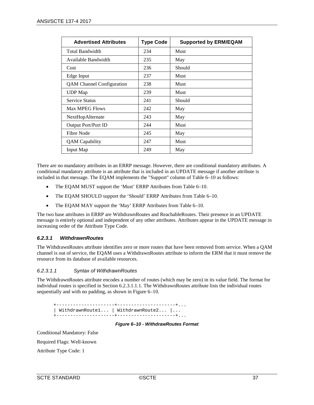| <b>Advertised Attributes</b>     | <b>Type Code</b> | <b>Supported by ERM/EQAM</b> |
|----------------------------------|------------------|------------------------------|
| <b>Total Bandwidth</b>           | 234              | Must                         |
| Available Bandwidth              | 235              | May                          |
| Cost                             | 236              | Should                       |
| Edge Input                       | 237              | Must                         |
| <b>QAM</b> Channel Configuration | 238              | Must                         |
| <b>UDP</b> Map                   | 239              | <b>Must</b>                  |
| <b>Service Status</b>            | 241              | Should                       |
| Max MPEG Flows                   | 242              | May                          |
| <b>NextHopAlternate</b>          | 243              | May                          |
| <b>Output Port/Port ID</b>       | 244              | Must                         |
| Fibre Node                       | 245              | May                          |
| <b>QAM</b> Capability            | 247              | Must                         |
| Input Map                        | 249              | May                          |

There are no mandatory attributes in an ERRP message. However, there are conditional mandatory attributes. A conditional mandatory attribute is an attribute that is included in an UPDATE message if another attribute is included in that message. The EQAM implements the "Support" column of [Table](#page-35-0) 6–10 as follows:

- The EQAM MUST support the 'Must' ERRP Attributes from [Table](#page-35-0) 6–10.
- The EQAM SHOULD support the 'Should' ERRP Attributes fro[m Table](#page-35-0) 6–10.
- The EQAM MAY support the 'May' ERRP Attributes fro[m Table](#page-35-0) 6–10.

The two base attributes in ERRP are WithdrawnRoutes and ReachableRoutes. Their presence in an UPDATE message is entirely optional and independent of any other attributes. Attributes appear in the UPDATE message in increasing order of the Attribute Type Code.

### *6.2.3.1 WithdrawnRoutes*

The WithdrawnRoutes attribute identifies zero or more routes that have been removed from service. When a QAM channel is out of service, the EQAM uses a WithdrawnRoutes attribute to inform the ERM that it must remove the resource from its database of available resources.

#### *6.2.3.1.1 Syntax of WithdrawnRoutes*

The WithdrawnRoutes attribute encodes a number of routes (which may be zero) in its value field. The format for individual routes is specified in Section [6.2.3.1.1.1.](#page-37-0) The WithdrawnRoutes attribute lists the individual routes sequentially and with no padding, as shown in [Figure 6–10.](#page-36-0)

 +---------------------+---------------------+... | WithdrawnRoute1... | WithdrawnRoute2... |... +---------------------+---------------------+...

*Figure 6–10 - WithdrawRoutes Format*

<span id="page-36-0"></span>Conditional Mandatory: False

Required Flags: Well-known

Attribute Type Code: 1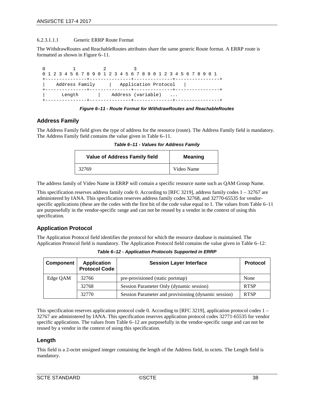#### <span id="page-37-0"></span>6.2.3.1.1.1 Generic ERRP Route Format

The WithdrawRoutes and ReachableRoutes attributes share the same generic Route format. A ERRP route is formatted as shown in [Figure 6–11.](#page-37-1)

|                | 0 1 2 3 4 5 6 7 8 9 0 1 2 3 4 5 6 7 8 9 0 1 2 3 4 5 6 7 8 9 0 1 |  |  |  |
|----------------|-----------------------------------------------------------------|--|--|--|
|                |                                                                 |  |  |  |
| Address Family | Application Protocol                                            |  |  |  |
| Length         | Address (variable)                                              |  |  |  |

*Figure 6–11 - Route Format for WithdrawRoutes and ReachableRoutes*

### <span id="page-37-1"></span>**Address Family**

<span id="page-37-2"></span>The Address Family field gives the type of address for the resource (route). The Address Family field is mandatory. The Address Family field contains the value given i[n Table](#page-37-2) 6–11.

| <b>Value of Address Family field</b> | Meaning    |
|--------------------------------------|------------|
| 32769                                | Video Name |

*Table 6–11 - Values for Address Family*

The address family of Video Name in ERRP will contain a specific resource name such as QAM Group Name.

This specification reserves address family code 0. According to [RFC [3219\],](#page-13-0) address family codes 1 – 32767 are administered by IANA. This specification reserves address family codes 32768, and 32770-65535 for vendorspecific applications (these are the codes with the first bit of the code value equal to 1. The values fro[m Table](#page-37-2) 6–11 are purposefully in the vendor-specific range and can not be reused by a vendor in the context of using this specification.

# **Application Protocol**

The Application Protocol field identifies the protocol for which the resource database is maintained. The Application Protocol field is mandatory. The Application Protocol field contains the value given i[n Table](#page-37-3) 6–12:

<span id="page-37-3"></span>

| Component | <b>Application</b><br><b>Protocol Code</b> | <b>Session Layer Interface</b>                       | <b>Protocol</b> |
|-----------|--------------------------------------------|------------------------------------------------------|-----------------|
| Edge QAM  | 32766                                      | pre-provisioned (static portmap)                     | None            |
|           | 32768                                      | Session Parameter Only (dynamic session)             | <b>RTSP</b>     |
|           | 32770                                      | Session Parameter and provisioning (dynamic session) | <b>RTSP</b>     |

*Table 6–12 - Application Protocols Supported in ERRP*

This specification reserves application protocol code 0. According to [RFC [3219\],](#page-13-0) application protocol codes 1 – 32767 are administered by IANA. This specification reserves application protocol codes 32771-65535 for vendor specific applications. The values from [Table](#page-37-3) 6–12 are purposefully in the vendor-specific range and can not be reused by a vendor in the context of using this specification.

### **Length**

This field is a 2-octet unsigned integer containing the length of the Address field, in octets. The Length field is mandatory.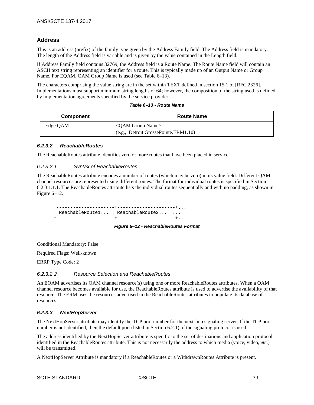### **Address**

This is an address (prefix) of the family type given by the Address Family field. The Address field is mandatory. The length of the Address field is variable and is given by the value contained in the Length field.

If Address Family field contains 32769, the Address field is a Route Name. The Route Name field will contain an ASCII text string representing an identifier for a route. This is typically made up of an Output Name or Group Name. For EQAM, QAM Group Name is used (se[e Table](#page-38-0) 6–13).

The characters comprising the value string are in the set within TEXT defined in section 15.1 of [RFC [2326\].](#page-13-1) Implementations must support minimum string lengths of 64; however, the composition of the string used is defined by implementation agreements specified by the service provider.

|  | Table 6–13 - Route Name |  |  |
|--|-------------------------|--|--|
|--|-------------------------|--|--|

<span id="page-38-0"></span>

| <b>Component</b> | <b>Route Name</b>                    |  |
|------------------|--------------------------------------|--|
| Edge QAM         | $\leq$ OAM Group Name $>$            |  |
|                  | (e.g., Detroit.GrossePointe.ERM1.10) |  |

#### *6.2.3.2 ReachableRoutes*

The ReachableRoutes attribute identifies zero or more routes that have been placed in service.

#### *6.2.3.2.1 Syntax of ReachableRoutes*

The ReachableRoutes attribute encodes a number of routes (which may be zero) in its value field. Different QAM channel resources are represented using different routes. The format for individual routes is specified in Section [6.2.3.1.1.1.](#page-37-0) The ReachableRoutes attribute lists the individual routes sequentially and with no padding, as shown in [Figure 6–12.](#page-38-1)

 +---------------------+---------------------+... | ReachableRoute1... | ReachableRoute2... |... +---------------------+---------------------+...

*Figure 6–12 - ReachableRoutes Format*

<span id="page-38-1"></span>Conditional Mandatory: False

Required Flags: Well-known

ERRP Type Code: 2

#### *6.2.3.2.2 Resource Selection and ReachableRoutes*

An EQAM advertises its QAM channel resource(s) using one or more ReachableRoutes attributes. When a QAM channel resource becomes available for use, the ReachableRoutes attribute is used to advertise the availability of that resource. The ERM uses the resources advertised in the ReachableRoutes attributes to populate its database of resources.

#### *6.2.3.3 NextHopServer*

The NextHopServer attribute may identify the TCP port number for the next-hop signaling server. If the TCP port number is not identified, then the default port (listed in Section [6.2.1\)](#page-25-0) of the signaling protocol is used.

The address identified by the NextHopServer attribute is specific to the set of destinations and application protocol identified in the ReachableRoutes attribute. This is not necessarily the address to which media (voice, video, *etc*.) will be transmitted.

A NextHopServer Attribute is mandatory if a ReachableRoutes or a WithdrawnRoutes Attribute is present.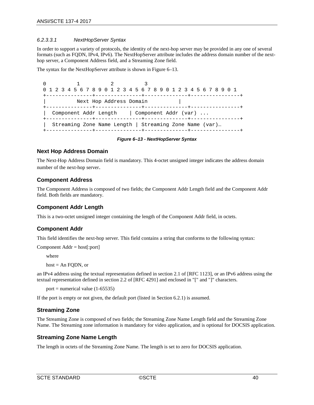#### *6.2.3.3.1 NextHopServer Syntax*

In order to support a variety of protocols, the identity of the next-hop server may be provided in any one of several formats (such as FQDN, IPv4, IPv6). The NextHopServer attribute includes the address domain number of the nexthop server, a Component Address field, and a Streaming Zone field.

The syntax for the NextHopServer attribute is shown i[n Figure](#page-39-0) 6–13.

 0 1 2 3 0 1 2 3 4 5 6 7 8 9 0 1 2 3 4 5 6 7 8 9 0 1 2 3 4 5 6 7 8 9 0 1 +---------------+---------------+--------------+----------------+ Next Hop Address Domain +---------------+---------------+--------------+----------------+ | Component Addr Length | Component Addr (var) ... +---------------+---------------+--------------+----------------+ | Streaming Zone Name Length | Streaming Zone Name (var)… +---------------+---------------+--------------+----------------+

*Figure 6–13 - NextHopServer Syntax*

### <span id="page-39-0"></span>**Next Hop Address Domain**

The Next-Hop Address Domain field is mandatory. This 4-octet unsigned integer indicates the address domain number of the next-hop server.

### **Component Address**

The Component Address is composed of two fields; the Component Addr Length field and the Component Addr field. Both fields are mandatory.

### **Component Addr Length**

This is a two-octet unsigned integer containing the length of the Component Addr field, in octets.

### **Component Addr**

This field identifies the next-hop server. This field contains a string that conforms to the following syntax:

```
Component Addr = host[:port]
```
where

```
host = An FODN, or
```
an IPv4 address using the textual representation defined in section 2.1 of [RFC [1123\],](#page-13-2) or an IPv6 address using the textual representation defined in section 2.2 of [\[RFC](#page-13-3) 4291] and enclosed in "[" and "]" characters.

port = numerical value  $(1-65535)$ 

If the port is empty or not given, the default port (listed in Section [6.2.1\)](#page-25-0) is assumed.

### **Streaming Zone**

The Streaming Zone is composed of two fields; the Streaming Zone Name Length field and the Streaming Zone Name. The Streaming zone information is mandatory for video application, and is optional for DOCSIS application.

### **Streaming Zone Name Length**

The length in octets of the Streaming Zone Name. The length is set to zero for DOCSIS application.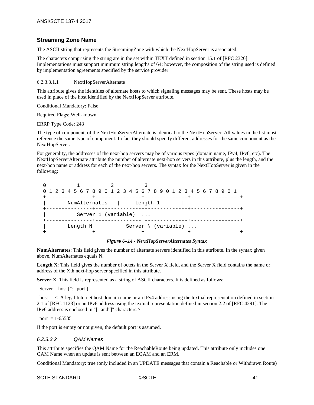### **Streaming Zone Name**

The ASCII string that represents the StreamingZone with which the NextHopServer is associated.

The characters comprising the string are in the set within TEXT defined in section 15.1 of [RFC [2326\].](#page-13-1) Implementations must support minimum string lengths of 64; however, the composition of the string used is defined by implementation agreements specified by the service provider.

#### 6.2.3.3.1.1 NextHopServerAlternate

This attribute gives the identities of alternate hosts to which signaling messages may be sent. These hosts may be used in place of the host identified by the NextHopServer attribute.

Conditional Mandatory: False

Required Flags: Well-known

ERRP Type Code: 243

The type of component, of the NextHopServerAlternate is identical to the NextHopServer. All values in the list must reference the same type of component. In fact they should specify different addresses for the same component as the NextHopServer.

For generality, the addresses of the next-hop servers may be of various types (domain name, IPv4, IPv6, etc). The NextHopServerAlternate attribute the number of alternate next-hop servers in this attribute, plus the length, and the next-hop name or address for each of the next-hop servers. The syntax for the NextHopServer is given in the following:

| 0 1 2 3 4 5 6 7 8 9 0 1 2 3 4 5 6 7 8 9 0 1 2 3 4 5 6 7 8 9 0 1 |                     |                     |  |  |
|-----------------------------------------------------------------|---------------------|---------------------|--|--|
| -------------+----                                              |                     | --------+------     |  |  |
| NumAlternates                                                   |                     | Length 1            |  |  |
|                                                                 |                     |                     |  |  |
|                                                                 | Server 1 (variable) |                     |  |  |
|                                                                 |                     |                     |  |  |
| Length N                                                        |                     | Server N (variable) |  |  |
|                                                                 |                     |                     |  |  |

#### *Figure 6–14 - NextHopServerAlternates Syntax*

**NumAlternates**: This field gives the number of alternate servers identified in this attribute. In the syntax given above, NumAlternates equals N.

Length X: This field gives the number of octets in the Server X field, and the Server X field contains the name or address of the Xth next-hop server specified in this attribute.

**Server X**: This field is represented as a string of ASCII characters. It is defined as follows:

Server = host  $['':'$  port ]

host  $\epsilon$  < A legal Internet host domain name or an IPv4 address using the textual representation defined in section 2.1 of [\[RFC](#page-13-2) 1123] or an IPv6 address using the textual representation defined in section 2.2 of [RFC [4291\].](#page-13-3) The IPv6 address is enclosed in "[" and"]" characters.>

port =  $1-65535$ 

If the port is empty or not given, the default port is assumed.

#### *6.2.3.3.2 QAM Names*

This attribute specifies the QAM Name for the ReachableRoute being updated. This attribute only includes one QAM Name when an update is sent between an EQAM and an ERM.

Conditional Mandatory: true (only included in an UPDATE messages that contain a Reachable or Withdrawn Route)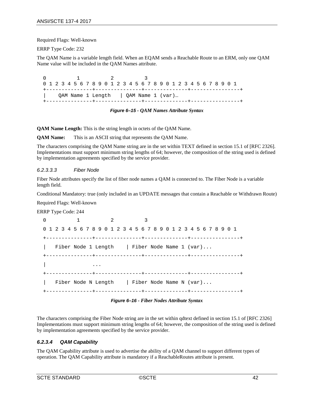Required Flags: Well-known

ERRP Type Code: 232

The QAM Name is a variable length field. When an EQAM sends a Reachable Route to an ERM, only one QAM Name value will be included in the QAM Names attribute.

 0 1 2 3 0 1 2 3 4 5 6 7 8 9 0 1 2 3 4 5 6 7 8 9 0 1 2 3 4 5 6 7 8 9 0 1 +---------------+---------------+--------------+----------------+ | QAM Name 1 Length | QAM Name 1 (var)… +---------------+---------------+--------------+----------------+

*Figure 6–15 - QAM Names Attribute Syntax*

**QAM Name Length:** This is the string length in octets of the QAM Name.

**QAM Name:** This is an ASCII string that represents the QAM Name.

The characters comprising the QAM Name string are in the set within TEXT defined in section 15.1 of [RFC [2326\].](#page-13-1) Implementations must support minimum string lengths of 64; however, the composition of the string used is defined by implementation agreements specified by the service provider.

#### *6.2.3.3.3 Fiber Node*

Fiber Node attributes specify the list of fiber node names a QAM is connected to. The Fiber Node is a variable length field.

Conditional Mandatory: true (only included in an UPDATE messages that contain a Reachable or Withdrawn Route)

Required Flags: Well-known

ERRP Type Code: 244

 0 1 2 3 0 1 2 3 4 5 6 7 8 9 0 1 2 3 4 5 6 7 8 9 0 1 2 3 4 5 6 7 8 9 0 1 +---------------+---------------+--------------+----------------+ Fiber Node 1 Length | Fiber Node Name 1 (var)... +---------------+---------------+--------------+----------------+ | ... +---------------+---------------+--------------+----------------+ Fiber Node N Length  $\parallel$  Fiber Node Name N (var)... +---------------+---------------+--------------+----------------+

*Figure 6–16 - Fiber Nodes Attribute Syntax*

The characters comprising the Fiber Node string are in the set within qdtext defined in section 15.1 o[f \[RFC](#page-13-1) 2326] Implementations must support minimum string lengths of 64; however, the composition of the string used is defined by implementation agreements specified by the service provider.

#### *6.2.3.4 QAM Capability*

The QAM Capability attribute is used to advertise the ability of a QAM channel to support different types of operation. The QAM Capability attribute is mandatory if a ReachableRoutes attribute is present.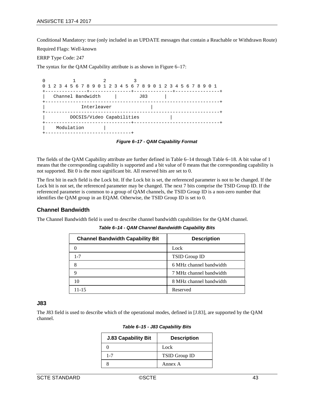Conditional Mandatory: true (only included in an UPDATE messages that contain a Reachable or Withdrawn Route)

Required Flags: Well-known

ERRP Type Code: 247

The syntax for the QAM Capability attribute is as shown in [Figure 6–17:](#page-42-0)

| 0 1 2 3 4 5 6 7 8 9 0 1 2 3 4 5 6 7 8 9 0 1 2 3 4 5 6 7 8 9 0 1 |     |
|-----------------------------------------------------------------|-----|
| Channel Bandwidth                                               | J83 |
| Interleaver                                                     |     |
| DOCSIS/Video Capabilities<br>------------------+------          |     |
| Modulation                                                      |     |

*Figure 6–17 - QAM Capability Format*

<span id="page-42-0"></span>The fields of the QAM Capability attribute are further defined in [Table](#page-42-1) 6–14 through [Table](#page-44-0) 6–18. A bit value of 1 means that the corresponding capability is supported and a bit value of 0 means that the corresponding capability is not supported. Bit 0 is the most significant bit. All reserved bits are set to 0.

The first bit in each field is the Lock bit. If the Lock bit is set, the referenced parameter is not to be changed. If the Lock bit is not set, the referenced parameter may be changed. The next 7 bits comprise the TSID Group ID. If the referenced parameter is common to a group of QAM channels, the TSID Group ID is a non-zero number that identifies the QAM group in an EQAM. Otherwise, the TSID Group ID is set to 0.

### **Channel Bandwidth**

<span id="page-42-1"></span>The Channel Bandwidth field is used to describe channel bandwidth capabilities for the QAM channel.

*Table 6–14 - QAM Channel Bandwidth Capability Bits*

| <b>Channel Bandwidth Capability Bit</b> | <b>Description</b>      |
|-----------------------------------------|-------------------------|
|                                         | Lock                    |
| $1 - 7$                                 | TSID Group ID           |
|                                         | 6 MHz channel bandwidth |
|                                         | 7 MHz channel bandwidth |
| 10                                      | 8 MHz channel bandwidth |
| 11-15                                   | Reserved                |

#### **J83**

The J83 field is used to describe which of the operational modes, defined in [\[J.83\],](#page-13-4) are supported by the QAM channel.

| <b>J.83 Capability Bit</b> | <b>Description</b> |
|----------------------------|--------------------|
|                            | Lock               |
| 1.7                        | TSID Group ID      |
|                            | Annex A            |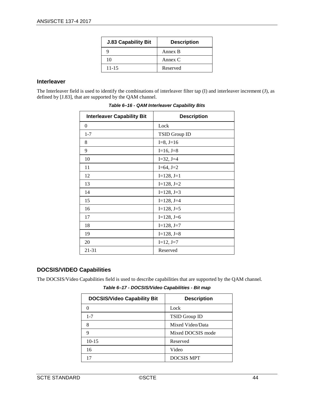| <b>J.83 Capability Bit</b> | <b>Description</b> |
|----------------------------|--------------------|
|                            | Annex B            |
| 10                         | Annex C            |
| 11-15                      | Reserved           |

# **Interleaver**

<span id="page-43-0"></span>The Interleaver field is used to identify the combinations of interleaver filter tap (I) and interleaver increment (J), as defined by [\[J.83\],](#page-13-4) that are supported by the QAM channel.

| <b>Interleaver Capability Bit</b> | <b>Description</b> |
|-----------------------------------|--------------------|
| $\theta$                          | Lock               |
| $1 - 7$                           | TSID Group ID      |
| 8                                 | $I=8, J=16$        |
| 9                                 | $I=16, J=8$        |
| 10                                | $I=32, J=4$        |
| 11                                | $I=64, J=2$        |
| 12                                | $I=128, J=1$       |
| 13                                | $I=128, J=2$       |
| 14                                | $I=128, J=3$       |
| 15                                | $I=128$ , $J=4$    |
| 16                                | $I=128, J=5$       |
| 17                                | $I=128, J=6$       |
| 18                                | $I=128, J=7$       |
| 19                                | $I=128, J=8$       |
| 20                                | $I=12, J=7$        |
| 21-31                             | Reserved           |

*Table 6–16 - QAM Interleaver Capability Bits*

# **DOCSIS/VIDEO Capabilities**

The DOCSIS/Video Capabilities field is used to describe capabilities that are supported by the QAM channel.

*Table 6–17 - DOCSIS/Video Capabilities - Bit map*

| <b>DOCSIS/Video Capability Bit</b> | <b>Description</b> |
|------------------------------------|--------------------|
|                                    | Lock               |
| $1 - 7$                            | TSID Group ID      |
| 8                                  | Mixed Video/Data   |
| 9                                  | Mixed DOCSIS mode  |
| $10-15$                            | Reserved           |
| 16                                 | Video              |
| 17                                 | <b>DOCSIS MPT</b>  |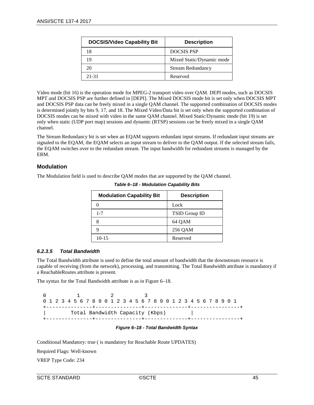| <b>DOCSIS/Video Capability Bit</b> | <b>Description</b>        |
|------------------------------------|---------------------------|
| 18                                 | <b>DOCSIS PSP</b>         |
| 19                                 | Mixed Static/Dynamic mode |
| 20                                 | <b>Stream Redundancy</b>  |
| 21-31                              | Reserved                  |

Video mode (bit 16) is the operation mode for MPEG-2 transport video over QAM. DEPI modes, such as DOCSIS MPT and DOCSIS PSP are further defined in [\[DEPI\].](#page-13-5) The Mixed DOCSIS mode bit is set only when DOCSIS MPT and DOCSIS PSP data can be freely mixed in a single QAM channel. The supported combination of DOCSIS modes is determined jointly by bits 9, 17, and 18. The Mixed Video/Data bit is set only when the supported combination of DOCSIS modes can be mixed with video in the same QAM channel. Mixed Static/Dynamic mode (bit 19) is set only when static (UDP port map) sessions and dynamic (RTSP) sessions can be freely mixed in a single QAM channel.

The Stream Redundancy bit is set when an EQAM supports redundant input streams. If redundant input streams are signaled to the EQAM, the EQAM selects an input stream to deliver to the QAM output. If the selected stream fails, the EQAM switches over to the redundant stream. The input bandwidth for redundant streams is managed by the ERM.

## **Modulation**

<span id="page-44-0"></span>The Modulation field is used to describe QAM modes that are supported by the QAM channel.

| <b>Modulation Capability Bit</b> | <b>Description</b> |
|----------------------------------|--------------------|
|                                  | Lock               |
| $1 - 7$                          | TSID Group ID      |
|                                  | 64 QAM             |
|                                  | 256 QAM            |
| $10-15$                          | Reserved           |

*Table 6–18 - Modulation Capability Bits*

### *6.2.3.5 Total Bandwidth*

The Total Bandwidth attribute is used to define the total amount of bandwidth that the downstream resource is capable of receiving (from the network), processing, and transmitting. The Total Bandwidth attribute is mandatory if a ReachableRoutes attribute is present.

The syntax for the Total Bandwidth attribute is as i[n Figure 6–18.](#page-44-1)

 0 1 2 3 0 1 2 3 4 5 6 7 8 9 0 1 2 3 4 5 6 7 8 9 0 1 2 3 4 5 6 7 8 9 0 1 +---------------+---------------+--------------+----------------+ | Total Bandwidth Capacity (Kbps) | +---------------+---------------+--------------+----------------+

#### *Figure 6–18 - Total Bandwidth Syntax*

<span id="page-44-1"></span>Conditional Mandatory: true ( is mandatory for Reachable Route UPDATES)

Required Flags: Well-known

VREP Type Code: 234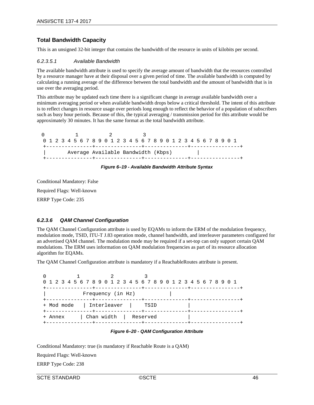# **Total Bandwidth Capacity**

This is an unsigned 32-bit integer that contains the bandwidth of the resource in units of kilobits per second.

#### *6.2.3.5.1 Available Bandwidth*

The available bandwidth attribute is used to specify the average amount of bandwidth that the resources controlled by a resource manager have at their disposal over a given period of time. The available bandwidth is computed by calculating a running average of the difference between the total bandwidth and the amount of bandwidth that is in use over the averaging period.

This attribute may be updated each time there is a significant change in average available bandwidth over a minimum averaging period or when available bandwidth drops below a critical threshold. The intent of this attribute is to reflect changes in resource usage over periods long enough to reflect the behavior of a population of subscribers such as busy hour periods. Because of this, the typical averaging / transmission period for this attribute would be approximately 30 minutes. It has the same format as the total bandwidth attribute.

0 1 2 3 0 1 2 3 4 5 6 7 8 9 0 1 2 3 4 5 6 7 8 9 0 1 2 3 4 5 6 7 8 9 0 1 +---------------+---------------+--------------+----------------+ Average Available Bandwidth (Kbps) +---------------+---------------+--------------+----------------+

#### *Figure 6–19 - Available Bandwidth Attribute Syntax*

Conditional Mandatory: False

Required Flags: Well-known

ERRP Type Code: 235

#### *6.2.3.6 QAM Channel Configuration*

The QAM Channel Configuration attribute is used by EQAMs to inform the ERM of the modulation frequency, modulation mode, TSID, ITU-T J.83 operation mode, channel bandwidth, and interleaver parameters configured for an advertised QAM channel. The modulation mode may be required if a set-top can only support certain QAM modulations. The ERM uses information on QAM modulation frequencies as part of its resource allocation algorithm for EQAMs.

The QAM Channel Configuration attribute is mandatory if a ReachableRoutes attribute is present.

 0 1 2 3 0 1 2 3 4 5 6 7 8 9 0 1 2 3 4 5 6 7 8 9 0 1 2 3 4 5 6 7 8 9 0 1 +---------------+---------------+--------------+----------------+ Frequency (in Hz) +---------------+---------------+--------------+----------------+ + Mod mode | Interleaver | TSID | +---------------+---------------+--------------+----------------+ + Annex | Chan width | Reserved | +---------------+---------------+--------------+----------------+

*Figure 6–20 - QAM Configuration Attribute*

Conditional Mandatory: true (is mandatory if Reachable Route is a QAM)

Required Flags: Well-known

ERRP Type Code: 238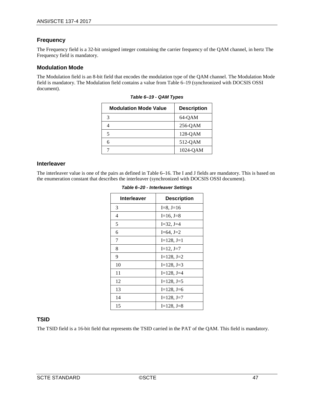# **Frequency**

The Frequency field is a 32-bit unsigned integer containing the carrier frequency of the QAM channel, in hertz The Frequency field is mandatory.

### **Modulation Mode**

<span id="page-46-0"></span>The Modulation field is an 8-bit field that encodes the modulation type of the QAM channel. The Modulation Mode field is mandatory. The Modulation field contains a value fro[m Table](#page-46-0) 6–19 (synchronized with DOCSIS OSSI document).

| <b>Modulation Mode Value</b> | <b>Description</b> |
|------------------------------|--------------------|
| 3                            | 64-QAM             |
|                              | $256$ -QAM         |
| 5                            | 128-OAM            |
| 6                            | 512-QAM            |
|                              | 1024-OAM           |

|  |  |  | Table 6-19 - QAM Types |
|--|--|--|------------------------|
|--|--|--|------------------------|

#### **Interleaver**

The interleaver value is one of the pairs as defined i[n Table](#page-43-0) 6–16. The I and J fields are mandatory. This is based on the enumeration constant that describes the interleaver (synchronized with DOCSIS OSSI document).

| Interleaver | <b>Description</b> |
|-------------|--------------------|
| 3           | $I=8, J=16$        |
| 4           | $I=16, J=8$        |
| 5           | $I=32, J=4$        |
| 6           | $I=64, J=2$        |
| 7           | $I=128, J=1$       |
| 8           | $I=12, J=7$        |
| 9           | $I=128, J=2$       |
| 10          | $I=128$ , $J=3$    |
| 11          | $I=128$ , $J=4$    |
| 12          | $I=128$ , $J=5$    |
| 13          | $I=128$ , $J=6$    |
| 14          | $I=128, J=7$       |
| 15          | $I=128$ , $J=8$    |

# **TSID**

The TSID field is a 16-bit field that represents the TSID carried in the PAT of the QAM. This field is mandatory.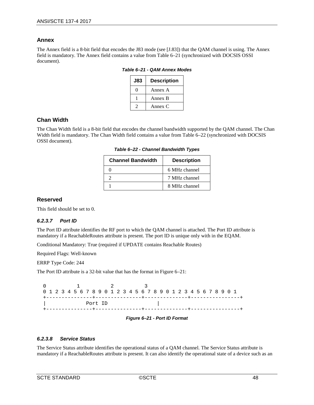### **Annex**

<span id="page-47-0"></span>The Annex field is a 8-bit field that encodes the J83 mode (see [\[J.83\]\)](#page-13-4) that the QAM channel is using. The Annex field is mandatory. The Annex field contains a value fro[m Table](#page-47-0) 6–21 (synchronized with DOCSIS OSSI document).

*Table 6–21 - QAM Annex Modes*

| <b>J83</b> | <b>Description</b> |
|------------|--------------------|
|            | Annex A            |
|            | Annex B            |
|            | Annex C            |

## **Chan Width**

<span id="page-47-1"></span>The Chan Width field is a 8-bit field that encodes the channel bandwidth supported by the QAM channel. The Chan Width field is mandatory. The Chan Width field contains a value from [Table](#page-47-1) 6–22 (synchronized with DOCSIS OSSI document).

| <b>Channel Bandwidth</b> | <b>Description</b> |
|--------------------------|--------------------|
|                          | 6 MHz channel      |
|                          | 7 MHz channel      |
|                          | 8 MHz channel      |

*Table 6–22 - Channel Bandwidth Types*

### **Reserved**

This field should be set to 0.

### *6.2.3.7 Port ID*

The Port ID attribute identifies the RF port to which the QAM channel is attached. The Port ID attribute is mandatory if a ReachableRoutes attribute is present. The port ID is unique only with in the EQAM.

Conditional Mandatory: True (required if UPDATE contains Reachable Routes)

Required Flags: Well-known

ERRP Type Code: 244

The Port ID attribute is a 32-bit value that has the format in [Figure 6–21:](#page-47-2)

|  |         | 0 1 2 3 4 5 6 7 8 9 0 1 2 3 4 5 6 7 8 9 0 1 2 3 4 5 6 7 8 9 0 1 |
|--|---------|-----------------------------------------------------------------|
|  |         |                                                                 |
|  | Port ID |                                                                 |
|  |         |                                                                 |

#### *Figure 6–21 - Port ID Format*

### <span id="page-47-2"></span>*6.2.3.8 Service Status*

The Service Status attribute identifies the operational status of a QAM channel. The Service Status attribute is mandatory if a ReachableRoutes attribute is present. It can also identify the operational state of a device such as an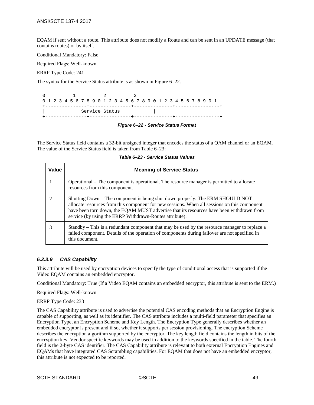EQAM if sent without a route. This attribute does not modify a Route and can be sent in an UPDATE message (that contains routes) or by itself.

Conditional Mandatory: False

Required Flags: Well-known

ERRP Type Code: 241

The syntax for the Service Status attribute is as shown i[n Figure 6–22.](#page-48-0)

 0 1 2 3 0 1 2 3 4 5 6 7 8 9 0 1 2 3 4 5 6 7 8 9 0 1 2 3 4 5 6 7 8 9 0 1 +---------------+---------------+--------------+----------------+ Service Status +---------------+---------------+--------------+----------------+

#### *Figure 6–22 - Service Status Format*

<span id="page-48-0"></span>The Service Status field contains a 32-bit unsigned integer that encodes the status of a QAM channel or an EQAM. The value of the Service Status field is taken from [Table](#page-48-1) 6–23:

| Table 6-23 - Service Status Values |  |
|------------------------------------|--|
|------------------------------------|--|

<span id="page-48-1"></span>

| Value | <b>Meaning of Service Status</b>                                                                                                                                                                                                                                                                                                     |
|-------|--------------------------------------------------------------------------------------------------------------------------------------------------------------------------------------------------------------------------------------------------------------------------------------------------------------------------------------|
|       | Operational – The component is operational. The resource manager is permitted to allocate<br>resources from this component.                                                                                                                                                                                                          |
|       | Shutting Down – The component is being shut down properly. The ERM SHOULD NOT<br>allocate resources from this component for new sessions. When all sessions on this component<br>have been torn down, the EQAM MUST advertise that its resources have been withdrawn from<br>service (by using the ERRP Withdrawn-Routes attribute). |
|       | Standby – This is a redundant component that may be used by the resource manager to replace a<br>failed component. Details of the operation of components during failover are not specified in<br>this document.                                                                                                                     |

#### *6.2.3.9 CAS Capability*

This attribute will be used by encryption devices to specify the type of conditional access that is supported if the Video EQAM contains an embedded encryptor.

Conditional Mandatory: True (If a Video EQAM contains an embedded encryptor, this attribute is sent to the ERM.)

Required Flags: Well-known

ERRP Type Code: 233

The CAS Capability attribute is used to advertise the potential CAS encoding methods that an Encryption Engine is capable of supporting, as well as its identifier. The CAS attribute includes a multi-field parameter that specifies an Encryption Type, an Encryption Scheme and Key Length. The Encryption Type generally describes whether an embedded encryptor is present and if so, whether it supports per session provisioning. The encryption Scheme describes the encryption algorithm supported by the encryptor. The key length field contains the length in bits of the encryption key. Vendor specific keywords may be used in addition to the keywords specified in the table. The fourth field is the 2-byte CAS identifier. The CAS Capability attribute is relevant to both external Encryption Engines and EQAMs that have integrated CAS Scrambling capabilities. For EQAM that does not have an embedded encryptor, this attribute is not expected to be reported.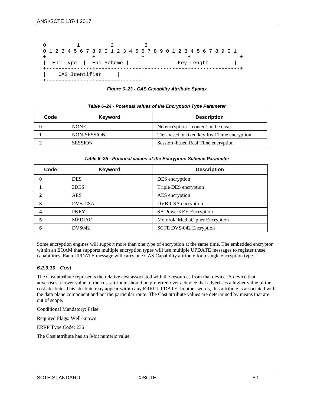| 0 1 2 3 4 5 6 7 8 9 0 1 2 3 4 5 6 7 8 9 0 1 2 3 4 5 6 7 8 9 0 1 |                |  |            |  |  |  |  |  |  |  |  |  |  |            |  |  |  |  |
|-----------------------------------------------------------------|----------------|--|------------|--|--|--|--|--|--|--|--|--|--|------------|--|--|--|--|
|                                                                 |                |  |            |  |  |  |  |  |  |  |  |  |  |            |  |  |  |  |
|                                                                 | Enc Type       |  | Enc Scheme |  |  |  |  |  |  |  |  |  |  | Key Length |  |  |  |  |
|                                                                 | CAS Identifier |  |            |  |  |  |  |  |  |  |  |  |  |            |  |  |  |  |

*Figure 6–23 - CAS Capability Attribute Syntax*

| Code | Keyword        | <b>Description</b>                           |
|------|----------------|----------------------------------------------|
|      | <b>NONE</b>    | No encryption $-$ content in the clear       |
|      | NON-SESSION    | Tier-based or fixed key Real Time encryption |
|      | <b>SESSION</b> | Session -based Real Time encryption          |

#### *Table 6–24 - Potential values of the Encryption Type Parameter*

#### *Table 6–25 - Potential values of the Encryption Scheme Parameter*

| Code | <b>Keyword</b> | <b>Description</b>              |
|------|----------------|---------------------------------|
|      | <b>DES</b>     | DES encryption                  |
|      | 3DES           | Triple DES encryption           |
|      | <b>AES</b>     | AES encryption                  |
|      | DVB-CSA        | DVB-CSA encryption              |
|      | <b>PKEY</b>    | <b>SA PowerKEY Encryption</b>   |
|      | <b>MEDIAC</b>  | Motorola MediaCipher Encryption |
|      | <b>DVS042</b>  | SCTE DVS-042 Encryption         |

Some encryption engines will support more than one type of encryption at the same time. The embedded encryptor within an EQAM that supports multiple encryption types will use multiple UPDATE messages to register these capabilities. Each UPDATE message will carry one CAS Capability attribute for a single encryption type.

### *6.2.3.10 Cost*

The Cost attribute represents the relative cost associated with the resources from that device. A device that advertises a lower value of the cost attribute should be preferred over a device that advertises a higher value of the cost attribute. This attribute may appear within any ERRP UPDATE. In other words, this attribute is associated with the data plane component and not the particular route. The Cost attribute values are determined by means that are out of scope.

Conditional Mandatory: False

Required Flags: Well-known

ERRP Type Code: 236

The Cost attribute has an 8-bit numeric value.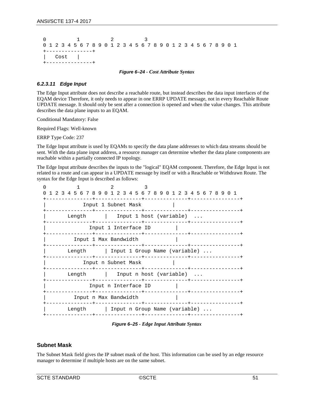```
 0 1 2 3
0 1 2 3 4 5 6 7 8 9 0 1 2 3 4 5 6 7 8 9 0 1 2 3 4 5 6 7 8 9 0 1
     +---------------+
   Cost |
 +---------------+
```
*Figure 6–24 - Cost Attribute Syntax*

#### *6.2.3.11 Edge Input*

The Edge Input attribute does not describe a reachable route, but instead describes the data input interfaces of the EQAM device Therefore, it only needs to appear in one ERRP UPDATE message, not in every Reachable Route UPDATE message. It should only be sent after a connection is opened and when the value changes. This attribute describes the data plane inputs to an EQAM.

Conditional Mandatory: False

Required Flags: Well-known

ERRP Type Code: 237

The Edge Input attribute is used by EQAMs to specify the data plane addresses to which data streams should be sent. With the data plane input address, a resource manager can determine whether the data plane components are reachable within a partially connected IP topology.

The Edge Input attribute describes the inputs to the "logical" EQAM component. Therefore, the Edge Input is not related to a route and can appear in a UPDATE message by itself or with a Reachable or Withdrawn Route. The syntax for the Edge Input is described as follows:

| 1 2 3 4 5 6 7 8 9 0 1 2 3 4 5 6 7 8 9 0 1 2 3 4 5 6 7 8 9 0 1 |
|---------------------------------------------------------------|
| Input 1 Subnet Mask                                           |
| Length $\qquad$ Input 1 host (variable)                       |
| Input 1 Interface ID                                          |
| Input 1 Max Bandwidth                                         |
| Length   Input 1 Group Name (variable)                        |
| Input n Subnet Mask                                           |
| Length   Input n host (variable)                              |
| Input n Interface ID                                          |
| Input n Max Bandwidth                                         |
| Length Input n Group Name (variable)                          |
| --------------                                                |

*Figure 6–25 - Edge Input Attribute Syntax*

### **Subnet Mask**

The Subnet Mask field gives the IP subnet mask of the host. This information can be used by an edge resource manager to determine if multiple hosts are on the same subnet.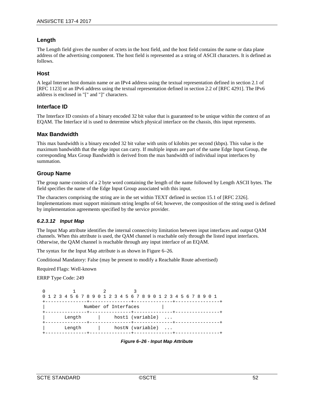## **Length**

The Length field gives the number of octets in the host field, and the host field contains the name or data plane address of the advertising component. The host field is represented as a string of ASCII characters. It is defined as follows.

#### **Host**

A legal Internet host domain name or an IPv4 address using the textual representation defined in section 2.1 of [RFC [1123\]](#page-13-2) or an IPv6 address using the textual representation defined in section 2.2 of [RFC [4291\].](#page-13-3) The IPv6 address is enclosed in "[" and "]" characters.

### **Interface ID**

The Interface ID consists of a binary encoded 32 bit value that is guaranteed to be unique within the context of an EQAM. The Interface id is used to determine which physical interface on the chassis, this input represents.

#### **Max Bandwidth**

This max bandwidth is a binary encoded 32 bit value with units of kilobits per second (kbps). This value is the maximum bandwidth that the edge input can carry. If multiple inputs are part of the same Edge Input Group, the corresponding Max Group Bandwidth is derived from the max bandwidth of individual input interfaces by summation.

### **Group Name**

The group name consists of a 2 byte word containing the length of the name followed by Length ASCII bytes. The field specifies the name of the Edge Input Group associated with this input.

The characters comprising the string are in the set within TEXT defined in section 15.1 of [RFC [2326\].](#page-13-1) Implementations must support minimum string lengths of 64; however, the composition of the string used is defined by implementation agreements specified by the service provider.

#### *6.2.3.12 Input Map*

The Input Map attribute identifies the internal connectivity limitation between input interfaces and output QAM channels. When this attribute is used, the QAM channel is reachable only through the listed input interfaces. Otherwise, the QAM channel is reachable through any input interface of an EQAM.

The syntax for the Input Map attribute is as shown in [Figure 6–26.](#page-51-0)

Conditional Mandatory: False (may be present to modify a Reachable Route advertised)

Required Flags: Well-known

ERRP Type Code: 249

<span id="page-51-0"></span> 0 1 2 3 0 1 2 3 4 5 6 7 8 9 0 1 2 3 4 5 6 7 8 9 0 1 2 3 4 5 6 7 8 9 0 1 +---------------+---------------+--------------+----------------+ | Number of Interfaces | +---------------+---------------+--------------+----------------+ | Length | host1 (variable) ... +---------------+---------------+--------------+----------------+ | hostN (variable) ... +---------------+---------------+--------------+----------------+

*Figure 6–26 - Input Map Attribute*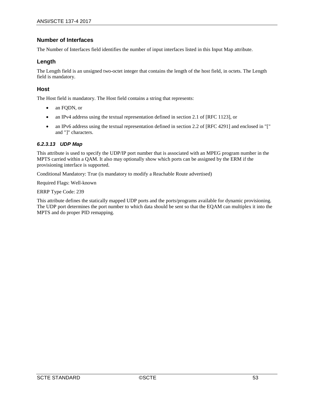## **Number of Interfaces**

The Number of Interfaces field identifies the number of input interfaces listed in this Input Map attribute.

### **Length**

The Length field is an unsigned two-octet integer that contains the length of the host field, in octets. The Length field is mandatory.

### **Host**

The Host field is mandatory. The Host field contains a string that represents:

- an FODN, or
- an IPv4 address using the textual representation defined in section 2.1 of [RFC [1123\],](#page-13-2) or
- an IPv6 address using the textual representation defined in section 2.2 of [\[RFC](#page-13-3) 4291] and enclosed in "[" and "]" characters.

#### *6.2.3.13 UDP Map*

This attribute is used to specify the UDP/IP port number that is associated with an MPEG program number in the MPTS carried within a QAM. It also may optionally show which ports can be assigned by the ERM if the provisioning interface is supported.

Conditional Mandatory: True (is mandatory to modify a Reachable Route advertised)

Required Flags: Well-known

ERRP Type Code: 239

This attribute defines the statically mapped UDP ports and the ports/programs available for dynamic provisioning. The UDP port determines the port number to which data should be sent so that the EQAM can multiplex it into the MPTS and do proper PID remapping.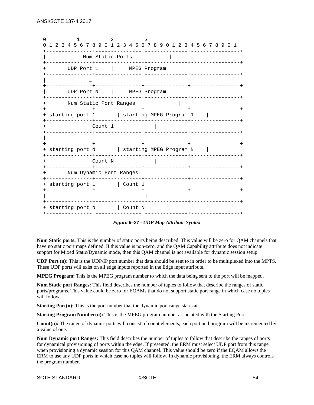| 0 1 2 3 4 5 6 7 8 9 0 1 2 3 4 5 6 7 8 9 0 1 2 3 4 5 6 7 8 9 0 1 |  |
|-----------------------------------------------------------------|--|
| Num Static Ports                                                |  |
| ---------------+<br>UDP Port 1   MPEG Program                   |  |
|                                                                 |  |
| UDP Port N   MPEG Program                                       |  |
| Num Static Port Ranges                                          |  |
| + starting port 1   starting MPEG Program 1                     |  |
| Count 1                                                         |  |
|                                                                 |  |
| + starting port N   starting MPEG Program N                     |  |
| Count N<br>$+$                                                  |  |
| Num Dynamic Port Ranges<br>$+$                                  |  |
| + starting port 1   Count 1                                     |  |
|                                                                 |  |
| + starting port N   Count N                                     |  |

*Figure 6–27 - UDP Map Attribute Syntax*

**Num Static ports:** This is the number of static ports being described. This value will be zero for QAM channels that have no static port maps defined. If this value is non-zero, and the QAM Capability attribute does not indicate support for Mixed Static/Dynamic mode, then this QAM channel is not available for dynamic session setup.

**UDP Port (n):** This is the UDP/IP port number that data should be sent to in order to be multiplexed into the MPTS. These UDP ports will exist on all edge inputs reported in the Edge input attribute.

**MPEG Program:** This is the MPEG program number to which the data being sent to the port will be mapped.

**Num Static port Ranges:** This field describes the number of tuples to follow that describe the ranges of static ports/programs. This value could be zero for EQAMs that do not support static port range in which case no tuples will follow.

**Starting Port(n):** This is the port number that the dynamic port range starts at.

**Starting Program Number(n):** This is the MPEG program number associated with the Starting Port.

**Count(n):** The range of dynamic ports will consist of count elements, each port and program will be incremented by a value of one.

**Num Dynamic port Ranges:** This field describes the number of tuples to follow that describe the ranges of ports for dynamical provisioning of ports within the edge. If presented, the ERM must select UDP port from this range when provisioning a dynamic session for this QAM channel. This value should be zero if the EQAM allows the ERM to use any UDP ports in which case no tuples will follow. In dynamic provisioning, the ERM always controls the program number.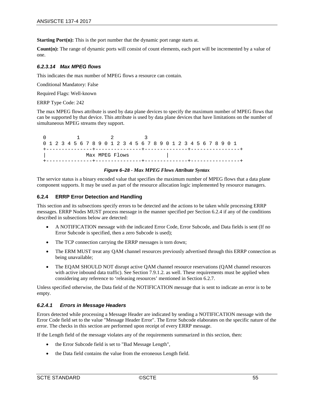**Starting Port(n):** This is the port number that the dynamic port range starts at.

**Count(n):** The range of dynamic ports will consist of count elements, each port will be incremented by a value of one.

#### *6.2.3.14 Max MPEG flows*

This indicates the max number of MPEG flows a resource can contain.

Conditional Mandatory: False

Required Flags: Well-known

ERRP Type Code: 242

The max MPEG flows attribute is used by data plane devices to specify the maximum number of MPEG flows that can be supported by that device. This attribute is used by data plane devices that have limitations on the number of simultaneous MPEG streams they support.

|  |                | 0 1 2 3 4 5 6 7 8 9 0 1 2 3 4 5 6 7 8 9 0 1 2 3 4 5 6 7 8 9 0 1 |  |
|--|----------------|-----------------------------------------------------------------|--|
|  |                |                                                                 |  |
|  | Max MPEG Flows |                                                                 |  |
|  |                |                                                                 |  |

#### *Figure 6–28 - Max MPEG Flows Attribute Syntax*

The service status is a binary encoded value that specifies the maximum number of MPEG flows that a data plane component supports. It may be used as part of the resource allocation logic implemented by resource managers.

#### <span id="page-54-0"></span>**6.2.4 ERRP Error Detection and Handling**

This section and its subsections specify errors to be detected and the actions to be taken while processing ERRP messages. ERRP Nodes MUST process message in the manner specified per Section [6.2.4](#page-54-0) if any of the conditions described in subsections below are detected:

- A NOTIFICATION message with the indicated Error Code, Error Subcode, and Data fields is sent (If no Error Subcode is specified, then a zero Subcode is used);
- The TCP connection carrying the ERRP messages is torn down;
- The ERM MUST treat any QAM channel resources previously advertised through this ERRP connection as being unavailable;
- The EQAM SHOULD NOT disrupt active QAM channel resource reservations (QAM channel resources with active inbound data traffic). See Section [7.9.1.2.](#page-94-0) as well. These requirements must be applied when considering any reference to 'releasing resources' mentioned in Section [6.2.7.](#page-57-0)

Unless specified otherwise, the Data field of the NOTIFICATION message that is sent to indicate an error is to be empty.

#### <span id="page-54-1"></span>*6.2.4.1 Errors in Message Headers*

Errors detected while processing a Message Header are indicated by sending a NOTIFICATION message with the Error Code field set to the value "Message Header Error". The Error Subcode elaborates on the specific nature of the error. The checks in this section are performed upon receipt of every ERRP message.

If the Length field of the message violates any of the requirements summarized in this section, then:

- the Error Subcode field is set to "Bad Message Length",
- the Data field contains the value from the erroneous Length field.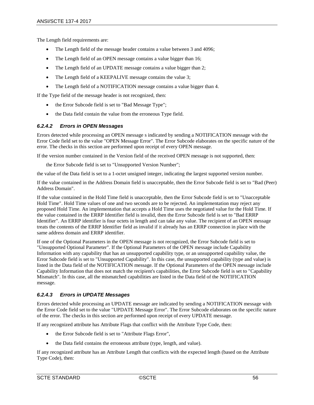The Length field requirements are:

- The Length field of the message header contains a value between 3 and 4096;
- The Length field of an OPEN message contains a value bigger than 16;
- The Length field of an UPDATE message contains a value bigger than 2;
- The Length field of a KEEPALIVE message contains the value 3;
- The Length field of a NOTIFICATION message contains a value bigger than 4.

If the Type field of the message header is not recognized, then:

- the Error Subcode field is set to "Bad Message Type";
- <span id="page-55-0"></span>• the Data field contain the value from the erroneous Type field.

#### *6.2.4.2 Errors in OPEN Messages*

Errors detected while processing an OPEN message s indicated by sending a NOTIFICATION message with the Error Code field set to the value "OPEN Message Error". The Error Subcode elaborates on the specific nature of the error. The checks in this section are performed upon receipt of every OPEN message.

If the version number contained in the Version field of the received OPEN message is not supported, then:

the Error Subcode field is set to "Unsupported Version Number";

the value of the Data field is set to a 1-octet unsigned integer, indicating the largest supported version number.

If the value contained in the Address Domain field is unacceptable, then the Error Subcode field is set to "Bad (Peer) Address Domain".

If the value contained in the Hold Time field is unacceptable, then the Error Subcode field is set to "Unacceptable Hold Time". Hold Time values of one and two seconds are to be rejected. An implementation may reject any proposed Hold Time. An implementation that accepts a Hold Time uses the negotiated value for the Hold Time. If the value contained in the ERRP Identifier field is invalid, then the Error Subcode field is set to "Bad ERRP Identifier". An ERRP identifier is four octets in length and can take any value. The recipient of an OPEN message treats the contents of the ERRP Identifier field as invalid if it already has an ERRP connection in place with the same address domain and ERRP identifier.

If one of the Optional Parameters in the OPEN message is not recognized, the Error Subcode field is set to "Unsupported Optional Parameter". If the Optional Parameters of the OPEN message include Capability Information with any capability that has an unsupported capability type, or an unsupported capability value, the Error Subcode field is set to "Unsupported Capability". In this case, the unsupported capability (type and value) is listed in the Data field of the NOTIFICATION message. If the Optional Parameters of the OPEN message include Capability Information that does not match the recipient's capabilities, the Error Subcode field is set to "Capability Mismatch". In this case, all the mismatched capabilities are listed in the Data field of the NOTIFICATION message.

### <span id="page-55-1"></span>*6.2.4.3 Errors in UPDATE Messages*

Errors detected while processing an UPDATE message are indicated by sending a NOTIFICATION message with the Error Code field set to the value "UPDATE Message Error". The Error Subcode elaborates on the specific nature of the error. The checks in this section are performed upon receipt of every UPDATE message.

If any recognized attribute has Attribute Flags that conflict with the Attribute Type Code, then:

- the Error Subcode field is set to "Attribute Flags Error",
- the Data field contains the erroneous attribute (type, length, and value).

If any recognized attribute has an Attribute Length that conflicts with the expected length (based on the Attribute Type Code), then: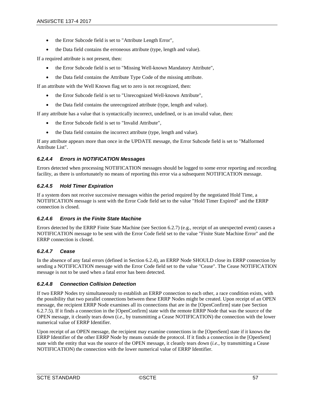- the Error Subcode field is set to "Attribute Length Error",
- the Data field contains the erroneous attribute (type, length and value).

If a required attribute is not present, then:

- the Error Subcode field is set to "Missing Well-known Mandatory Attribute",
- the Data field contains the Attribute Type Code of the missing attribute.

If an attribute with the Well Known flag set to zero is not recognized, then:

- the Error Subcode field is set to "Unrecognized Well-known Attribute",
- the Data field contains the unrecognized attribute (type, length and value).

If any attribute has a value that is syntactically incorrect, undefined, or is an invalid value, then:

- the Error Subcode field is set to "Invalid Attribute",
- the Data field contains the incorrect attribute (type, length and value).

If any attribute appears more than once in the UPDATE message, the Error Subcode field is set to "Malformed Attribute List".

### *6.2.4.4 Errors in NOTIFICATION Messages*

Errors detected when processing NOTIFICATION messages should be logged to some error reporting and recording facility, as there is unfortunately no means of reporting this error via a subsequent NOTIFICATION message.

#### *6.2.4.5 Hold Timer Expiration*

If a system does not receive successive messages within the period required by the negotiated Hold Time, a NOTIFICATION message is sent with the Error Code field set to the value "Hold Timer Expired" and the ERRP connection is closed.

### *6.2.4.6 Errors in the Finite State Machine*

Errors detected by the ERRP Finite State Machine (see Section [6.2.7\)](#page-57-0) (e.g., receipt of an unexpected event) causes a NOTIFICATION message to be sent with the Error Code field set to the value "Finite State Machine Error" and the ERRP connection is closed.

#### *6.2.4.7 Cease*

In the absence of any fatal errors (defined in Section [6.2.4\)](#page-54-0), an ERRP Node SHOULD close its ERRP connection by sending a NOTIFICATION message with the Error Code field set to the value "Cease". The Cease NOTIFICATION message is not to be used when a fatal error has been detected.

### <span id="page-56-0"></span>*6.2.4.8 Connection Collision Detection*

If two ERRP Nodes try simultaneously to establish an ERRP connection to each other, a race condition exists, with the possibility that two parallel connections between these ERRP Nodes might be created. Upon receipt of an OPEN message, the recipient ERRP Node examines all its connections that are in the [OpenConfirm] state (see Section [6.2.7.5\)](#page-63-0). If it finds a connection in the [OpenConfirm] state with the remote ERRP Node that was the source of the OPEN message, it cleanly tears down (*i.e.,* by transmitting a Cease NOTIFICATION) the connection with the lower numerical value of ERRP Identifier.

Upon receipt of an OPEN message, the recipient may examine connections in the [OpenSent] state if it knows the ERRP Identifier of the other ERRP Node by means outside the protocol. If it finds a connection in the [OpenSent] state with the entity that was the source of the OPEN message, it cleanly tears down (*i.e.,* by transmitting a Cease NOTIFICATION) the connection with the lower numerical value of ERRP Identifier.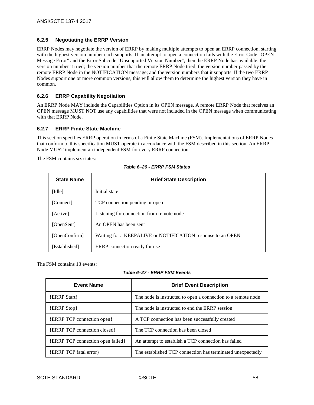#### **6.2.5 Negotiating the ERRP Version**

ERRP Nodes may negotiate the version of ERRP by making multiple attempts to open an ERRP connection, starting with the highest version number each supports. If an attempt to open a connection fails with the Error Code "OPEN Message Error" and the Error Subcode "Unsupported Version Number", then the ERRP Node has available: the version number it tried; the version number that the remote ERRP Node tried; the version number passed by the remote ERRP Node in the NOTIFICATION message; and the version numbers that it supports. If the two ERRP Nodes support one or more common versions, this will allow them to determine the highest version they have in common.

#### **6.2.6 ERRP Capability Negotiation**

An ERRP Node MAY include the Capabilities Option in its OPEN message. A remote ERRP Node that receives an OPEN message MUST NOT use any capabilities that were not included in the OPEN message when communicating with that ERRP Node.

#### <span id="page-57-0"></span>**6.2.7 ERRP Finite State Machine**

This section specifies ERRP operation in terms of a Finite State Machine (FSM). Implementations of ERRP Nodes that conform to this specification MUST operate in accordance with the FSM described in this section. An ERRP Node MUST implement an independent FSM for every ERRP connection.

The FSM contains six states:

| <b>State Name</b> | <b>Brief State Description</b>                              |
|-------------------|-------------------------------------------------------------|
| [Idle]            | Initial state                                               |
| [Connect]         | TCP connection pending or open                              |
| [Active]          | Listening for connection from remote node                   |
| [OpenSent]        | An OPEN has been sent                                       |
| [OpenConfirm]     | Waiting for a KEEPALIVE or NOTIFICATION response to an OPEN |
| [Established]     | ERRP connection ready for use                               |

The FSM contains 13 events:

#### *Table 6–27 - ERRP FSM Events*

| <b>Event Name</b>                        | <b>Brief Event Description</b>                               |
|------------------------------------------|--------------------------------------------------------------|
| <b>{ERRP Start}</b>                      | The node is instructed to open a connection to a remote node |
| $\{ERRP \, Stop\}$                       | The node is instructed to end the ERRP session               |
| <b>{ERRP TCP connection open}</b>        | A TCP connection has been successfully created               |
| <b>{ERRP TCP</b> connection closed}      | The TCP connection has been closed                           |
| <b>{ERRP TCP</b> connection open failed} | An attempt to establish a TCP connection has failed          |
| <b>{ERRP TCP fatal error}</b>            | The established TCP connection has terminated unexpectedly   |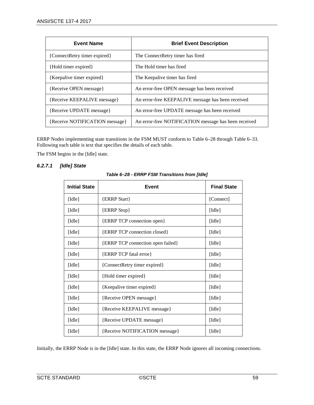| <b>Event Name</b>              | <b>Brief Event Description</b>                       |
|--------------------------------|------------------------------------------------------|
| {ConnectRetry timer expired}   | The ConnectRetry timer has fired                     |
| {Hold timer expired}           | The Hold timer has fired                             |
| {Keepalive timer expired}      | The Keepalive timer has fired                        |
| {Receive OPEN message}         | An error-free OPEN message has been received         |
| {Receive KEEPALIVE message}    | An error-free KEEPALIVE message has been received    |
| {Receive UPDATE message}       | An error-free UPDATE message has been received       |
| {Receive NOTIFICATION message} | An error-free NOTIFICATION message has been received |

ERRP Nodes implementing state transitions in the FSM MUST conform to [Table](#page-58-0) 6–28 through [Table](#page-64-0) 6–33. Following each table is text that specifies the details of each table.

The FSM begins in the [Idle] state.

## <span id="page-58-0"></span>*6.2.7.1 [Idle] State*

| <b>Initial State</b> | Event                             | <b>Final State</b>          |
|----------------------|-----------------------------------|-----------------------------|
| [Idle]               | {ERRP Start}                      | [Connect]                   |
| [Idle]               | {ERRP Stop}                       | $\lceil \text{Idle} \rceil$ |
| [Idle]               | {ERRP TCP connection open}        | [Idle]                      |
| [Idle]               | {ERRP TCP connection closed}      | [Idle]                      |
| [Idle]               | {ERRP TCP connection open failed} | [Idle]                      |
| [Idle]               | {ERRP TCP fatal error}            | [Idle]                      |
| [Idle]               | {ConnectRetry timer expired}      | [Idle]                      |
| [Idle]               | {Hold timer expired}              | $\lceil \text{Idle} \rceil$ |
| [Idle]               | {Keepalive timer expired}         | [Idle]                      |
| [Idle]               | {Receive OPEN message}            | [Idle]                      |
| [Idle]               | {Receive KEEPALIVE message}       | [Idle]                      |
| [Idle]               | {Receive UPDATE message}          | [Idle]                      |
| [Idle]               | {Receive NOTIFICATION message}    | $\lceil \text{Idle} \rceil$ |

Initially, the ERRP Node is in the [Idle] state. In this state, the ERRP Node ignores all incoming connections.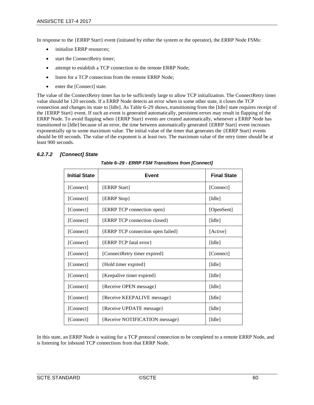In response to the {ERRP Start} event (initiated by either the system or the operator), the ERRP Node FSMs:

- initialize ERRP resources;
- start the ConnectRetry timer;
- attempt to establish a TCP connection to the remote ERRP Node;
- listen for a TCP connection from the remote ERRP Node;
- enter the [Connect] state.

The value of the ConnectRetry timer has to be sufficiently large to allow TCP initialization. The ConnectRetry timer value should be 120 seconds. If a ERRP Node detects an error when in some other state, it closes the TCP connection and changes its state to [Idle]. As [Table](#page-59-0) 6–29 shows, transitioning from the [Idle] state requires receipt of the {ERRP Start} event. If such an event is generated automatically, persistent errors may result in flapping of the ERRP Node. To avoid flapping when {ERRP Start} events are created automatically, whenever a ERRP Node has transitioned to [Idle] because of an error, the time between automatically generated {ERRP Start} event increases exponentially up to some maximum value. The initial value of the timer that generates the {ERRP Start} events should be 60 seconds. The value of the exponent is at least two. The maximum value of the retry timer should be at least 900 seconds.

## <span id="page-59-0"></span>*6.2.7.2 [Connect] State*

| <b>Initial State</b> | Event                                                         | <b>Final State</b>          |
|----------------------|---------------------------------------------------------------|-----------------------------|
| [Connect]            | {ERRP Start}                                                  | [Connect]                   |
| [Connect]            | <b>{ERRP Stop}</b>                                            | [Idle]                      |
| [Connect]            | {ERRP TCP connection open}                                    | [OpenSent]                  |
| [Connect]            | {ERRP TCP connection closed}                                  | [Idle]                      |
| [Connect]            | {ERRP TCP connection open failed}<br>[Active]                 |                             |
| [Connect]            | {ERRP TCP fatal error}<br>[Idle]                              |                             |
| [Connect]            | {ConnectRetry timer expired}                                  | [Connect]                   |
| [Connect]            | {Hold timer expired}                                          | $\lceil \text{Idle} \rceil$ |
| [Connect]            | {Keepalive timer expired}                                     | [Idle]                      |
| [Connect]            | {Receive OPEN message}                                        | [Idle]                      |
| [Connect]            | {Receive KEEPALIVE message}<br>$\lceil \text{Idle} \rceil$    |                             |
| [Connect]            | {Receive UPDATE message}<br>[Idle]                            |                             |
| [Connect]            | {Receive NOTIFICATION message}<br>$\lceil \text{Idle} \rceil$ |                             |

*Table 6–29 - ERRP FSM Transitions from [Connect]*

In this state, an ERRP Node is waiting for a TCP protocol connection to be completed to a remote ERRP Node, and is listening for inbound TCP connections from that ERRP Node.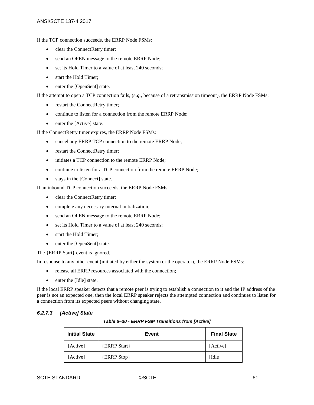If the TCP connection succeeds, the ERRP Node FSMs:

- clear the ConnectRetry timer;
- send an OPEN message to the remote ERRP Node;
- set its Hold Timer to a value of at least 240 seconds;
- start the Hold Timer:
- enter the [OpenSent] state.

If the attempt to open a TCP connection fails, (*e.g.,* because of a retransmission timeout), the ERRP Node FSMs:

- restart the ConnectRetry timer;
- continue to listen for a connection from the remote ERRP Node;
- enter the [Active] state.

If the ConnectRetry timer expires, the ERRP Node FSMs:

- cancel any ERRP TCP connection to the remote ERRP Node;
- restart the ConnectRetry timer;
- initiates a TCP connection to the remote ERRP Node;
- continue to listen for a TCP connection from the remote ERRP Node;
- stays in the [Connect] state.

If an inbound TCP connection succeeds, the ERRP Node FSMs:

- clear the ConnectRetry timer;
- complete any necessary internal initialization;
- send an OPEN message to the remote ERRP Node;
- set its Hold Timer to a value of at least 240 seconds;
- start the Hold Timer;
- enter the [OpenSent] state.

The {ERRP Start} event is ignored.

In response to any other event (initiated by either the system or the operator), the ERRP Node FSMs:

- release all ERRP resources associated with the connection;
- enter the [Idle] state.

If the local ERRP speaker detects that a remote peer is trying to establish a connection to it and the IP address of the peer is not an expected one, then the local ERRP speaker rejects the attempted connection and continues to listen for a connection from its expected peers without changing state.

#### *6.2.7.3 [Active] State*

| <b>Initial State</b> | Event               | <b>Final State</b>          |
|----------------------|---------------------|-----------------------------|
| [Active]             | <b>{ERRP Start}</b> | [Active]                    |
| [Active]             | <b>{ERRP Stop}</b>  | $\lceil \text{Idle} \rceil$ |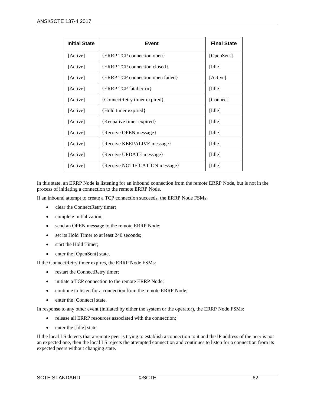| <b>Initial State</b> | Event                                                         | <b>Final State</b>          |  |
|----------------------|---------------------------------------------------------------|-----------------------------|--|
| [Active]             | <b>{ERRP TCP connection open}</b>                             | [OpenSent]                  |  |
| [Active]             | {ERRP TCP connection closed}                                  | [Idle]                      |  |
| [Active]             | <b>{ERRP TCP</b> connection open failed}                      | [Active]                    |  |
| [Active]             | {ERRP TCP fatal error}<br>[Idle]                              |                             |  |
| [Active]             | {ConnectRetry timer expired}<br>[Connect]                     |                             |  |
| [Active]             | {Hold timer expired}                                          | [Idle]                      |  |
| [Active]             | {Keepalive timer expired}                                     | [Idle]                      |  |
| [Active]             | {Receive OPEN message}                                        | $\lceil \text{Idle} \rceil$ |  |
| [Active]             | {Receive KEEPALIVE message}<br>[Idle]                         |                             |  |
| [Active]             | {Receive UPDATE message}<br>[Idle]                            |                             |  |
| [Active]             | {Receive NOTIFICATION message}<br>$\lceil \text{Idle} \rceil$ |                             |  |

In this state, an ERRP Node is listening for an inbound connection from the remote ERRP Node, but is not in the process of initiating a connection to the remote ERRP Node.

If an inbound attempt to create a TCP connection succeeds, the ERRP Node FSMs:

- clear the ConnectRetry timer;
- complete initialization;
- send an OPEN message to the remote ERRP Node;
- set its Hold Timer to at least 240 seconds;
- start the Hold Timer;
- enter the [OpenSent] state.

If the ConnectRetry timer expires, the ERRP Node FSMs:

- restart the ConnectRetry timer;
- initiate a TCP connection to the remote ERRP Node;
- continue to listen for a connection from the remote ERRP Node;
- enter the [Connect] state.

In response to any other event (initiated by either the system or the operator), the ERRP Node FSMs:

- release all ERRP resources associated with the connection;
- enter the [Idle] state.

If the local LS detects that a remote peer is trying to establish a connection to it and the IP address of the peer is not an expected one, then the local LS rejects the attempted connection and continues to listen for a connection from its expected peers without changing state.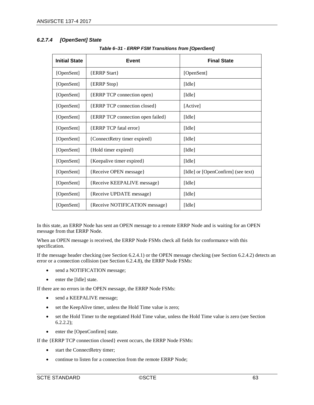# *6.2.7.4 [OpenSent] State*

| <b>Initial State</b> | <b>Event</b>                      | <b>Final State</b>                 |
|----------------------|-----------------------------------|------------------------------------|
| [OpenSent]           | {ERRP Start}                      | [OpenSent]                         |
| [OpenSent]           | {ERRP Stop}                       | [Idle]                             |
| [OpenSent]           | {ERRP TCP connection open}        | [Idle]                             |
| [OpenSent]           | {ERRP TCP connection closed}      | [Active]                           |
| [OpenSent]           | {ERRP TCP connection open failed} | [Idle]                             |
| [OpenSent]           | {ERRP TCP fatal error}            | $\lceil \text{Idle} \rceil$        |
| [OpenSent]           | {ConnectRetry timer expired}      | $\lceil \text{Idle} \rceil$        |
| [OpenSent]           | {Hold timer expired}              | [Idle]                             |
| [OpenSent]           | {Keepalive timer expired}         | $\lceil \text{Idle} \rceil$        |
| [OpenSent]           | {Receive OPEN message}            | [Idle] or [OpenConfirm] (see text) |
| [OpenSent]           | {Receive KEEPALIVE message}       | $\lceil \text{Idle} \rceil$        |
| [OpenSent]           | {Receive UPDATE message}          | $\lceil \text{Idle} \rceil$        |
| [OpenSent]           | {Receive NOTIFICATION message}    | [Idle]                             |

*Table 6–31 - ERRP FSM Transitions from [OpenSent]*

In this state, an ERRP Node has sent an OPEN message to a remote ERRP Node and is waiting for an OPEN message from that ERRP Node.

When an OPEN message is received, the ERRP Node FSMs check all fields for conformance with this specification.

If the message header checking (see Section [6.2.4.1\)](#page-54-1) or the OPEN message checking (see Sectio[n 6.2.4.2\)](#page-55-0) detects an error or a connection collision (see Section [6.2.4.8\)](#page-56-0), the ERRP Node FSMs:

- send a NOTIFICATION message;
- enter the [Idle] state.

If there are no errors in the OPEN message, the ERRP Node FSMs:

- send a KEEPALIVE message;
- set the KeepAlive timer, unless the Hold Time value is zero;
- set the Hold Timer to the negotiated Hold Time value, unless the Hold Time value is zero (see Section [6.2.2.2\)](#page-27-0);
- enter the [OpenConfirm] state.

If the {ERRP TCP connection closed} event occurs, the ERRP Node FSMs:

- start the ConnectRetry timer;
- continue to listen for a connection from the remote ERRP Node;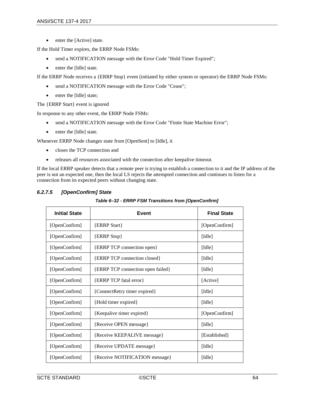• enter the [Active] state.

If the Hold Timer expires, the ERRP Node FSMs:

- send a NOTIFICATION message with the Error Code "Hold Timer Expired";
- enter the [Idle] state.

If the ERRP Node receives a {ERRP Stop} event (initiated by either system or operator) the ERRP Node FSMs:

- send a NOTIFICATION message with the Error Code "Cease";
- enter the [Idle] state;

The {ERRP Start} event is ignored

In response to any other event, the ERRP Node FSMs:

- send a NOTIFICATION message with the Error Code "Finite State Machine Error";
- enter the [Idle] state.

Whenever ERRP Node changes state from [OpenSent] to [Idle], it

- closes the TCP connection and
- releases all resources associated with the connection after keepalive timeout.

If the local ERRP speaker detects that a remote peer is trying to establish a connection to it and the IP address of the peer is not an expected one, then the local LS rejects the attempted connection and continues to listen for a connection from its expected peers without changing state.

| <b>Initial State</b> | Event                                                   | <b>Final State</b>          |  |  |
|----------------------|---------------------------------------------------------|-----------------------------|--|--|
| [OpenConfirm]        | <b>{ERRP Start}</b>                                     | [OpenConfirm]               |  |  |
| [OpenConfirm]        | <b>{ERRP Stop}</b>                                      | $\lceil \text{Idle} \rceil$ |  |  |
| [OpenConfirm]        | {ERRP TCP connection open}                              | [Idle]                      |  |  |
| [OpenConfirm]        | {ERRP TCP connection closed}                            | $\lceil \text{Idle} \rceil$ |  |  |
| [OpenConfirm]        | {ERRP TCP connection open failed}                       | [Idle]                      |  |  |
| [OpenConfirm]        | <b>{ERRP TCP fatal error}</b>                           | [Active]                    |  |  |
| [OpenConfirm]        | {ConnectRetry timer expired}                            | $\lceil \text{Idle} \rceil$ |  |  |
| [OpenConfirm]        | {Hold timer expired}                                    | $\lceil \text{Idle} \rceil$ |  |  |
| [OpenConfirm]        | {Keepalive timer expired}                               | [OpenConfirm]               |  |  |
| [OpenConfirm]        | {Receive OPEN message}                                  | $\lceil \text{Idle} \rceil$ |  |  |
| [OpenConfirm]        | {Receive KEEPALIVE message}<br>[Established]            |                             |  |  |
| [OpenConfirm]        | {Receive UPDATE message}<br>$\lceil \text{Idle} \rceil$ |                             |  |  |
| [OpenConfirm]        | {Receive NOTIFICATION message}                          | $\lceil \text{Idle} \rceil$ |  |  |

## <span id="page-63-0"></span>*6.2.7.5 [OpenConfirm] State*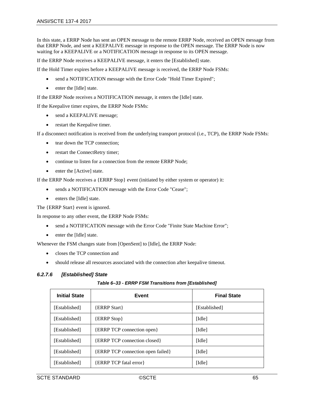In this state, a ERRP Node has sent an OPEN message to the remote ERRP Node, received an OPEN message from that ERRP Node, and sent a KEEPALIVE message in response to the OPEN message. The ERRP Node is now waiting for a KEEPALIVE or a NOTIFICATION message in response to its OPEN message.

If the ERRP Node receives a KEEPALIVE message, it enters the [Established] state.

If the Hold Timer expires before a KEEPALIVE message is received, the ERRP Node FSMs:

- send a NOTIFICATION message with the Error Code "Hold Timer Expired";
- enter the [Idle] state.

If the ERRP Node receives a NOTIFICATION message, it enters the [Idle] state.

If the Keepalive timer expires, the ERRP Node FSMs:

- send a KEEPALIVE message;
- restart the Keepalive timer.

If a disconnect notification is received from the underlying transport protocol (i.e., TCP), the ERRP Node FSMs:

- tear down the TCP connection;
- restart the ConnectRetry timer;
- continue to listen for a connection from the remote ERRP Node;
- enter the [Active] state.

If the ERRP Node receives a {ERRP Stop} event (initiated by either system or operator) it:

- sends a NOTIFICATION message with the Error Code "Cease";
- enters the [Idle] state.

The {ERRP Start} event is ignored.

In response to any other event, the ERRP Node FSMs:

- send a NOTIFICATION message with the Error Code "Finite State Machine Error";
- enter the [Idle] state.

Whenever the FSM changes state from [OpenSent] to [Idle], the ERRP Node:

- closes the TCP connection and
- should release all resources associated with the connection after keepalive timeout.

#### <span id="page-64-0"></span>*6.2.7.6 [Established] State*

| Table 6-33 - ERRP FSM Transitions from [Established] |  |  |  |  |
|------------------------------------------------------|--|--|--|--|
|------------------------------------------------------|--|--|--|--|

| <b>Initial State</b> | Event                             | <b>Final State</b>          |
|----------------------|-----------------------------------|-----------------------------|
| [Established]        | <b>{ERRP Start}</b>               | [Established]               |
| [Established]        | <b>ERRP</b> Stop }                | $\lceil \text{Idle} \rceil$ |
| [Established]        | {ERRP TCP connection open}        | $\lceil \text{Idle} \rceil$ |
| [Established]        | {ERRP TCP connection closed}      | [Idle]                      |
| [Established]        | {ERRP TCP connection open failed} | [Idle]                      |
| [Established]        | <b>{ERRP TCP fatal error}</b>     | [Idle]                      |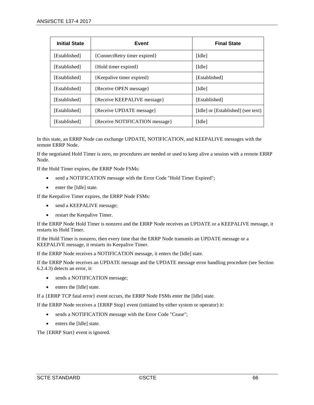| <b>Initial State</b> | Event                          | <b>Final State</b>                 |
|----------------------|--------------------------------|------------------------------------|
| [Established]        | {ConnectRetry timer expired}   | [Idle]                             |
| [Established]        | {Hold timer expired}           | [Idle]                             |
| [Established]        | {Keepalive timer expired}      | [Established]                      |
| [Established]        | {Receive OPEN message}         | [Idle]                             |
| [Established]        | {Receive KEEPALIVE message}    | [Established]                      |
| [Established]        | {Receive UPDATE message}       | [Idle] or [Established] (see text) |
| [Established]        | {Receive NOTIFICATION message} | [Idle]                             |

In this state, an ERRP Node can exchange UPDATE, NOTIFICATION, and KEEPALIVE messages with the remote ERRP Node.

If the negotiated Hold Timer is zero, no procedures are needed or used to keep alive a session with a remote ERRP Node.

If the Hold Timer expires, the ERRP Node FSMs:

- send a NOTIFICATION message with the Error Code "Hold Timer Expired";
- enter the [Idle] state.

If the Keepalive Timer expires, the ERRP Node FSMs:

- send a KEEPALIVE message;
- restart the Keepalive Timer.

If the ERRP Node Hold Timer is nonzero and the ERRP Node receives an UPDATE or a KEEPALIVE message, it restarts its Hold Timer.

If the Hold Timer is nonzero, then every time that the ERRP Node transmits an UPDATE message or a KEEPALIVE message, it restarts its Keepalive Timer.

If the ERRP Node receives a NOTIFICATION message, it enters the [Idle] state.

If the ERRP Node receives an UPDATE message and the UPDATE message error handling procedure (see Section [6.2.4.3\)](#page-55-1) detects an error, it:

- sends a NOTIFICATION message;
- enters the [Idle] state.

If a {ERRP TCP fatal error} event occurs, the ERRP Node FSMs enter the [Idle] state.

If the ERRP Node receives a {ERRP Stop} event (initiated by either system or operator) it:

- sends a NOTIFICATION message with the Error Code "Cease";
- enters the [Idle] state.

The {ERRP Start} event is ignored.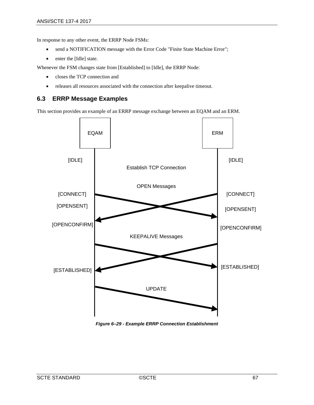In response to any other event, the ERRP Node FSMs:

- send a NOTIFICATION message with the Error Code "Finite State Machine Error";
- enter the [Idle] state.

Whenever the FSM changes state from [Established] to [Idle], the ERRP Node:

- closes the TCP connection and
- releases all resources associated with the connection after keepalive timeout.

# **6.3 ERRP Message Examples**

This section provides an example of an ERRP message exchange between an EQAM and an ERM.



*Figure 6–29 - Example ERRP Connection Establishment*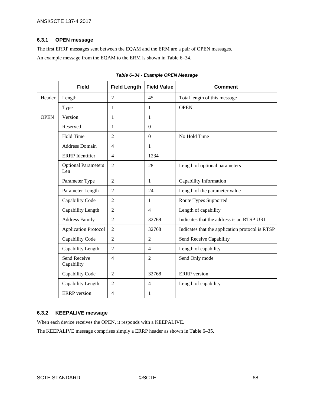### **6.3.1 OPEN message**

The first ERRP messages sent between the EQAM and the ERM are a pair of OPEN messages. An example message from the EQAM to the ERM is shown in [Table](#page-67-0) 6–34.

<span id="page-67-0"></span>

|             | <b>Field</b>                      | <b>Field Length</b> | <b>Field Value</b> | <b>Comment</b>                                  |
|-------------|-----------------------------------|---------------------|--------------------|-------------------------------------------------|
| Header      | Length                            | $\overline{2}$      | 45                 | Total length of this message                    |
|             | Type                              | $\mathbf{1}$        | 1                  | <b>OPEN</b>                                     |
| <b>OPEN</b> | Version                           | $\mathbf{1}$        | 1                  |                                                 |
|             | Reserved                          | 1                   | $\overline{0}$     |                                                 |
|             | <b>Hold Time</b>                  | $\overline{2}$      | $\boldsymbol{0}$   | No Hold Time                                    |
|             | <b>Address Domain</b>             | $\overline{4}$      | 1                  |                                                 |
|             | <b>ERRP</b> Identifier            | $\overline{4}$      | 1234               |                                                 |
|             | <b>Optional Parameters</b><br>Len | $\overline{2}$      | 28                 | Length of optional parameters                   |
|             | Parameter Type                    | 2                   | 1                  | Capability Information                          |
|             | Parameter Length                  | 2                   | 24                 | Length of the parameter value                   |
|             | Capability Code                   | $\overline{2}$      | 1                  | Route Types Supported                           |
|             | Capability Length                 | 2                   | $\overline{4}$     | Length of capability                            |
|             | <b>Address Family</b>             | $\overline{2}$      | 32769              | Indicates that the address is an RTSP URL       |
|             | <b>Application Protocol</b>       | $\overline{2}$      | 32768              | Indicates that the application protocol is RTSP |
|             | Capability Code                   | $\overline{2}$      | $\overline{2}$     | Send Receive Capability                         |
|             | Capability Length                 | $\overline{2}$      | $\overline{4}$     | Length of capability                            |
|             | Send Receive<br>Capability        | $\overline{4}$      | $\overline{2}$     | Send Only mode                                  |
|             | Capability Code                   | $\overline{2}$      | 32768              | <b>ERRP</b> version                             |
|             | Capability Length                 | $\overline{2}$      | $\overline{4}$     | Length of capability                            |
|             | <b>ERRP</b> version               | $\overline{4}$      | 1                  |                                                 |

### **6.3.2 KEEPALIVE message**

When each device receives the OPEN, it responds with a KEEPALIVE.

The KEEPALIVE message comprises simply a ERRP header as shown in [Table](#page-68-0) 6–35.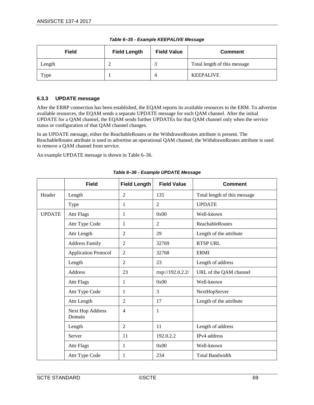<span id="page-68-0"></span>

| <b>Field</b> | <b>Field Value</b><br><b>Field Length</b> |  | <b>Comment</b>               |  |
|--------------|-------------------------------------------|--|------------------------------|--|
| Length<br>∼  |                                           |  | Total length of this message |  |
| Type         |                                           |  | <b>KEEPALIVE</b>             |  |

#### *Table 6–35 - Example KEEPALIVE Message*

### **6.3.3 UPDATE message**

After the ERRP connection has been established, the EQAM reports its available resources to the ERM. To advertise available resources, the EQAM sends a separate UPDATE message for each QAM channel. After the initial UPDATE for a QAM channel, the EQAM sends further UPDATEs for that QAM channel only when the service status or configuration of that QAM channel changes.

In an UPDATE message, either the ReachableRoutes or the WithdrawnRoutes attribute is present. The ReachableRoutes attribute is used to advertise an operational QAM channel; the WithdrawnRoutes attribute is used to remove a QAM channel from service.

An example UPDATE message is shown i[n Table](#page-68-1) 6–36.

<span id="page-68-1"></span>

|               | <b>Field</b>                | <b>Field Length</b> | <b>Field Value</b> | <b>Comment</b>               |
|---------------|-----------------------------|---------------------|--------------------|------------------------------|
| Header        | Length                      | $\overline{2}$      | 135                | Total length of this message |
|               | Type                        | 1                   | $\overline{2}$     | <b>UPDATE</b>                |
| <b>UPDATE</b> | <b>Attr Flags</b>           | 1                   | 0x00               | Well-known                   |
|               | Attr Type Code              | 1                   | 2                  | <b>ReachableRoutes</b>       |
|               | Attr Length                 | $\overline{2}$      | 29                 | Length of the attribute      |
|               | <b>Address Family</b>       | $\overline{2}$      | 32769              | <b>RTSP URL</b>              |
|               | <b>Application Protocol</b> | $\overline{2}$      | 32768              | <b>ERMI</b>                  |
|               | Length                      | $\overline{2}$      | 23                 | Length of address            |
|               | <b>Address</b>              | 23                  | rtsp://192.0.2.2/  | URL of the QAM channel       |
|               | <b>Attr Flags</b>           | 1                   | 0x00               | Well-known                   |
|               | Attr Type Code              | 1                   | 3                  | NextHopServer                |
|               | Attr Length                 | $\overline{2}$      | 17                 | Length of the attribute      |
|               | Next Hop Address<br>Domain  | $\overline{4}$      | $\mathbf{1}$       |                              |
|               | Length                      | $\overline{2}$      | 11                 | Length of address            |
|               | Server                      | 11                  | 192.0.2.2          | IPv4 address                 |
|               | <b>Attr Flags</b>           | 1                   | 0x00               | Well-known                   |
|               | Attr Type Code              | 1                   | 234                | <b>Total Bandwidth</b>       |

*Table 6–36 - Example UPDATE Message*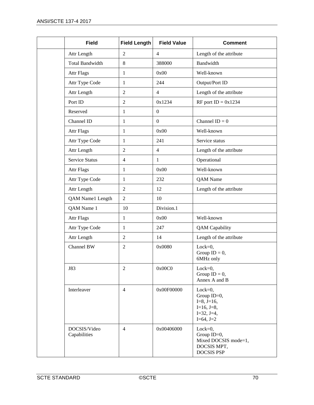| <b>Field</b>                 | <b>Field Length</b> | <b>Field Value</b> | <b>Comment</b>                                                                          |
|------------------------------|---------------------|--------------------|-----------------------------------------------------------------------------------------|
| Attr Length                  | $\overline{2}$      | $\overline{4}$     | Length of the attribute                                                                 |
| <b>Total Bandwidth</b>       | 8                   | 388000             | Bandwidth                                                                               |
| <b>Attr Flags</b>            | $\mathbf{1}$        | 0x00               | Well-known                                                                              |
| Attr Type Code               | $\mathbf{1}$        | 244                | Output/Port ID                                                                          |
| Attr Length                  | $\overline{2}$      | $\overline{4}$     | Length of the attribute                                                                 |
| Port ID                      | $\overline{c}$      | 0x1234             | RF port ID = $0x1234$                                                                   |
| Reserved                     | $\mathbf 1$         | $\boldsymbol{0}$   |                                                                                         |
| Channel ID                   | $\mathbf{1}$        | $\mathbf{0}$       | Channel $ID = 0$                                                                        |
| <b>Attr Flags</b>            | 1                   | 0x00               | Well-known                                                                              |
| Attr Type Code               | $\mathbf{1}$        | 241                | Service status                                                                          |
| Attr Length                  | 2                   | $\overline{4}$     | Length of the attribute                                                                 |
| <b>Service Status</b>        | $\overline{4}$      | $\mathbf{1}$       | Operational                                                                             |
| <b>Attr Flags</b>            | $\mathbf{1}$        | 0x00               | Well-known                                                                              |
| Attr Type Code               | $\mathbf{1}$        | 232                | QAM Name                                                                                |
| Attr Length                  | $\overline{2}$      | 12                 | Length of the attribute                                                                 |
| QAM Name1 Length             | $\overline{2}$      | 10                 |                                                                                         |
| QAM Name 1                   | 10                  | Division.1         |                                                                                         |
| <b>Attr Flags</b>            | $\mathbf{1}$        | 0x00               | Well-known                                                                              |
| Attr Type Code               | 1                   | 247                | <b>QAM</b> Capability                                                                   |
| Attr Length                  | $\overline{c}$      | 14                 | Length of the attribute                                                                 |
| Channel BW                   | $\overline{c}$      | 0x0080             | $Lock = 0$ ,<br>Group $ID = 0$ ,<br>6MHz only                                           |
| <b>J83</b>                   | 2                   | 0x00C0             | $Lock = 0$ ,<br>Group $ID = 0$ ,<br>Annex A and B                                       |
| Interleaver                  | $\overline{4}$      | 0x00F00000         | $Lock=0,$<br>Group ID=0,<br>$I=8, J=16,$<br>$I=16, J=8,$<br>$I=32, J=4,$<br>$I=64, J=2$ |
| DOCSIS/Video<br>Capabilities | $\overline{4}$      | 0x00406000         | $Lock=0,$<br>Group $ID=0$ ,<br>Mixed DOCSIS mode=1,<br>DOCSIS MPT,<br><b>DOCSIS PSP</b> |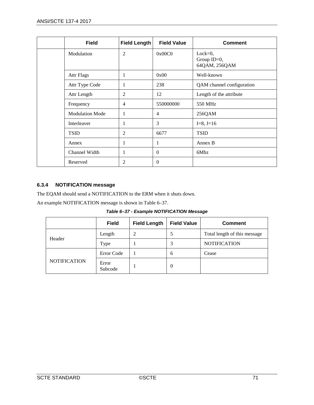| <b>Field</b>           | <b>Field Length</b> | <b>Field Value</b> | <b>Comment</b>                               |
|------------------------|---------------------|--------------------|----------------------------------------------|
| Modulation             | $\overline{2}$      | 0x00C0             | $Lock=0,$<br>Group $ID=0$ ,<br>64QAM, 256QAM |
| <b>Attr Flags</b>      | 1                   | 0x00               | Well-known                                   |
| Attr Type Code         | 1                   | 238                | QAM channel configuration                    |
| Attr Length            | $\overline{2}$      | 12                 | Length of the attribute                      |
| Frequency              | $\overline{4}$      | 550000000          | 550 MHz                                      |
| <b>Modulation Mode</b> | -                   | 4                  | 256QAM                                       |
| Interleaver            | -1                  | 3                  | $I=8, J=16$                                  |
| <b>TSID</b>            | 2                   | 6677               | <b>TSID</b>                                  |
| Annex                  | 1                   | 1                  | Annex B                                      |
| Channel Width          | 1                   | $\theta$           | 6Mhz                                         |
| Reserved               | 2                   | $\overline{0}$     |                                              |

# **6.3.4 NOTIFICATION message**

The EQAM should send a NOTIFICATION to the ERM when it shuts down.

<span id="page-70-0"></span>An example NOTIFICATION message is shown i[n Table](#page-70-0) 6–37.

*Table 6–37 - Example NOTIFICATION Message*

|                     | <b>Field</b>     | <b>Field Length</b> | <b>Field Value</b> | <b>Comment</b>               |
|---------------------|------------------|---------------------|--------------------|------------------------------|
|                     | Length           |                     |                    | Total length of this message |
| Header              | Type             |                     | 3                  | <b>NOTIFICATION</b>          |
|                     | Error Code       |                     | 6                  | Cease                        |
| <b>NOTIFICATION</b> | Error<br>Subcode |                     | 0                  |                              |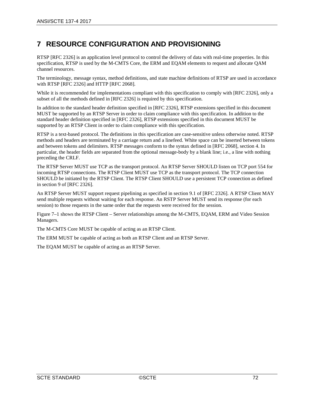# **7 RESOURCE CONFIGURATION AND PROVISIONING**

RTSP [\[RFC](#page-13-1) 2326] is an application level protocol to control the delivery of data with real-time properties. In this specification, RTSP is used by the M-CMTS Core, the ERM and EQAM elements to request and allocate QAM channel resources.

The terminology, message syntax, method definitions, and state machine definitions of RTSP are used in accordance with RTS[P \[RFC](#page-13-1) 2326] and HTTP [RFC [2068\].](#page-13-6)

While it is recommended for implementations compliant with this specification to comply with [RFC [2326\],](#page-13-1) only a subset of all the methods defined i[n \[RFC](#page-13-1) 2326] is required by this specification.

In addition to the standard header definition specified in [RFC [2326\],](#page-13-1) RTSP extensions specified in this document MUST be supported by an RTSP Server in order to claim compliance with this specification. In addition to the standard header definition specified in [RFC [2326\],](#page-13-1) RTSP extensions specified in this document MUST be supported by an RTSP Client in order to claim compliance with this specification.

RTSP is a text-based protocol. The definitions in this specification are case-sensitive unless otherwise noted. RTSP methods and headers are terminated by a carriage return and a linefeed. White space can be inserted between tokens and between tokens and delimiters. RTSP messages conform to the syntax defined in [RFC [2068\],](#page-13-6) section 4. In particular, the header fields are separated from the optional message-body by a blank line; i.e., a line with nothing preceding the CRLF.

The RTSP Server MUST use TCP as the transport protocol. An RTSP Server SHOULD listen on TCP port 554 for incoming RTSP connections. The RTSP Client MUST use TCP as the transport protocol. The TCP connection SHOULD be initiated by the RTSP Client. The RTSP Client SHOULD use a persistent TCP connection as defined in section 9 of [RFC [2326\].](#page-13-1)

An RTSP Server MUST support request pipelining as specified in section 9.1 of [RFC [2326\].](#page-13-1) A RTSP Client MAY send multiple requests without waiting for each response. An RSTP Server MUST send it[s response \(for each](#page-72-0)  session) to those requests in the same order that the requests were received for the session.

[Figure 7–1](#page-72-0) shows the RTSP Client – Server relationships among the M-CMTS, EQAM, ERM and Video Session Managers.

The M-CMTS Core MUST be capable of acting as an RTSP Client.

The ERM MUST be capable of acting as both an RTSP Client and an RTSP Server.

The EQAM MUST be capable of acting as an RTSP Server.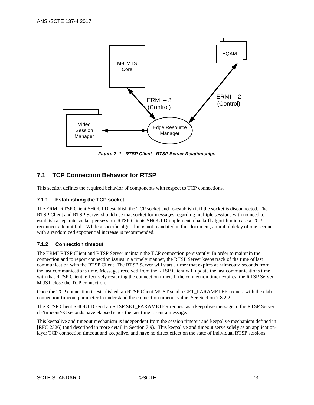

*Figure 7–1 - RTSP Client - RTSP Server Relationships*

# **7.1 TCP Connection Behavior for RTSP**

This section defines the required behavior of components with respect to TCP connections.

# **7.1.1 Establishing the TCP socket**

The ERMI RTSP Client SHOULD establish the TCP socket and re-establish it if the socket is disconnected. The RTSP Client and RTSP Server should use that socket for messages regarding multiple sessions with no need to establish a separate socket per session. RTSP Clients SHOULD implement a backoff algorithm in case a TCP reconnect attempt fails. While a specific algorithm is not mandated in this document, an initial delay of one second with a randomized exponential increase is recommended.

# <span id="page-72-0"></span>**7.1.2 Connection timeout**

The ERMI RTSP Client and RTSP Server maintain the TCP connection persistently. In order to maintain the connection and to report connection issues in a timely manner, the RTSP Server keeps track of the time of last communication with the RTSP Client. The RTSP Server will start a timer that expires at <timeout> seconds from the last communications time. Messages received from the RTSP Client will update the last communications time with that RTSP Client, effectively restarting the connection timer. If the connection timer expires, the RTSP Server MUST close the TCP connection.

Once the TCP connection is established, an RTSP Client MUST send a GET\_PARAMETER request with the clabconnection-timeout parameter to understand the connection timeout value. See Sectio[n 7.8.2.2.](#page-92-0)

The RTSP Client SHOULD send an RTSP SET\_PARAMETER request as a keepalive message to the RTSP Server if <timeout>/3 seconds have elapsed since the last time it sent a message.

This keepalive and timeout mechanism is independent from the session timeout and keepalive mechanism defined in [RFC [2326\]](#page-13-0) (and described in more detail in Section [7.9\)](#page-93-0). This keepalive and timeout serve solely as an applicationlayer TCP connection timeout and keepalive, and have no direct effect on the state of individual RTSP sessions.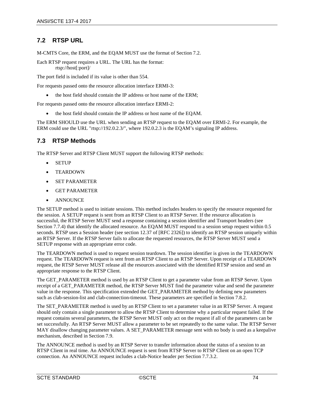# <span id="page-73-0"></span>**7.2 RTSP URL**

M-CMTS Core, the ERM, and the EQAM MUST use the format of Sectio[n 7.2.](#page-73-0)

Each RTSP request requires a URL. The URL has the format: rtsp://host[:port]/

The port field is included if its value is other than 554.

For requests passed onto the resource allocation interface ERMI-3:

• the host field should contain the IP address or host name of the ERM;

For requests passed onto the resource allocation interface ERMI-2:

• the host field should contain the IP address or host name of the EQAM.

The ERM SHOULD use the URL when sending an RTSP request to the EQAM over ERMI-2. For example, the ERM could use the URL "rtsp://192.0.2.3/", where 192.0.2.3 is the EQAM's signaling IP address.

# **7.3 RTSP Methods**

The RTSP Server and RTSP Client MUST support the following RTSP methods:

- SETUP
- TEARDOWN
- SET PARAMETER
- GET PARAMETER
- **ANNOUNCE**

The SETUP method is used to initiate sessions. This method includes headers to specify the resource requested for the session. A SETUP request is sent from an RTSP Client to an RTSP Server. If the resource allocation is successful, the RTSP Server MUST send a response containing a session identifier and Transport headers (see Section [7.7.4\)](#page-83-0) that identify the allocated resource. An EQAM MUST respond to a session setup request within 0.5 seconds. RTSP uses a Session header (see section 12.37 of [RFC [2326\]\)](#page-13-0) to identify an RTSP session uniquely within an RTSP Server. If the RTSP Server fails to allocate the requested resources, the RTSP Server MUST send a SETUP response with an appropriate error code.

The TEARDOWN method is used to request session teardown. The session identifier is given in the TEARDOWN request. The TEARDOWN request is sent from an RTSP Client to an RTSP Server. Upon receipt of a TEARDOWN request, the RTSP Server MUST release all the resources associated with the identified RTSP session and send an appropriate response to the RTSP Client.

The GET\_PARAMETER method is used by an RTSP Client to get a parameter value from an RTSP Server. Upon receipt of a GET\_PARAMETER method, the RTSP Server MUST find the parameter value and send the parameter value in the response. This specification extended the GET\_PARAMETER method by defining new parameters such as clab-session-list and clab-connection-timeout. These parameters are specified in Section [7.8.2.](#page-91-0)

The SET\_PARAMETER method is used by an RTSP Client to set a parameter value in an RTSP Server. A request should only contain a single parameter to allow the RTSP Client to determine why a particular request failed. If the request contains several parameters, the RTSP Server MUST only act on the request if all of the parameters can be set successfully. An RTSP Server MUST allow a parameter to be set repeatedly to the same value. The RTSP Server MAY disallow changing parameter values. A SET\_PARAMETER message sent with no body is used as a keepalive mechanism, described in Section [7.9.](#page-93-0)

The ANNOUNCE method is used by an RTSP Server to transfer information about the status of a session to an RTSP Client in real time. An ANNOUNCE request is sent from RTSP Server to RTSP Client on an open TCP connection. An ANNOUNCE request includes a clab-Notice header per Section [7.7.3.2.](#page-78-0)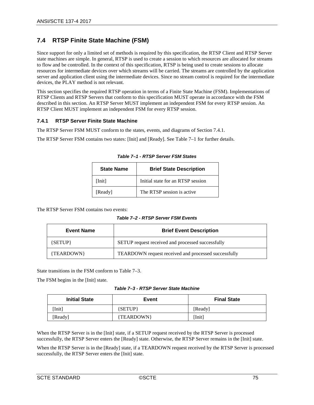# **7.4 RTSP Finite State Machine (FSM)**

Since support for only a limited set of methods is required by this specification, the RTSP Client and RTSP Server state machines are simple. In general, RTSP is used to create a session to which resources are allocated for streams to flow and be controlled. In the context of this specification, RTSP is being used to create sessions to allocate resources for intermediate devices over which streams will be carried. The streams are controlled by the application server and application client using the intermediate devices. Since no stream control is required for the intermediate devices, the PLAY method is not relevant.

This section specifies the required RTSP operation in terms of a Finite State Machine (FSM). Implementations of RTSP Clients and RTSP Servers that conform to this specification MUST operate in accordance with the FSM described in this section. An RTSP Server MUST implement an independent FSM for every RTSP session. An RTSP Client MUST implement an independent FSM for every RTSP session.

# <span id="page-74-0"></span>**7.4.1 RTSP Server Finite State Machine**

The RTSP Server FSM MUST conform to the states, events, and diagrams of Section [7.4.1.](#page-74-0)

<span id="page-74-1"></span>The RTSP Server FSM contains two states: [Init] and [Ready]. See [Table](#page-74-1) 7–1 for further details.

| <b>State Name</b> | <b>Brief State Description</b>    |
|-------------------|-----------------------------------|
| [Init]            | Initial state for an RTSP session |
| [Ready]           | The RTSP session is active.       |

*Table 7–1 - RTSP Server FSM States*

The RTSP Server FSM contains two events:

*Table 7–2 - RTSP Server FSM Events*

| <b>Event Name</b> | <b>Brief Event Description</b>                       |  |
|-------------------|------------------------------------------------------|--|
| ${ \{  SETUP \}}$ | SETUP request received and processed successfully    |  |
| {TEARDOWN}        | TEARDOWN request received and processed successfully |  |

State transitions in the FSM conform to [Table](#page-74-2) 7–3.

<span id="page-74-2"></span>The FSM begins in the [Init] state.

*Table 7–3 - RTSP Server State Machine*

| <b>Initial State</b> | Event      | <b>Final State</b> |
|----------------------|------------|--------------------|
| [Init]               | ${SETUP}$  | [Ready]            |
| [Ready]              | {TEARDOWN} | [Init]             |

When the RTSP Server is in the [Init] state, if a SETUP request received by the RTSP Server is processed successfully, the RTSP Server enters the [Ready] state. Otherwise, the RTSP Server remains in the [Init] state.

When the RTSP Server is in the [Ready] state, if a TEARDOWN request received by the RTSP Server is processed successfully, the RTSP Server enters the [Init] state.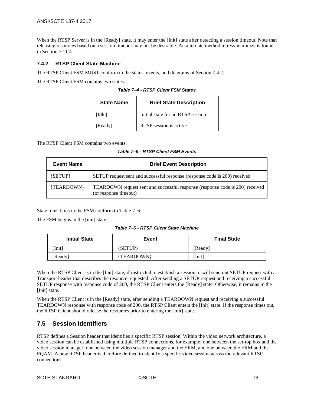When the RTSP Server is in the [Ready] state, it may enter the [Init] state after detecting a session timeout. Note that releasing resources based on a session timeout may not be desirable. An alternate method to resynchronize is found in Section [7.11.4.](#page-105-0)

## <span id="page-75-0"></span>**7.4.2 RTSP Client State Machine**

The RTSP Client FSM MUST conform to the states, events, and diagrams of Sectio[n 7.4.2.](#page-75-0)

The RTSP Client FSM contains two states:

| <b>State Name</b> | <b>Brief State Description</b>    |
|-------------------|-----------------------------------|
| [Idle]            | Initial state for an RTSP session |
| [Ready]           | RTSP session is active            |

*Table 7–4 - RTSP Client FSM States*

The RTSP Client FSM contains two events:

*Table 7–5 - RTSP Client FSM Events*

| <b>Event Name</b> | <b>Brief Event Description</b>                                                                         |
|-------------------|--------------------------------------------------------------------------------------------------------|
| ${SETUP}$         | SETUP request sent and successful response (response code is 200) received                             |
| {TEARDOWN}        | TEARDOWN request sent and successful response (response code is 200) received<br>(or response timeout) |

State transitions in the FSM conform to [Table](#page-75-1) 7–6.

<span id="page-75-1"></span>The FSM begins in the [init] state.

| Table 7-6 - RTSP Client State Machine |
|---------------------------------------|
|---------------------------------------|

| <b>Initial State</b> | Event      | <b>Final State</b> |
|----------------------|------------|--------------------|
| [Init]               | ${SETUP}$  | [Ready]            |
| [Ready]              | {TEARDOWN} | [Init]             |

When the RTSP Client is in the [Init] state, if instructed to establish a session, it will send out SETUP request with a Transport header that describes the resource requested. After sending a SETUP request and receiving a successful SETUP response with response code of 200, the RTSP Client enters the [Ready] state. Otherwise, it remains in the [Init] state.

When the RTSP Client is in the [Ready] state, after sending a TEARDOWN request and receiving a successful TEARDOWN response with response code of 200, the RTSP Client enters the [Init] state. If the response times out, the RTSP Client should release the resources prior to entering the [Init] state.

# **7.5 Session Identifiers**

RTSP defines a Session header that identifies a specific RTSP session. Within the video network architecture, a video session can be established using multiple RTSP connections, for example: one between the set-top box and the video session manager, one between the video session manager and the ERM, and one between the ERM and the EQAM. A new RTSP header is therefore defined to identify a specific video session across the relevant RTSP connections.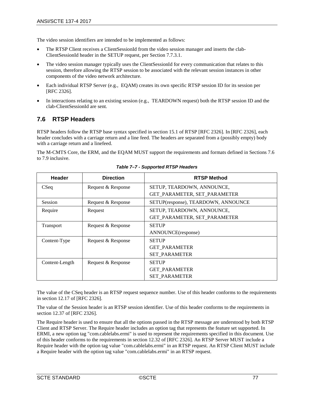The video session identifiers are intended to be implemented as follows:

- The RTSP Client receives a ClientSessionId from the video session manager and inserts the clab-ClientSessionId header in the SETUP request, per Sectio[n 7.7.3.1.](#page-78-1)
- The video session manager typically uses the ClientSessionId for every communication that relates to this session, therefore allowing the RTSP session to be associated with the relevant session instances in other components of the video network architecture.
- Each individual RTSP Server (e.g., EQAM) creates its own specific RTSP session ID for its session per [RFC [2326\].](#page-13-0)
- In interactions relating to an existing session (e.g., TEARDOWN request) both the RTSP session ID and the clab-ClientSessionId are sent.

# <span id="page-76-0"></span>**7.6 RTSP Headers**

RTSP headers follow the RTSP base syntax specified in section 15.1 of RTSP [RFC [2326\].](#page-13-0) In [RFC [2326\],](#page-13-0) each header concludes with a carriage return and a line feed. The headers are separated from a (possibly empty) body with a carriage return and a linefeed.

The M-CMTS Core, the ERM, and the EQAM MUST support the requirements and formats defined in Sections [7.6](#page-76-0) to [7.9](#page-93-0) inclusive.

| Header           | <b>Direction</b>   | <b>RTSP Method</b>                  |
|------------------|--------------------|-------------------------------------|
| CSeq             | Request & Response | SETUP, TEARDOWN, ANNOUNCE,          |
|                  |                    | GET PARAMETER, SET_PARAMETER        |
| Session          | Request & Response | SETUP(response), TEARDOWN, ANNOUNCE |
| Require          | Request            | SETUP, TEARDOWN, ANNOUNCE,          |
|                  |                    | GET PARAMETER, SET PARAMETER        |
| <b>Transport</b> | Request & Response | <b>SETUP</b>                        |
|                  |                    | ANNOUNCE(response)                  |
| Content-Type     | Request & Response | <b>SETUP</b>                        |
|                  |                    | <b>GET PARAMETER</b>                |
|                  |                    | <b>SET PARAMETER</b>                |
| Content-Length   | Request & Response | <b>SETUP</b>                        |
|                  |                    | <b>GET PARAMETER</b>                |
|                  |                    | <b>SET PARAMETER</b>                |

*Table 7–7 - Supported RTSP Headers* 

The value of the CSeq header is an RTSP request sequence number. Use of this header conforms to the requirements in section 12.17 of [RFC [2326\].](#page-13-0)

The value of the Session header is an RTSP session identifier. Use of this header conforms to the requirements in section 12.37 of [RFC [2326\].](#page-13-0)

The Require header is used to ensure that all the options passed in the RTSP message are understood by both RTSP Client and RTSP Server. The Require header includes an option tag that represents the feature set supported. In ERMI, a new option tag "com.cablelabs.ermi" is used to represent the requirements specified in this document. Use of this header conforms to the requirements in section 12.32 of [RFC [2326\].](#page-13-0) An RTSP Server MUST include a Require header with the option tag value "com.cablelabs.ermi" in an RTSP request. An RTSP Client MUST include a Require header with the option tag value "com.cablelabs.ermi" in an RTSP request.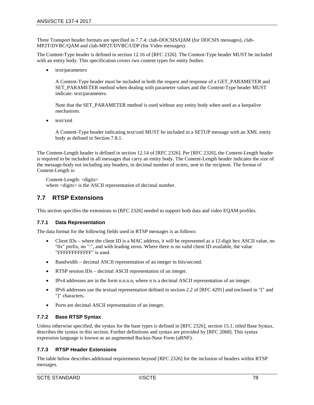Three Transport header formats are specified in [7.7.4:](#page-83-0) clab-DOCSIS/QAM (for DOCSIS messages), clab-MP2T/DVBC/QAM and clab-MP2T/DVBC/UDP (for Video messages).

The Content-Type header is defined in section 12.16 of [RFC [2326\].](#page-13-0) The Content-Type header MUST be included with an entity body. This specification covers two content types for entity bodies:

• text/parameters

A Content-Type header must be included in both the request and response of a GET\_PARAMETER and SET\_PARAMETER method when dealing with parameter values and the Content-Type header MUST indicate: text/parameters.

Note that the SET\_PARAMETER method is used without any entity body when used as a keepalive mechanism.

• text/xml

A Content-Type header indicating text/xml MUST be included in a SETUP message with an XML entity body as defined in Sectio[n 7.8.1.](#page-91-1)

The Content-Length header is defined in section 12.14 of [RFC [2326\].](#page-13-0) Per [RFC [2326\],](#page-13-0) the Content-Length header is required to be included in all messages that carry an entity body. The Content-Length header indicates the size of the message-body not including any headers, in decimal number of octets, sent to the recipient. The format of Content-Length is:

Content-Length: <digits> where <digits> is the ASCII representation of decimal number.

# **7.7 RTSP Extensions**

This section specifies the extensions to [\[RFC](#page-13-0) 2326] needed to support both data and video EQAM profiles.

# **7.7.1 Data Representation**

The data format for the following fields used in RTSP messages is as follows:

- Client IDs where the client ID is a MAC address, it will be represented as a 12-digit hex ASCII value, no "0x" prefix, no ":", and with leading zeros. Where there is no valid client ID available, the value "FFFFFFFFFFFF" is used.
- Bandwidth decimal ASCII representation of an integer in bits/second.
- RTSP session IDs decimal ASCII representation of an integer.
- IPv4 addresses are in the form n.n.n.n, where n is a decimal ASCII representation of an integer.
- IPv6 addresses use the textual representation defined in section 2.2 of [\[RFC](#page-13-1) 4291] and enclosed in "[" and "]" characters.
- Ports are decimal ASCII representation of an integer.

# **7.7.2 Base RTSP Syntax**

Unless otherwise specified, the syntax for the base types is defined in [RFC [2326\],](#page-13-0) section 15.1, titled Base Syntax, describes the syntax in this section. Further definitions and syntax are provided by [RFC [2068\].](#page-13-2) This syntax expression language is known as an augmented Backus-Naur Form (aBNF).

# **7.7.3 RTSP Header Extensions**

The table below describes additional requirements beyond [\[RFC](#page-13-0) 2326] for the inclusion of headers within RTSP messages.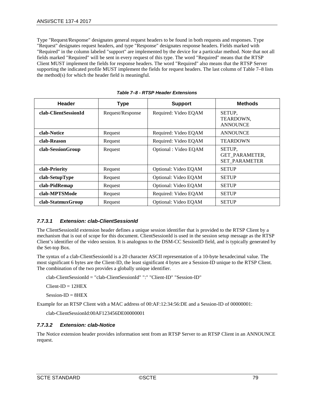Type "Request/Response" designates general request headers to be found in both requests and responses. Type "Request" designates request headers, and type "Response" designates response headers. Fields marked with "Required" in the column labeled "support" are implemented by the device for a particular method. Note that not all fields marked "Required" will be sent in every request of this type. The word "Required" means that the RTSP Client MUST implement the fields for response headers. The word "Required" also means that the RTSP Server supporting the indicated profile MUST implement the fields for request headers. The last column of [Table 7–8](#page-78-2) lists the method(s) for which the header field is meaningful.

<span id="page-78-2"></span>

| Header               | <b>Type</b>      | <b>Support</b>        | <b>Methods</b>                                          |
|----------------------|------------------|-----------------------|---------------------------------------------------------|
| clab-ClientSessionId | Request/Response | Required: Video EQAM  | SETUP.<br>TEARDOWN,<br><b>ANNOUNCE</b>                  |
| clab-Notice          | Request          | Required: Video EQAM  | <b>ANNOUNCE</b>                                         |
| clab-Reason          | Request          | Required: Video EQAM  | <b>TEARDOWN</b>                                         |
| clab-SessionGroup    | Request          | Optional : Video EQAM | SETUP.<br><b>GET PARAMETER.</b><br><b>SET PARAMETER</b> |
| clab-Priority        | Request          | Optional: Video EQAM  | <b>SETUP</b>                                            |
| clab-SetupType       | Request          | Optional: Video EQAM  | <b>SETUP</b>                                            |
| clab-PidRemap        | Request          | Optional: Video EQAM  | <b>SETUP</b>                                            |
| clab-MPTSMode        | Request          | Required: Video EQAM  | <b>SETUP</b>                                            |
| clab-StatmuxGroup    | Request          | Optional: Video EQAM  | <b>SETUP</b>                                            |

# <span id="page-78-1"></span>*7.7.3.1 Extension: clab-ClientSessionId*

The ClientSessionId extension header defines a unique session identifier that is provided to the RTSP Client by a mechanism that is out of scope for this document. ClientSessionId is used in the session setup message as the RTSP Client's identifier of the video session. It is analogous to the DSM-CC SessionID field, and is typically generated by the Set-top Box.

The syntax of a clab-ClientSessionId is a 20 character ASCII representation of a 10-byte hexadecimal value. The most significant 6 bytes are the Client-ID, the least significant 4 bytes are a Session-ID unique to the RTSP Client. The combination of the two provides a globally unique identifier.

clab-ClientSessionId = "clab-ClientSessionId" ":" "Client-ID" "Session-ID"

 $Client-ID = 12HEX$ 

Session-ID = 8HEX

Example for an RTSP Client with a MAC address of 00:AF:12:34:56:DE and a Session-ID of 00000001:

clab-ClientSessionId:00AF123456DE00000001

# <span id="page-78-0"></span>*7.7.3.2 Extension: clab-Notice*

The Notice extension header provides information sent from an RTSP Server to an RTSP Client in an ANNOUNCE request.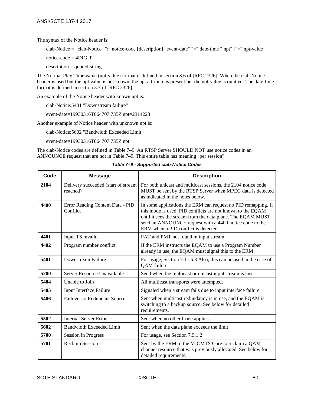The syntax of the Notice header is:

clab-Notice = "clab-Notice" ":" notice-code [description] "event-date" "=" date-time " npt" ["=" npt-value]

notice-code = 4DIGIT

 $description = quoted-string$ 

The Normal Play Time value (npt-value) format is defined in section 3.6 of [RFC [2326\].](#page-13-0) When the clab-Notice header is used but the npt value is not known, the npt attribute is present but the npt-value is omitted. The date-time format is defined in section 3.7 of [RFC [2326\].](#page-13-0)

An example of the Notice header with known npt is:

clab-Notice:5401 "Downstream failure"

event-date=19930316T064707.735Z npt=2314223

Another example of Notice header with unknown npt is:

clab-Notice:5602 "Bandwidth Exceeded Limit"

event-date=19930316T064707.735Z npt

The clab-Notice codes are defined in [Table 7–9.](#page-79-0) An RTSP Server SHOULD NOT use notice codes in an ANNOUNCE request that are not i[n Table 7–9.](#page-79-0) This entire table has meaning "per session".

*Table 7–9 - Supported clab-Notice Codes*

<span id="page-79-0"></span>

| Code | <b>Message</b>                                  | <b>Description</b>                                                                                                                                                                                                                                                                            |
|------|-------------------------------------------------|-----------------------------------------------------------------------------------------------------------------------------------------------------------------------------------------------------------------------------------------------------------------------------------------------|
| 2104 | Delivery succeeded (start of stream<br>reached) | For both unicast and multicast sessions, the 2104 notice code<br>MUST be sent by the RTSP Server when MPEG data is detected<br>as indicated in the notes below.                                                                                                                               |
| 4400 | Error Reading Content Data - PID<br>Conflict    | In some applications the ERM can request no PID remapping. If<br>this mode is used, PID conflicts are not known to the EQAM<br>until it sees the stream from the data plane. The EQAM MUST<br>send an ANNOUNCE request with a 4400 notice code to the<br>ERM when a PID conflict is detected. |
| 4401 | Input TS invalid                                | PAT and PMT not found in input stream                                                                                                                                                                                                                                                         |
| 4402 | Program number conflict                         | If the ERM instructs the EQAM to use a Program Number<br>already in use, the EQAM must signal this to the ERM                                                                                                                                                                                 |
| 5401 | Downstream Failure                              | For usage, Section 7.11.5.3 Also, this can be used in the case of<br>QAM failure                                                                                                                                                                                                              |
| 5200 | Server Resource Unavailable                     | Send when the multicast or unicast input stream is lost                                                                                                                                                                                                                                       |
| 5404 | Unable to Join                                  | All multicast transports were attempted.                                                                                                                                                                                                                                                      |
| 5405 | Input Interface Failure                         | Signaled when a stream fails due to input interface failure                                                                                                                                                                                                                                   |
| 5406 | <b>Failover to Redundant Source</b>             | Sent when multicast redundancy is in use, and the EQAM is<br>switching to a backup source. See below for detailed<br>requirements.                                                                                                                                                            |
| 5502 | <b>Internal Server Error</b>                    | Sent when no other Code applies.                                                                                                                                                                                                                                                              |
| 5602 | Bandwidth Exceeded Limit                        | Sent when the data plane exceeds the limit                                                                                                                                                                                                                                                    |
| 5700 | <b>Session in Progress</b>                      | For usage, see Section 7.9.1.2                                                                                                                                                                                                                                                                |
| 5701 | <b>Reclaim Session</b>                          | Sent by the ERM to the M-CMTS Core to reclaim a QAM<br>channel resource that was previously allocated. See below for<br>detailed requirements.                                                                                                                                                |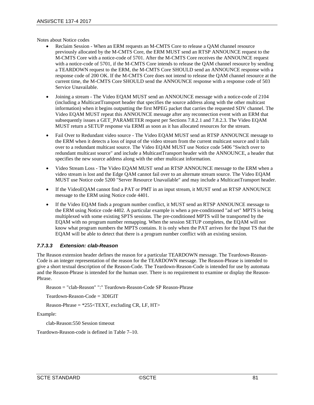Notes about Notice codes

- Reclaim Session When an ERM requests an M-CMTS Core to release a QAM channel resource previously allocated by the M-CMTS Core, the ERM MUST send an RTSP ANNOUNCE request to the M-CMTS Core with a notice-code of 5701. After the M-CMTS Core receives the ANNOUNCE request with a notice-code of 5701, if the M-CMTS Core intends to release the QAM channel resource by sending a TEARDOWN request to the ERM, the M-CMTS Core SHOULD send an ANNOUNCE response with a response code of 200 OK. If the M-CMTS Core does not intend to release the QAM channel resource at the current time, the M-CMTS Core SHOULD send the ANNOUNCE response with a response code of 503 Service Unavailable.
- Joining a stream The Video EQAM MUST send an ANNOUNCE message with a notice-code of 2104 (including a MulticastTransport header that specifies the source address along with the other multicast information) when it begins outputting the first MPEG packet that carries the requested SDV channel. The Video EQAM MUST repeat this ANNOUNCE message after any reconnection event with an ERM that subsequently issues a GET\_PARAMETER request per Sections [7.8.2.1](#page-92-1) an[d 7.8.2.3.](#page-93-1) The Video EQAM MUST return a SETUP response via ERMI as soon as it has allocated resources for the stream.
- Fail Over to Redundant video source The Video EQAM MUST send an RTSP ANNOUNCE message to the ERM when it detects a loss of input of the video stream from the current multicast source and it fails over to a redundant multicast source. The Video EQAM MUST use Notice code 5406 "Switch over to redundant multicast source" and include a MulticastTransport header with the ANNOUNCE, a header that specifies the new source address along with the other multicast information.
- Video Stream Loss The Video EQAM MUST send an RTSP ANNOUNCE message to the ERM when a video stream is lost and the Edge QAM cannot fail over to an alternate stream source. The Video EQAM MUST use Notice code 5200 "Server Resource Unavailable" and may include a MulticastTransport header.
- If the VideoEQAM cannot find a PAT or PMT in an input stream, it MUST send an RTSP ANNOUNCE message to the ERM using Notice code 4401.
- If the Video EQAM finds a program number conflict, it MUST send an RTSP ANNOUNCE message to the ERM using Notice code 4402. A particular example is when a pre-conditioned "ad set" MPTS is being multiplexed with some existing SPTS sessions. The pre-conditioned MPTS will be transported by the EQAM with no program number remapping. When the session SETUP completes, the EQAM will not know what program numbers the MPTS contains. It is only when the PAT arrives for the Input TS that the EQAM will be able to detect that there is a program number conflict with an existing session.

# *7.7.3.3 Extension: clab-Reason*

The Reason extension header defines the reason for a particular TEARDOWN message. The Teardown-Reason-Code is an integer representation of the reason for the TEARDOWN message. The Reason-Phrase is intended to give a short textual description of the Reason-Code. The Teardown-Reason-Code is intended for use by automata and the Reason-Phrase is intended for the human user. There is no requirement to examine or display the Reason-Phrase.

Reason = "clab-Reason" ":" Teardown-Reason-Code SP Reason-Phrase

Teardown-Reason-Code = 3DIGIT

Reason-Phrase  $=$  \*255 $\lt$ TEXT, excluding CR, LF, HT $>$ 

Example:

clab-Reason:550 Session timeout

Teardown-Reason-code is defined in [Table 7–10.](#page-81-0)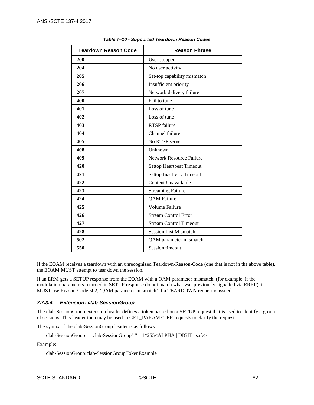<span id="page-81-0"></span>

| <b>Teardown Reason Code</b> | <b>Reason Phrase</b>             |
|-----------------------------|----------------------------------|
| 200                         | User stopped                     |
| 204                         | No user activity                 |
| 205                         | Set-top capability mismatch      |
| 206                         | Insufficient priority            |
| 207                         | Network delivery failure         |
| 400                         | Fail to tune                     |
| 401                         | Loss of tune                     |
| 402                         | Loss of tune                     |
| 403                         | <b>RTSP</b> failure              |
| 404                         | Channel failure                  |
| 405                         | No RTSP server                   |
| 408                         | Unknown                          |
| 409                         | <b>Network Resource Failure</b>  |
| 420                         | <b>Settop Heartbeat Timeout</b>  |
| 421                         | <b>Settop Inactivity Timeout</b> |
| 422                         | Content Unavailable              |
| 423                         | <b>Streaming Failure</b>         |
| 424                         | <b>QAM</b> Failure               |
| 425                         | Volume Failure                   |
| 426                         | <b>Stream Control Error</b>      |
| 427                         | <b>Stream Control Timeout</b>    |
| 428                         | <b>Session List Mismatch</b>     |
| 502                         | QAM parameter mismatch           |
| 550                         | Session timeout                  |

*Table 7–10 - Supported Teardown Reason Codes*

If the EQAM receives a teardown with an unrecognized Teardown-Reason-Code (one that is not in the above table), the EQAM MUST attempt to tear down the session.

If an ERM gets a SETUP response from the EQAM with a QAM parameter mismatch, (for example, if the modulation parameters returned in SETUP response do not match what was previously signalled via ERRP), it MUST use Reason-Code 502, 'QAM parameter mismatch' if a TEARDOWN request is issued.

# <span id="page-81-1"></span>*7.7.3.4 Extension: clab-SessionGroup*

The clab-SessionGroup extension header defines a token passed on a SETUP request that is used to identify a group of sessions. This header then may be used in GET\_PARAMETER requests to clarify the request.

The syntax of the clab-SessionGroup header is as follows:

clab-SessionGroup = "clab-SessionGroup" ":" 1\*255<ALPHA | DIGIT | safe>

Example:

clab-SessionGroup:clab-SessionGroupTokenExample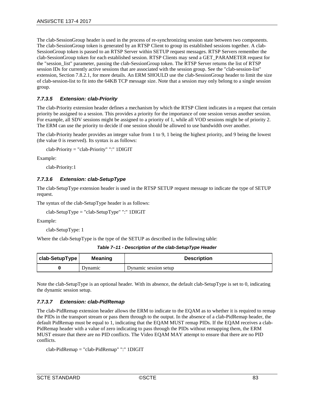The clab-SessionGroup header is used in the process of re-synchronizing session state between two components. The clab-SessionGroup token is generated by an RTSP Client to group its established sessions together. A clab-SessionGroup token is passed to an RTSP Server within SETUP request messages. RTSP Servers remember the clab-SessionGroup token for each established session. RTSP Clients may send a GET\_PARAMETER request for the "session\_list" parameter, passing the clab-SessionGroup token. The RTSP Server returns the list of RTSP session IDs for currently active sessions that are associated with the session group. See the "clab-session-list" extension, Section [7.8.2.1,](#page-92-1) for more details. An ERM SHOULD use the clab-SessionGroup header to limit the size of clab-session-list to fit into the 64KB TCP message size. Note that a session may only belong to a single session group.

# *7.7.3.5 Extension: clab-Priority*

The clab-Priority extension header defines a mechanism by which the RTSP Client indicates in a request that certain priority be assigned to a session. This provides a priority for the importance of one session versus another session. For example, all SDV sessions might be assigned to a priority of 1, while all VOD sessions might be of priority 2. The ERM can use the priority to decide if one session should be allowed to use bandwidth over another.

The clab-Priority header provides an integer value from 1 to 9, 1 being the highest priority, and 9 being the lowest (the value 0 is reserved). Its syntax is as follows:

clab-Priority = "clab-Priority" ":" 1DIGIT

Example:

clab-Priority:1

## *7.7.3.6 Extension: clab-SetupType*

The clab-SetupType extension header is used in the RTSP SETUP request message to indicate the type of SETUP request.

The syntax of the clab-SetupType header is as follows:

clab-SetupType = "clab-SetupType" ":" 1DIGIT

Example:

clab-SetupType: 1

Where the clab-SetupType is the type of the SETUP as described in the following table:

*Table 7–11 - Description of the clab-SetupType Header* 

| clab-SetupType | Meaning | <b>Description</b>    |
|----------------|---------|-----------------------|
|                | Dynamic | Dynamic session setup |

Note the clab-SetupType is an optional header. With its absence, the default clab-SetupType is set to 0, indicating the dynamic session setup.

### *7.7.3.7 Extension: clab-PidRemap*

The clab-PidRemap extension header allows the ERM to indicate to the EQAM as to whether it is required to remap the PIDs in the transport stream or pass them through to the output. In the absence of a clab-PidRemap header, the default PidRemap must be equal to 1, indicating that the EQAM MUST remap PIDs. If the EQAM receives a clab-PidRemap header with a value of zero indicating to pass through the PIDs without remapping them, the ERM MUST ensure that there are no PID conflicts. The Video EQAM MAY attempt to ensure that there are no PID conflicts.

```
clab-PidRemap = "clab-PidRemap" ":" 1DIGIT
```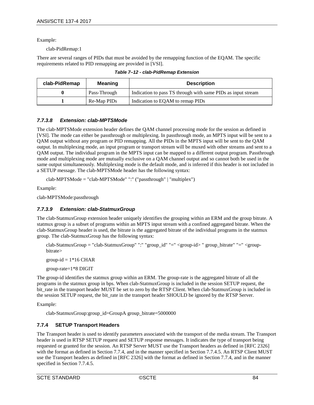Example:

clab-PidRemap:1

There are several ranges of PIDs that must be avoided by the remapping function of the EQAM. The specific requirements related to PID remapping are provided i[n \[VSI\].](#page-13-3) 

*Table 7–12 - clab-PidRemap Extension*

| clab-PidRemap | <b>Meaning</b> | <b>Description</b>                                           |
|---------------|----------------|--------------------------------------------------------------|
| 0             | Pass-Through   | Indication to pass TS through with same PIDs as input stream |
|               | Re-Map PIDs    | Indication to EQAM to remap PIDs                             |

## *7.7.3.8 Extension: clab-MPTSMode*

The clab-MPTSMode extension header defines the QAM channel processing mode for the session as defined in [\[VSI\].](#page-13-3) The mode can either be passthrough or multiplexing. In passthrough mode, an MPTS input will be sent to a QAM output without any program or PID remapping. All the PIDs in the MPTS input will be sent to the QAM output. In multiplexing mode, an input program or transport stream will be muxed with other streams and sent to a QAM output. The individual program in the MPTS input can be mapped to a different output program. Passthrough mode and multiplexing mode are mutually exclusive on a QAM channel output and so cannot both be used in the same output simultaneously. Multiplexing mode is the default mode, and is inferred if this header is not included in a SETUP message. The clab-MPTSMode header has the following syntax:

clab-MPTSMode = "clab-MPTSMode" ":" ("passthrough" | "multiplex")

Example:

clab-MPTSMode:passthrough

### *7.7.3.9 Extension: clab-StatmuxGroup*

The clab-StatmuxGroup extension header uniquely identifies the grouping within an ERM and the group bitrate. A statmux group is a subset of programs within an MPTS input stream with a confined aggregated bitrate. When the clab-StatmuxGroup header is used, the bitrate is the aggregated bitrate of the individual programs in the statmux group. The clab-StatmuxGroup has the following syntax:

clab-StatmuxGroup = "clab-StatmuxGroup" ":" "group\_id" "=" <group-id> " group\_bitrate" "=" <groupbitrate>

group-id  $= 1*16$  CHAR

group-rate=1\*8 DIGIT

The group-id identifies the statmux group within an ERM. The group-rate is the aggregated bitrate of all the programs in the statmux group in bps. When clab-StatmuxGroup is included in the session SETUP request, the bit\_rate in the transport header MUST be set to zero by the RTSP Client. When clab-StatmuxGroup is included in the session SETUP request, the bit\_rate in the transport header SHOULD be ignored by the RTSP Server.

Example:

clab-StatmuxGroup:group\_id=GroupA group\_bitrate=5000000

# <span id="page-83-0"></span>**7.7.4 SETUP Transport Headers**

The Transport header is used to identify parameters associated with the transport of the media stream. The Transport header is used in RTSP SETUP request and SETUP response messages. It indicates the type of transport being requested or granted for the session. An RTSP Server MUST use the Transport headers as defined in [\[RFC](#page-13-0) 2326] with the format as defined in Section [7.7.4,](#page-83-0) and in the manner specified in Section [7.7.4.5.](#page-90-0) An RTSP Client MUST use the Transport headers as defined i[n \[RFC](#page-13-0) 2326] with the format as defined in Section [7.7.4,](#page-83-0) and in the manner specified in Section [7.7.4.5.](#page-90-0)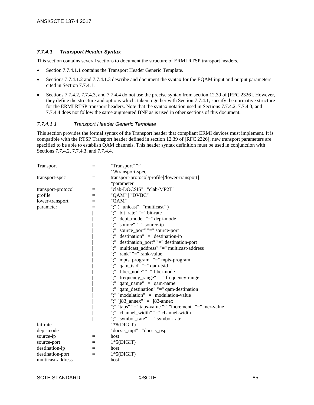## <span id="page-84-1"></span>*7.7.4.1 Transport Header Syntax*

This section contains several sections to document the structure of ERMI RTSP transport headers.

- Section [7.7.4.1.1](#page-84-0) contains the Transport Header Generic Template.
- Sections [7.7.4.1.2](#page-85-0) and [7.7.4.1.3](#page-86-0) describe and document the syntax for the EQAM input and output parameters cited in Sectio[n 7.7.4.1.1.](#page-84-0)
- Sections [7.7.4.2,](#page-86-1) [7.7.4.3,](#page-88-0) and [7.7.4.4](#page-89-0) do not use the precise syntax from section 12.39 of [RFC [2326\].](#page-13-0) However, they define the structure and options which, taken together with Section [7.7.4.1,](#page-84-1) specify the normative structure for the ERMI RTSP transport headers. Note that the syntax notation used in Sections [7.7.4.2,](#page-86-1) [7.7.4.3,](#page-88-0) and [7.7.4.4](#page-89-0) does not follow the same augmented BNF as is used in other sections of this document.

### <span id="page-84-0"></span>*7.7.4.1.1 Transport Header Generic Template*

This section provides the formal syntax of the Transport header that compliant ERMI devices must implement. It is compatible with the RTSP Transport header defined in section 12.39 of [RFC [2326\];](#page-13-0) new transport parameters are specified to be able to establish QAM channels. This header syntax definition must be used in conjunction with Sections [7.7.4.2,](#page-86-1) [7.7.4.3,](#page-88-0) and [7.7.4.4.](#page-89-0)

| Transport          | $=$      | "Transport" ":"                                          |
|--------------------|----------|----------------------------------------------------------|
|                    |          | 1\#transport-spec                                        |
| transport-spec     | $=$      | transport-protocol/profile[/lower-transport]             |
|                    |          | *parameter                                               |
| transport-protocol | $=$      | "clab-DOCSIS"   "clab-MP2T"                              |
| profile            | $=$      | "QAM"   "DVBC"                                           |
| lower-transport    | $=$      | "QAM"                                                    |
| parameter          | $=$      | ";" ("unicast"   "multicast")                            |
|                    |          | ";" "bit_rate" "=" bit-rate                              |
|                    |          | ";" "depi_mode" "=" depi-mode                            |
|                    |          | ";" "source" "=" source-ip                               |
|                    |          | ";" "source_port" "=" source-port                        |
|                    |          | ";" "destination" "=" destination-ip                     |
|                    |          | ";" "destination_port" "=" destination-port              |
|                    |          | ";" "multicast_address" "=" multicast-address            |
|                    |          | ":" "rank" "=" rank-value                                |
|                    |          | ";" "mpts_program" "=" mpts-program                      |
|                    |          | ";" "qam_tsid" "=" qam-tsid                              |
|                    |          | ";" "fiber_node" "=" fiber-node                          |
|                    |          | ";" "frequency_range" "=" frequency-range                |
|                    |          | ";" "qam_name" "=" qam-name                              |
|                    |          | ";" "qam_destination" "=" qam-destination                |
|                    |          | ";" "modulation" "=" modulation-value                    |
|                    |          | ";" "j83_annex" "=" j83-annex                            |
|                    |          | ";" "taps" "=" taps-value ";" "increment" "=" incr-value |
|                    |          | ";" "channel_width" "=" channel-width                    |
|                    |          | ";" "symbol_rate" "=" symbol-rate"                       |
| bit-rate           | $=$      | $1*8(DIGIT)$                                             |
| depi-mode          | $=$      | "docsis_mpt"   "docsis_psp"                              |
| source-ip          | $=$      | host                                                     |
| source-port        | $=$      | $1*5(DIGIT)$                                             |
| destination-ip     | $\equiv$ | host                                                     |
| destination-port   | $=$      | $1*5(DIGIT)$                                             |
| multicast-address  | $=$      | host                                                     |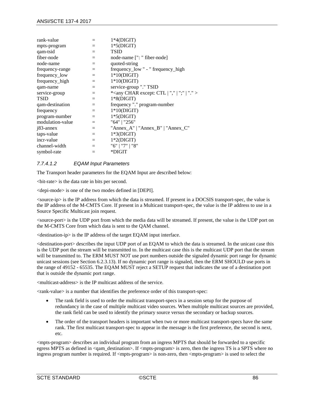| $=$ | $1*4(DIGIT)$                                                      |
|-----|-------------------------------------------------------------------|
| $=$ | $1*5(DIGIT)$                                                      |
| $=$ | <b>TSID</b>                                                       |
| $=$ | node-name [": " fiber-node]                                       |
| $=$ | quoted-string                                                     |
| $=$ | frequency_low " - " frequency_high                                |
| $=$ | $1*10(DIGIT)$                                                     |
| $=$ | $1*10(DIGIT)$                                                     |
| $=$ | service-group "." TSID                                            |
| $=$ | * <any ","="" "."="" ";"="" char="" ctl="" except:=""  =""></any> |
| $=$ | $1*8(DIGIT)$                                                      |
| $=$ | frequency "." program-number                                      |
| $=$ | $1*10(DIGIT)$                                                     |
| $=$ | $1*5(DIGIT)$                                                      |
| $=$ | "64"   "256"                                                      |
| $=$ | "Annex_A"   "Annex_B"   "Annex_C"                                 |
| $=$ | $1*3(DIGIT)$                                                      |
| $=$ | $1*2(DIGIT)$                                                      |
| $=$ | "6"   "7"   "8"                                                   |
| $=$ | *DIGIT                                                            |
|     |                                                                   |

# <span id="page-85-0"></span>*7.7.4.1.2 EQAM Input Parameters*

The Transport header parameters for the EQAM Input are described below:

<bit-rate> is the data rate in bits per second.

<depi-mode> is one of the two modes defined in [\[DEPI\].](#page-13-4)

<source-ip> is the IP address from which the data is streamed. If present in a DOCSIS transport-spec, the value is the IP address of the M-CMTS Core. If present in a Multicast transport-spec, the value is the IP address to use in a Source Specific Multicast join request.

<source-port> is the UDP port from which the media data will be streamed. If present, the value is the UDP port on the M-CMTS Core from which data is sent to the QAM channel.

 $\leq$  destination-ip $>$  is the IP address of the target EQAM input interface.

<destination-port> describes the input UDP port of an EQAM to which the data is streamed. In the unicast case this is the UDP port the stream will be transmitted to. In the multicast case this is the multicast UDP port that the stream will be transmitted to. The ERM MUST NOT use port numbers outside the signaled dynamic port range for dynamic unicast sessions (see Section [6.2.3.13\)](#page-52-0). If no dynamic port range is signaled, then the ERM SHOULD use ports in the range of 49152 - 65535. The EQAM MUST reject a SETUP request that indicates the use of a destination port that is outside the dynamic port range.

<multicast-address> is the IP multicast address of the service.

<rank-value> is a number that identifies the preference order of this transport-spec:

- The rank field is used to order the multicast transport-specs in a session setup for the purpose of redundancy in the case of multiple multicast video sources. When multiple multicast sources are provided, the rank field can be used to identify the primary source versus the secondary or backup sources.
- The order of the transport headers is important when two or more multicast transport-specs have the same rank. The first multicast transport-spec to appear in the message is the first preference, the second is next, etc.

<mpts-program> describes an individual program from an ingress MPTS that should be forwarded to a specific egress MPTS as defined in  $\alpha$  =  $\alpha$  destination  $>$ . If  $\alpha$  =  $\alpha$  =  $\alpha$  is zero, then the ingress TS is a SPTS where no ingress program number is required. If <mpts-program> is non-zero, then <mpts-program> is used to select the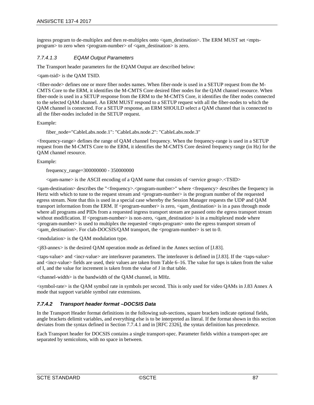ingress program to de-multiplex and then re-multiplex onto <qam\_destination>. The ERM MUST set <mptsprogram> to zero when <program-number> of <qam\_destination> is zero.

# <span id="page-86-0"></span>*7.7.4.1.3 EQAM Output Parameters*

The Transport header parameters for the EQAM Output are described below:

<qam-tsid> is the QAM TSID.

<fiber-node> defines one or more fiber nodes names. When fiber-node is used in a SETUP request from the M-CMTS Core to the ERM, it identifies the M-CMTS Core desired fiber nodes for the QAM channel resource. When fiber-node is used in a SETUP response from the ERM to the M-CMTS Core, it identifies the fiber nodes connected to the selected QAM channel. An ERM MUST respond to a SETUP request with all the fiber-nodes to which the QAM channel is connected. For a SETUP response, an ERM SHOULD select a QAM channel that is connected to all the fiber-nodes included in the SETUP request.

Example:

fiber\_node="CableLabs.node.1": "CableLabs.node.2": "CableLabs.node.3"

<frequency-range> defines the range of QAM channel frequency. When the frequency-range is used in a SETUP request from the M-CMTS Core to the ERM, it identifies the M-CMTS Core desired frequency range (in Hz) for the QAM channel resource.

Example:

frequency\_range=300000000 - 350000000

<qam-name> is the ASCII encoding of a QAM name that consists of <service group>.<TSID>

<qam-destination> describes the "<frequency>.<program-number>" where <frequency> describes the frequency in Hertz with which to tune to the request stream and  $\langle$ program-number $\rangle$  is the program number of the requested egress stream. Note that this is used in a special case whereby the Session Manager requests the UDP and QAM transport information from the ERM. If <program-number> is zero, <qam\_destination> is in a pass through mode where all programs and PIDs from a requested ingress transport stream are passed onto the egress transport stream without modification. If  $\langle$ program-number> is non-zero,  $\langle$ qam\_destination> is in a multiplexed mode where <program-number> is used to multiplex the requested <mpts-program> onto the egress transport stream of <qam\_destination>. For clab-DOCSIS/QAM transport, the <program-number> is set to 0.

<modulation> is the QAM modulation type.

 $\langle$ j83-annex> is the desired QAM operation mode as defined in the Annex section of [\[J.83\].](#page-13-5)

 $\langle$  taps-value $\rangle$  and  $\langle$  incr-value $\rangle$  are interleaver parameters. The interleaver is defined in [\[J.83\].](#page-13-5) If the  $\langle$  taps-value $\rangle$ and <incr-value> fields are used, their values are taken fro[m Table](#page-43-0) 6–16. The value for taps is taken from the value of I, and the value for increment is taken from the value of J in that table.

<channel-width> is the bandwidth of the QAM channel, in MHz.

<symbol-rate> is the QAM symbol rate in symbols per second. This is only used for video QAMs in J.83 Annex A mode that support variable symbol rate extensions.

# <span id="page-86-1"></span>*7.7.4.2 Transport header format –DOCSIS Data*

In the Transport Header format definitions in the following sub-sections, square brackets indicate optional fields, angle brackets delimit variables, and everything else is to be interpreted as literal. If the format shown in this section deviates from the syntax defined in Section [7.7.4.1](#page-84-1) and in [RFC [2326\],](#page-13-0) the syntax definition has precedence.

Each Transport header for DOCSIS contains a single transport-spec. Parameter fields within a transport-spec are separated by semicolons, with no space in between.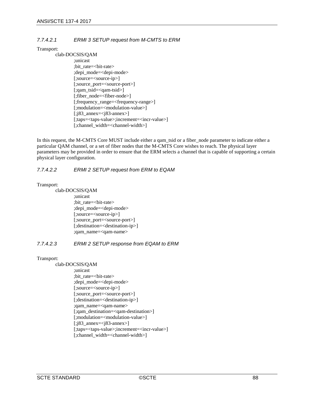# *7.7.4.2.1 ERMI 3 SETUP request from M-CMTS to ERM*

### Transport:

clab-DOCSIS/QAM ;unicast ;bit\_rate=<bit-rate> ;depi\_mode=<depi-mode> [;source=<source-ip>] [;source\_port=<source-port>] [;qam\_tsid=<qam-tsid>] [;fiber\_node=<fiber-node>] [;frequency\_range=<frequency-range>] [;modulation=<modulation-value>] [;j83\_annex=<j83-annex>] [;taps=<taps-value>;increment=<incr-value>] [;channel\_width=<channel-width>]

In this request, the M-CMTS Core MUST include either a qam\_tsid or a fiber\_node parameter to indicate either a particular QAM channel, or a set of fiber nodes that the M-CMTS Core wishes to reach. The physical layer parameters may be provided in order to ensure that the ERM selects a channel that is capable of supporting a certain physical layer configuration.

## *7.7.4.2.2 ERMI 2 SETUP request from ERM to EQAM*

Transport:

clab-DOCSIS/QAM ;unicast ;bit\_rate=<bit-rate> ;depi\_mode=<depi-mode> [;source=<source-ip>] [;source\_port=<source-port>] [;destination=<destination-ip>] ;qam\_name=<qam-name>

# *7.7.4.2.3 ERMI 2 SETUP response from EQAM to ERM*

### Transport:

clab-DOCSIS/QAM ;unicast ;bit\_rate=<bit-rate> ;depi\_mode=<depi-mode> [;source=<source-ip>] [;source\_port=<source-port>] [;destination=<destination-ip>] ;qam\_name=<qam-name> [;qam\_destination=<qam-destination>] [;modulation=<modulation-value>] [;j83\_annex=<j83-annex>] [;taps=<taps-value>;increment=<incr-value>] [;channel\_width=<channel-width>]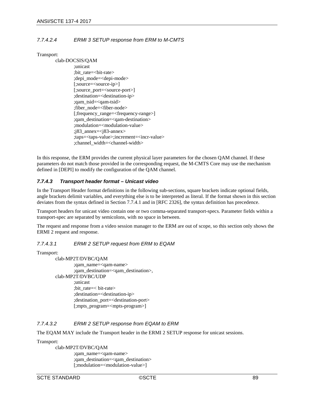# *7.7.4.2.4 ERMI 3 SETUP response from ERM to M-CMTS*

Transport:

#### clab-DOCSIS/QAM

;unicast ;bit\_rate=<bit-rate> ;depi\_mode=<depi-mode> [;source=<source-ip>] [;source\_port=<source-port>] ;destination=<destination-ip> ;qam\_tsid=<qam-tsid> ;fiber\_node=<fiber-node> [;frequency\_range=<frequency-range>] ;qam\_destination=<qam-destination> ;modulation=<modulation-value> ;j83\_annex=<j83-annex> ;taps=<taps-value>;increment=<incr-value> ;channel\_width=<channel-width>

In this response, the ERM provides the current physical layer parameters for the chosen QAM channel. If these parameters do not match those provided in the corresponding request, the M-CMTS Core may use the mechanism defined in [\[DEPI\]](#page-13-4) to modify the configuration of the QAM channel.

## <span id="page-88-0"></span>*7.7.4.3 Transport header format – Unicast video*

In the Transport Header format definitions in the following sub-sections, square brackets indicate optional fields, angle brackets delimit variables, and everything else is to be interpreted as literal. If the format shown in this section deviates from the syntax defined in Section [7.7.4.1](#page-84-1) and in [RFC [2326\],](#page-13-0) the syntax definition has precedence.

Transport headers for unicast video contain one or two comma-separated transport-specs. Parameter fields within a transport-spec are separated by semicolons, with no space in between.

The request and response from a video session manager to the ERM are out of scope, so this section only shows the ERMI 2 request and response.

### *7.7.4.3.1 ERMI 2 SETUP request from ERM to EQAM*

Transport:

clab-MP2T/DVBC/QAM ;qam\_name=<qam-name> ;qam\_destination=<qam\_destination>, clab-MP2T/DVBC/UDP ;unicast ;bit\_rate=< bit-rate> ;destination=<destination-ip> ;destination\_port=<destination-port> [;mpts\_program=<mpts-program>]

# *7.7.4.3.2 ERMI 2 SETUP response from EQAM to ERM*

The EQAM MAY include the Transport header in the ERMI 2 SETUP response for unicast sessions.

Transport:

clab-MP2T/DVBC/QAM ;qam\_name=<qam-name> ;qam\_destination=<qam\_destination> [;modulation=<modulation-value>]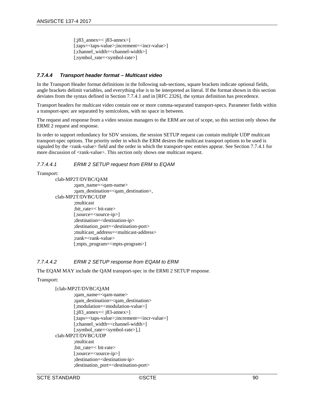[;j83\_annex=< j83-annex>] [;taps=<taps-value>;increment=<incr-value>] [;channel\_width=<channel-width>] [;symbol\_rate=<symbol-rate>]

# <span id="page-89-0"></span>*7.7.4.4 Transport header format – Multicast video*

In the Transport Header format definitions in the following sub-sections, square brackets indicate optional fields, angle brackets delimit variables, and everything else is to be interpreted as literal. If the format shown in this section deviates from the syntax defined in Section [7.7.4.1](#page-84-1) and in [RFC [2326\],](#page-13-0) the syntax definition has precedence.

Transport headers for multicast video contain one or more comma-separated transport-specs. Parameter fields within a transport-spec are separated by semicolons, with no space in between.

The request and response from a video session managers to the ERM are out of scope, so this section only shows the ERMI 2 request and response.

In order to support redundancy for SDV sessions, the session SETUP request can contain multiple UDP multicast transport-spec options. The priority order in which the ERM desires the multicast transport options to be used is signaled by the <rank-value> field and the order in which the transport-spec entries appear. See Section [7.7.4.1](#page-84-1) for more discussion of  $\langle$ rank-value $\rangle$ . This section only shows one multicast request.

# *7.7.4.4.1 ERMI 2 SETUP request from ERM to EQAM*

Transport:

clab-MP2T/DVBC/QAM ;qam\_name=<qam-name> ;qam\_destination=<qam\_destination>, clab-MP2T/DVBC/UDP ;multicast ;bit\_rate=< bit-rate> [;source=<source-ip>] ;destination=<destination-ip> ;destination\_port=<destination-port> ;multicast\_address=<multicast-address> ;rank=<rank-value> [;mpts\_program=<mpts-program>]

# *7.7.4.4.2 ERMI 2 SETUP response from EQAM to ERM*

The EQAM MAY include the QAM transport-spec in the ERMI 2 SETUP response.

### Transport:

# [clab-MP2T/DVBC/QAM

```
;qam_name=<qam-name>
        ;qam_destination=<qam_destination>
        [;modulation=<modulation-value>]
        [;j83_annex=< j83-annex>] 
        [;taps=<taps-value>;increment=<incr-value>]
        [;channel_width=<channel-width>]
        [;symbol_rate=<symbol-rate>],]
clab-MP2T/DVBC/UDP
        ;multicast
        ;bit_rate=< bit-rate>
        [;source=<source-ip>]
        ;destination=<destination-ip>
        ;destination_port=<destination-port>
```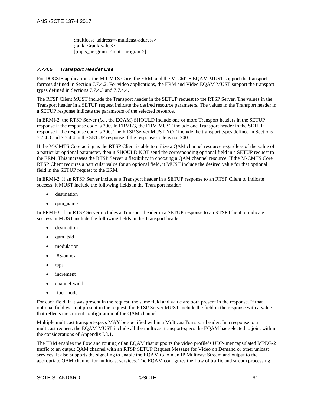;multicast\_address=<multicast-address> ;rank=<rank-value> [;mpts\_program=<mpts-program>]

# <span id="page-90-0"></span>*7.7.4.5 Transport Header Use*

For DOCSIS applications, the M-CMTS Core, the ERM, and the M-CMTS EQAM MUST support the transport formats defined in Section [7.7.4.2.](#page-86-1) For video applications, the ERM and Video EQAM MUST support the transport types defined in Sections [7.7.4.3](#page-88-0) an[d 7.7.4.4.](#page-89-0)

The RTSP Client MUST include the Transport header in the SETUP request to the RTSP Server. The values in the Transport header in a SETUP request indicate the desired resource parameters. The values in the Transport header in a SETUP response indicate the parameters of the selected resource.

In ERMI-2, the RTSP Server (*i.e.,* the EQAM) SHOULD include one or more Transport headers in the SETUP response if the response code is 200. In ERMI-3, the ERM MUST include one Transport header in the SETUP response if the response code is 200. The RTSP Server MUST NOT include the transport types defined in Sections [7.7.4.3](#page-88-0) and [7.7.4.4](#page-89-0) in the SETUP response if the response code is not 200.

If the M-CMTS Core acting as the RTSP Client is able to utilize a QAM channel resource regardless of the value of a particular optional parameter, then it SHOULD NOT send the corresponding optional field in a SETUP request to the ERM. This increases the RTSP Server 's flexibility in choosing a QAM channel resource. If the M-CMTS Core RTSP Client requires a particular value for an optional field, it MUST include the desired value for that optional field in the SETUP request to the ERM.

In ERMI-2, if an RTSP Server includes a Transport header in a SETUP response to an RTSP Client to indicate success, it MUST include the following fields in the Transport header:

- destination
- qam\_name

In ERMI-3, if an RTSP Server includes a Transport header in a SETUP response to an RTSP Client to indicate success, it MUST include the following fields in the Transport header:

- destination
- qam\_tsid
- modulation
- j83-annex
- taps
- *increment*
- channel-width
- fiber node

For each field, if it was present in the request, the same field and value are both present in the response. If that optional field was not present in the request, the RTSP Server MUST include the field in the response with a value that reflects the current configuration of the QAM channel.

Multiple multicast transport-specs MAY be specified within a MulticastTransport header. In a response to a multicast request, the EQAM MUST include all the multicast transport-specs the EQAM has selected to join, within the considerations of Appendi[x I.8.1.](#page-122-0)

The ERM enables the flow and routing of an EQAM that supports the video profile's UDP-unencapsulated MPEG-2 traffic to an output QAM channel with an RTSP SETUP Request Message for Video on Demand or other unicast services. It also supports the signaling to enable the EQAM to join an IP Multicast Stream and output to the appropriate QAM channel for multicast services. The EQAM configures the flow of traffic and stream processing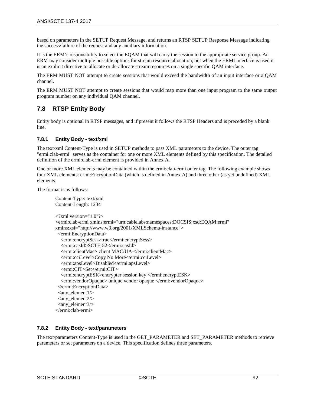based on parameters in the SETUP Request Message, and returns an RTSP SETUP Response Message indicating the success/failure of the request and any ancillary information.

It is the ERM's responsibility to select the EQAM that will carry the session to the appropriate service group. An ERM may consider multiple possible options for stream resource allocation, but when the ERMI interface is used it is an explicit directive to allocate or de-allocate stream resources on a single specific QAM interface.

The ERM MUST NOT attempt to create sessions that would exceed the bandwidth of an input interface or a QAM channel.

The ERM MUST NOT attempt to create sessions that would map more than one input program to the same output program number on any individual QAM channel.

# **7.8 RTSP Entity Body**

Entity body is optional in RTSP messages, and if present it follows the RTSP Headers and is preceded by a blank line.

## <span id="page-91-1"></span>**7.8.1 Entity Body - text/xml**

The text/xml Content-Type is used in SETUP methods to pass XML parameters to the device. The outer tag "ermi:clab-ermi" serves as the container for one or more XML elements defined by this specification. The detailed definition of the ermi:clab-ermi element is provided in [Annex A.](#page-115-0)

One or more XML elements may be contained within the ermi:clab-ermi outer tag. The following example shows four XML elements: ermi:EncryptionData (which is defined in [Annex A\)](#page-115-0) and three other (as yet undefined) XML elements.

The format is as follows:

```
Content-Type: text/xml
Content-Length: 1234
\langle?xml version="1.0"?>
<ermi:clab-ermi xmlns:ermi="urn:cablelabs:namespaces:DOCSIS:xsd:EQAM:ermi" 
xmlns:xsi="http://www.w3.org/2001/XMLSchema-instance">
  <ermi:EncryptionData>
   <ermi:encryptSess>true</ermi:encryptSess>
   <ermi:casId>SCTE-52</ermi:casId>
   <ermi:clientMac> client MAC/UA </ermi:clientMac>
   <ermi:cciLevel>Copy No More</ermi:cciLevel>
   <ermi:apsLevel>Disabled</ermi:apsLevel>
   <ermi:CIT>Set</ermi:CIT>
   <ermi:encryptESK>encrypter session key </ermi:encryptESK>
   <ermi:vendorOpaque> unique vendor opaque </ermi:vendorOpaque>
  </ermi:EncryptionData>
 \langleany_element1/>\langleany element2/><any_element3/>
</ermi:clab-ermi>
```
# <span id="page-91-0"></span>**7.8.2 Entity Body - text/parameters**

The text/parameters Content-Type is used in the GET\_PARAMETER and SET\_PARAMETER methods to retrieve parameters or set parameters on a device. This specification defines three parameters.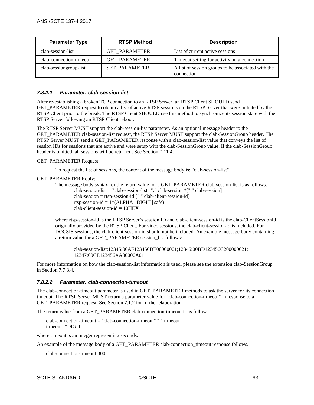| <b>Parameter Type</b>   | <b>RTSP Method</b>   | <b>Description</b>                                               |
|-------------------------|----------------------|------------------------------------------------------------------|
| clab-session-list       | <b>GET PARAMETER</b> | List of current active sessions                                  |
| clab-connection-timeout | <b>GET PARAMETER</b> | Timeout setting for activity on a connection                     |
| clab-sessiongroup-list  | <b>SET PARAMETER</b> | A list of session groups to be associated with the<br>connection |

### <span id="page-92-1"></span>*7.8.2.1 Parameter: clab-session-list*

After re-establishing a broken TCP connection to an RTSP Server, an RTSP Client SHOULD send GET\_PARAMETER request to obtain a list of active RTSP sessions on the RTSP Server that were initiated by the RTSP Client prior to the break. The RTSP Client SHOULD use this method to synchronize its session state with the RTSP Server following an RTSP Client reboot.

The RTSP Server MUST support the clab-session-list parameter. As an optional message header to the GET\_PARAMETER clab-session-list request, the RTSP Server MUST support the clab-SessionGroup header. The RTSP Server MUST send a GET\_PARAMETER response with a clab-session-list value that conveys the list of session IDs for sessions that are active and were setup with the clab-SessionGroup value. If the clab-SessionGroup header is omitted, all sessions will be returned. See Section [7.11.4.](#page-105-0)

### GET\_PARAMETER Request:

To request the list of sessions, the content of the message body is: "clab-session-list"

### GET\_PARAMETER Reply:

```
The message body syntax for the return value for a GET_PARAMETER clab-session-list is as follows.
        clab-session-list = "clab-session-list" ":" clab-session *[";" clab-session] 
        clab-session = rtsp-session-id [":" clab-client-session-id]
        rtsp-session-id = 1*(ALPHA | DIGIT | safe)clab-client-session-id = 10HEX
```
where rtsp-session-id is the RTSP Server's session ID and clab-client-session-id is the clab-ClientSessionId originally provided by the RTSP Client. For video sessions, the clab-client-session-id is included. For DOCSIS sessions, the clab-client-session-id should not be included. An example message body containing a return value for a GET\_PARAMETER session\_list follows:

```
clab-session-list:12345:00AF123456DE00000001;12346:00BD123456C200000021;
12347:00CE123456AA00000A01
```
For more information on how the clab-session-list information is used, please see the extension clab-SessionGroup in Section [7.7.3.4.](#page-81-1)

### <span id="page-92-0"></span>*7.8.2.2 Parameter: clab-connection-timeout*

The clab-connection-timeout parameter is used in GET\_PARAMETER methods to ask the server for its connection timeout. The RTSP Server MUST return a parameter value for "clab-connection-timeout" in response to a GET\_PARAMETER request. See Section [7.1.2](#page-72-0) for further elaboration.

The return value from a GET\_PARAMETER clab-connection-timeout is as follows.

clab-connection-timeout = "clab-connection-timeout" ":" timeout timeout=\*DIGIT

where timeout is an integer representing seconds.

An example of the message body of a GET\_PARAMETER clab-connection\_timeout response follows.

clab-connection-timeout:300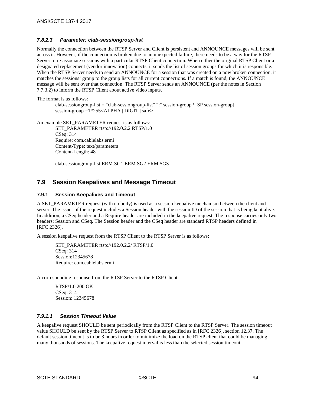# <span id="page-93-1"></span>*7.8.2.3 Parameter: clab-sessiongroup-list*

Normally the connection between the RTSP Server and Client is persistent and ANNOUNCE messages will be sent across it. However, if the connection is broken due to an unexpected failure, there needs to be a way for the RTSP Server to re-associate sessions with a particular RTSP Client connection. When either the original RTSP Client or a designated replacement (vendor innovation) connects, it sends the list of session groups for which it is responsible. When the RTSP Server needs to send an ANNOUNCE for a session that was created on a now broken connection, it matches the sessions' group to the group lists for all current connections. If a match is found, the ANNOUNCE message will be sent over that connection. The RTSP Server sends an ANNOUNCE (per the notes in Section [7.7.3.2\)](#page-78-0) to inform the RTSP Client about active video inputs.

The format is as follows:

clab-sessiongroup-list = "clab-sessiongroup-list" ":" session-group \*[SP session-group] session-group =1\*255<ALPHA | DIGIT | safe>

An example SET\_PARAMETER request is as follows:

SET\_PARAMETER rtsp://192.0.2.2 RTSP/1.0 CSeq: 314 Require: com.cablelabs.ermi Content-Type: text/parameters Content-Length: 48

clab-sessiongroup-list:ERM.SG1 ERM.SG2 ERM.SG3

# <span id="page-93-0"></span>**7.9 Session Keepalives and Message Timeout**

## **7.9.1 Session Keepalives and Timeout**

A SET\_PARAMETER request (with no body) is used as a session keepalive mechanism between the client and server. The issuer of the request includes a Session header with the session ID of the session that is being kept alive. In addition, a CSeq header and a Require header are included in the keepalive request. The response carries only two headers: Session and CSeq. The Session header and the CSeq header are standard RTSP headers defined in [RFC [2326\].](#page-13-0)

A session keepalive request from the RTSP Client to the RTSP Server is as follows:

SET\_PARAMETER rtsp://192.0.2.2/ RTSP/1.0 CSeq: 314 Session:12345678 Require: com.cablelabs.ermi

A corresponding response from the RTSP Server to the RTSP Client:

RTSP/1.0 200 OK CSeq: 314 Session: 12345678

# *7.9.1.1 Session Timeout Value*

A keepalive request SHOULD be sent periodically from the RTSP Client to the RTSP Server. The session timeout value SHOULD be sent by the RTSP Server to RTSP Client as specified as in [RFC [2326\],](#page-13-0) section 12.37. The default session timeout is to be 3 hours in order to minimize the load on the RTSP client that could be managing many thousands of sessions. The keepalive request interval is less than the selected session timeout.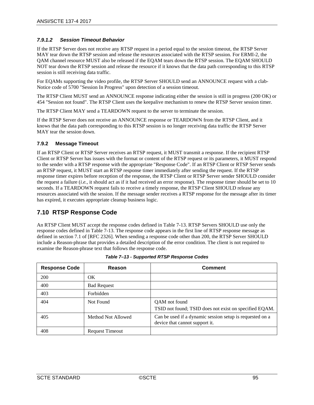# <span id="page-94-0"></span>*7.9.1.2 Session Timeout Behavior*

If the RTSP Server does not receive any RTSP request in a period equal to the session timeout, the RTSP Server MAY tear down the RTSP session and release the resources associated with the RTSP session. For ERMI-2, the QAM channel resource MUST also be released if the EQAM tears down the RTSP session. The EQAM SHOULD NOT tear down the RTSP session and release the resource if it knows that the data path corresponding to this RTSP session is still receiving data traffic.

For EQAMs supporting the video profile, the RTSP Server SHOULD send an ANNOUNCE request with a clab-Notice code of 5700 "Session In Progress" upon detection of a session timeout.

The RTSP Client MUST send an ANNOUNCE response indicating either the session is still in progress (200 OK) or 454 "Session not found". The RTSP Client uses the keepalive mechanism to renew the RTSP Server session timer.

The RTSP Client MAY send a TEARDOWN request to the server to terminate the session.

If the RTSP Server does not receive an ANNOUNCE response or TEARDOWN from the RTSP Client, and it knows that the data path corresponding to this RTSP session is no longer receiving data traffic the RTSP Server MAY tear the session down.

### **7.9.2 Message Timeout**

If an RTSP Client or RTSP Server receives an RTSP request, it MUST transmit a response. If the recipient RTSP Client or RTSP Server has issues with the format or content of the RTSP request or its parameters, it MUST respond to the sender with a RTSP response with the appropriate "Response Code". If an RTSP Client or RTSP Server sends an RTSP request, it MUST start an RTSP response timer immediately after sending the request. If the RTSP response timer expires before reception of the response, the RTSP Client or RTSP Server sender SHOULD consider the request a failure (*i.e.,* it should act as if it had received an error response). The response timer should be set to 10 seconds. If a TEARDOWN request fails to receive a timely response, the RTSP Client SHOULD release any resources associated with the session. If the message sender receives a RTSP response for the message after its timer has expired, it executes appropriate cleanup business logic.

# **7.10 RTSP Response Code**

An RTSP Client MUST accept the response codes defined in Table 7-13. RTSP Servers SHOULD use only the response codes defined in Table 7-13. The response code appears in the first line of RTSP response message as defined in section 7.1 of [RFC [2326\].](#page-13-0) When sending a response code other than 200, the RTSP Server SHOULD include a Reason-phrase that provides a detailed description of the error condition. The client is not required to examine the Reason-phrase text that follows the response code.

| <b>Response Code</b> | Reason                 | <b>Comment</b>                                                                             |
|----------------------|------------------------|--------------------------------------------------------------------------------------------|
| 200                  | OK.                    |                                                                                            |
| 400                  | <b>Bad Request</b>     |                                                                                            |
| 403                  | Forbidden              |                                                                                            |
| 404                  | Not Found              | QAM not found<br>TSID not found; TSID does not exist on specified EQAM.                    |
| 405                  | Method Not Allowed     | Can be used if a dynamic session setup is requested on a<br>device that cannot support it. |
| 408                  | <b>Request Timeout</b> |                                                                                            |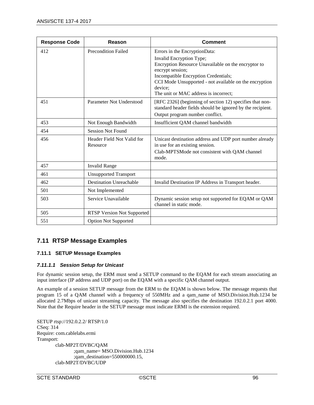| <b>Response Code</b> | Reason                                 | <b>Comment</b>                                                                                                                                                                                                                                                                             |
|----------------------|----------------------------------------|--------------------------------------------------------------------------------------------------------------------------------------------------------------------------------------------------------------------------------------------------------------------------------------------|
| 412                  | <b>Precondition Failed</b>             | Errors in the EncryptionData:<br>Invalid Encryption Type;<br>Encryption Resource Unavailable on the encryptor to<br>encrypt session;<br>Incompatible Encryption Credentials;<br>CCI Mode Unsupported - not available on the encryption<br>device:<br>The unit or MAC address is incorrect; |
| 451                  | Parameter Not Understood               | [RFC 2326] (beginning of section 12) specifies that non-<br>standard header fields should be ignored by the recipient.<br>Output program number conflict.                                                                                                                                  |
| 453                  | Not Enough Bandwidth                   | Insufficient QAM channel bandwidth                                                                                                                                                                                                                                                         |
| 454                  | <b>Session Not Found</b>               |                                                                                                                                                                                                                                                                                            |
| 456                  | Header Field Not Valid for<br>Resource | Unicast destination address and UDP port number already<br>in use for an existing session.<br>Clab-MPTSMode not consistent with QAM channel<br>mode.                                                                                                                                       |
| 457                  | <b>Invalid Range</b>                   |                                                                                                                                                                                                                                                                                            |
| 461                  | <b>Unsupported Transport</b>           |                                                                                                                                                                                                                                                                                            |
| 462                  | <b>Destination Unreachable</b>         | Invalid Destination IP Address in Transport header.                                                                                                                                                                                                                                        |
| 501                  | Not Implemented                        |                                                                                                                                                                                                                                                                                            |
| 503                  | Service Unavailable                    | Dynamic session setup not supported for EQAM or QAM<br>channel in static mode.                                                                                                                                                                                                             |
| 505                  | <b>RTSP Version Not Supported</b>      |                                                                                                                                                                                                                                                                                            |
| 551                  | <b>Option Not Supported</b>            |                                                                                                                                                                                                                                                                                            |

# **7.11 RTSP Message Examples**

# **7.11.1 SETUP Message Examples**

# *7.11.1.1 Session Setup for Unicast*

For dynamic session setup, the ERM must send a SETUP command to the EQAM for each stream associating an input interface (IP address and UDP port) on the EQAM with a specific QAM channel output.

An example of a session SETUP message from the ERM to the EQAM is shown below. The message requests that program 15 of a QAM channel with a frequency of 550MHz and a qam\_name of MSO.Division.Hub.1234 be allocated 2.7Mbps of unicast streaming capacity. The message also specifies the destination 192.0.2.1 port 4000. Note that the Require header in the SETUP message must indicate ERMI is the extension required.

SETUP rtsp://192.0.2.2/ RTSP/1.0 CSeq: 314 Require: com.cablelabs.ermi Transport: clab-MP2T/DVBC/QAM ;qam\_name= MSO.Division.Hub.1234 ;qam\_destination=550000000.15, clab-MP2T/DVBC/UDP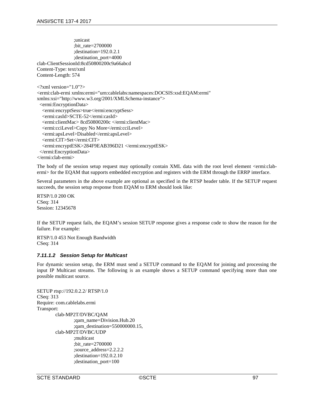;unicast ;bit\_rate=2700000 ;destination=192.0.2.1 ;destination\_port=4000 clab-ClientSessionId:8cd50800200c9a66abcd Content-Type: text/xml Content-Length: 574  $\langle$  2xml version="1.0"?> <ermi:clab-ermi xmlns:ermi="urn:cablelabs:namespaces:DOCSIS:xsd:EQAM:ermi" xmlns:xsi="http://www.w3.org/2001/XMLSchema-instance"> <ermi:EncryptionData> <ermi:encryptSess>true</ermi:encryptSess> <ermi:casId>SCTE-52</ermi:casId> <ermi:clientMac> 8cd50800200c </ermi:clientMac> <ermi:cciLevel>Copy No More</ermi:cciLevel> <ermi:apsLevel>Disabled</ermi:apsLevel> <ermi:CIT>Set</ermi:CIT> <ermi:encryptESK>284F9EAB396D21 </ermi:encryptESK> </ermi:EncryptionData> </ermi:clab-ermi>

The body of the session setup request may optionally contain XML data with the root level element <ermi:clabermi> for the EQAM that supports embedded encryption and registers with the ERM through the ERRP interface.

Several parameters in the above example are optional as specified in the RTSP header table. If the SETUP request succeeds, the session setup response from EQAM to ERM should look like:

RTSP/1.0 200 OK CSeq: 314 Session: 12345678

If the SETUP request fails, the EQAM's session SETUP response gives a response code to show the reason for the failure. For example:

RTSP/1.0 453 Not Enough Bandwidth CSeq: 314

### *7.11.1.2 Session Setup for Multicast*

For dynamic session setup, the ERM must send a SETUP command to the EQAM for joining and processing the input IP Multicast streams. The following is an example shows a SETUP command specifying more than one possible multicast source.

```
SETUP rtsp://192.0.2.2/ RTSP/1.0
CSeq: 313
Require: com.cablelabs.ermi
Transport:
        clab-MP2T/DVBC/QAM
                ;qam_name=Division.Hub.20
                ;qam_destination=550000000.15,
        clab-MP2T/DVBC/UDP
                ;multicast
                ;bit_rate=2700000
                ;source_address=2.2.2.2
                ;destination=192.0.2.10
                ;destination_port=100
```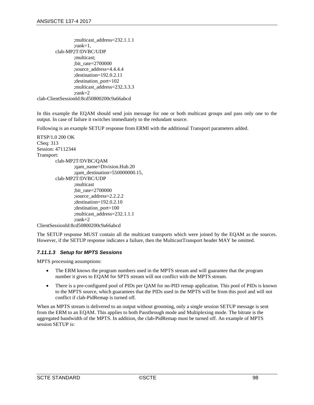```
;multicast_address=232.1.1.1
                 ;rank=1,
        clab-MP2T/DVBC/UDP
                 ;multicast;
                 ;bit_rate=2700000
                 ;source_address=4.4.4.4
                 ;destination=192.0.2.11
                 ;destination_port=102
                 ;multicast_address=232.3.3.3
                 ;rank=2
clab-ClientSessionId:8cd50800200c9a66abcd
```
In this example the EQAM should send join message for one or both multicast groups and pass only one to the output. In case of failure it switches immediately to the redundant source.

Following is an example SETUP response from ERMI with the additional Transport parameters added.

```
RTSP/1.0 200 OK
CSeq: 313
Session: 47112344
Transport:
        clab-MP2T/DVBC/QAM
                ;qam_name=Division.Hub.20
                ;qam_destination=550000000.15,
        clab-MP2T/DVBC/UDP
                ;multicast
                ;bit_rate=2700000
                ;source_address=2.2.2.2
                ;destination=192.0.2.10
                ;destination_port=100
                ;multicast_address=232.1.1.1
                ;rank=2
ClientSessionId:8cd50800200c9a66abcd
```
The SETUP response MUST contain all the multicast transports which were joined by the EQAM as the sources. However, if the SETUP response indicates a failure, then the MulticastTransport header MAY be omitted.

# *7.11.1.3 Setup for MPTS Sessions*

MPTS processing assumptions:

- The ERM knows the program numbers used in the MPTS stream and will guarantee that the program number it gives to EQAM for SPTS stream will not conflict with the MPTS stream.
- There is a pre-configured pool of PIDs per QAM for no-PID remap application. This pool of PIDs is known to the MPTS source, which guarantees that the PIDs used in the MPTS will be from this pool and will not conflict if clab-PidRemap is turned off.

When an MPTS stream is delivered to an output without grooming, only a single session SETUP message is sent from the ERM to an EQAM. This applies to both Passthrough mode and Multiplexing mode. The bitrate is the aggregated bandwidth of the MPTS. In addition, the clab-PidRemap must be turned off. An example of MPTS session SETUP is: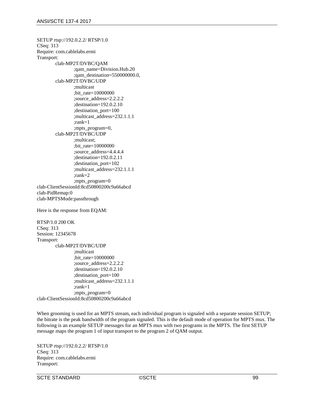SETUP rtsp://192.0.2.2/ RTSP/1.0 CSeq: 313 Require: com.cablelabs.ermi Transport: clab-MP2T/DVBC/QAM ;qam\_name=Division.Hub.20 ;qam\_destination=550000000.0, clab-MP2T/DVBC/UDP ;multicast ;bit\_rate=10000000 ;source\_address=2.2.2.2 ;destination=192.0.2.10 ;destination\_port=100 ;multicast\_address=232.1.1.1 ;rank=1 ; mpts program=0, clab-MP2T/DVBC/UDP ;multicast; ;bit\_rate=10000000 ;source\_address=4.4.4.4 ;destination=192.0.2.11 ;destination\_port=102 ;multicast\_address=232.1.1.1 ;rank=2 ;mpts\_program=0 clab-ClientSessionId:8cd50800200c9a66abcd clab-PidRemap:0 clab-MPTSMode:passthrough Here is the response from EQAM:

RTSP/1.0 200 OK CSeq: 313 Session: 12345678 Transport: clab-MP2T/DVBC/UDP ;multicast ;bit\_rate=10000000 ;source\_address=2.2.2.2 ;destination=192.0.2.10 ;destination\_port=100 ;multicast\_address=232.1.1.1 ;rank=1 ;mpts\_program=0 clab-ClientSessionId:8cd50800200c9a66abcd

When grooming is used for an MPTS stream, each individual program is signaled with a separate session SETUP; the bitrate is the peak bandwidth of the program signaled. This is the default mode of operation for MPTS mux. The following is an example SETUP messages for an MPTS mux with two programs in the MPTS. The first SETUP message maps the program 1 of input transport to the program 2 of QAM output.

SETUP rtsp://192.0.2.2/ RTSP/1.0 CSeq: 313 Require: com.cablelabs.ermi Transport: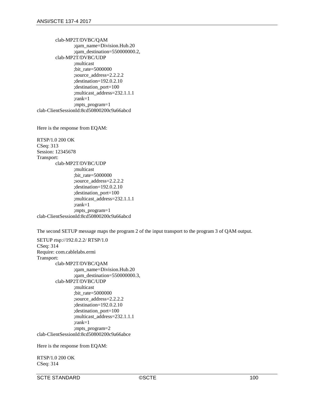clab-MP2T/DVBC/QAM ;qam\_name=Division.Hub.20 ;qam\_destination=550000000.2, clab-MP2T/DVBC/UDP ;multicast ;bit\_rate=5000000 ;source\_address=2.2.2.2 ;destination=192.0.2.10 ;destination\_port=100 ;multicast\_address=232.1.1.1 ;rank=1 ;mpts\_program=1 clab-ClientSessionId:8cd50800200c9a66abcd

Here is the response from EQAM:

RTSP/1.0 200 OK CSeq: 313 Session: 12345678 Transport: clab-MP2T/DVBC/UDP ;multicast ;bit\_rate=5000000 ;source\_address=2.2.2.2 ;destination=192.0.2.10 ;destination\_port=100 ;multicast\_address=232.1.1.1 ;rank=1 ;mpts\_program=1 clab-ClientSessionId:8cd50800200c9a66abcd

The second SETUP message maps the program 2 of the input transport to the program 3 of QAM output.

SETUP rtsp://192.0.2.2/ RTSP/1.0 CSeq: 314 Require: com.cablelabs.ermi Transport: clab-MP2T/DVBC/QAM ;qam\_name=Division.Hub.20 ;qam\_destination=550000000.3, clab-MP2T/DVBC/UDP ;multicast ;bit\_rate=5000000 ;source\_address=2.2.2.2 ;destination=192.0.2.10 ;destination\_port=100 ;multicast\_address=232.1.1.1 ;rank=1 ;mpts\_program=2 clab-ClientSessionId:8cd50800200c9a66abce

Here is the response from EQAM:

RTSP/1.0 200 OK CSeq: 314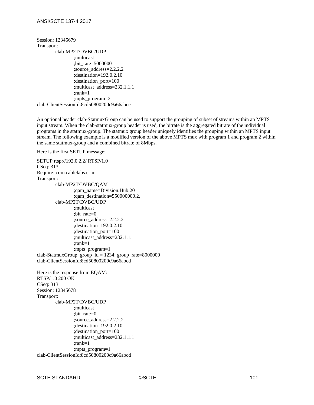```
Session: 12345679
Transport:
        clab-MP2T/DVBC/UDP
                ;multicast
                ;bit_rate=5000000
                ;source_address=2.2.2.2
                ;destination=192.0.2.10
                ;destination_port=100
                ;multicast_address=232.1.1.1
                ;rank=1
                ;mpts_program=2
clab-ClientSessionId:8cd50800200c9a66abce
```
An optional header clab-StatmuxGroup can be used to support the grouping of subset of streams within an MPTS input stream. When the clab-statmux-group header is used, the bitrate is the aggregated bitrate of the individual programs in the statmux-group. The statmux group header uniquely identifies the grouping within an MPTS input stream. The following example is a modified version of the above MPTS mux with program 1 and program 2 within the same statmux-group and a combined bitrate of 8Mbps.

Here is the first SETUP message:

```
SETUP rtsp://192.0.2.2/ RTSP/1.0
CSeq: 313
Require: com.cablelabs.ermi
Transport:
        clab-MP2T/DVBC/QAM
                ;qam_name=Division.Hub.20
                ;qam_destination=550000000.2,
        clab-MP2T/DVBC/UDP
                ;multicast
                ;bit_rate=0
                ;source_address=2.2.2.2
                ;destination=192.0.2.10
                ;destination_port=100
                ;multicast_address=232.1.1.1
                ;rank=1
                ;mpts_program=1
clab-StatmuxGroup: group id = 1234; group rate=8000000
clab-ClientSessionId:8cd50800200c9a66abcd
Here is the response from EQAM:
RTSP/1.0 200 OK
CSeq: 313
```
Session: 12345678 Transport: clab-MP2T/DVBC/UDP ;multicast ;bit\_rate=0 ;source\_address=2.2.2.2 ;destination=192.0.2.10 ;destination\_port=100 ;multicast\_address=232.1.1.1 ;rank=1 ;mpts\_program=1 clab-ClientSessionId:8cd50800200c9a66abcd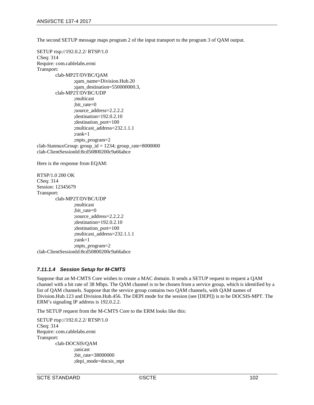The second SETUP message maps program 2 of the input transport to the program 3 of QAM output.

SETUP rtsp://192.0.2.2/ RTSP/1.0 CSeq: 314 Require: com.cablelabs.ermi Transport: clab-MP2T/DVBC/QAM ;qam\_name=Division.Hub.20 ;qam\_destination=550000000.3, clab-MP2T/DVBC/UDP ;multicast ;bit\_rate=0 ;source\_address=2.2.2.2 ;destination=192.0.2.10 ;destination\_port=100 ;multicast\_address=232.1.1.1 ;rank=1 ;mpts\_program=2  $clab-StatmuxGroup: group_id = 1234; group_rate=8000000$ clab-ClientSessionId:8cd50800200c9a66abce

Here is the response from EQAM:

RTSP/1.0 200 OK CSeq: 314 Session: 12345679 Transport: clab-MP2T/DVBC/UDP ;multicast ;bit\_rate=0 ;source\_address=2.2.2.2 ;destination=192.0.2.10 ;destination\_port=100 ;multicast\_address=232.1.1.1 ;rank=1 ;mpts\_program=2 clab-ClientSessionId:8cd50800200c9a66abce

# *7.11.1.4 Session Setup for M-CMTS*

Suppose that an M-CMTS Core wishes to create a MAC domain. It sends a SETUP request to request a QAM channel with a bit rate of 38 Mbps. The QAM channel is to be chosen from a service group, which is identified by a list of QAM channels. Suppose that the service group contains two QAM channels, with QAM names of Division.Hub.123 and Division.Hub.456. The DEPI mode for the session (see [\[DEPI\]\)](#page-13-4) is to be DOCSIS-MPT. The ERM's signaling IP address is 192.0.2.2.

The SETUP request from the M-CMTS Core to the ERM looks like this:

```
SETUP rtsp://192.0.2.2/ RTSP/1.0
CSeq: 314
Require: com.cablelabs.ermi
Transport:
        clab-DOCSIS/QAM
                ;unicast
                ;bit_rate=38000000
                ;depi_mode=docsis_mpt
```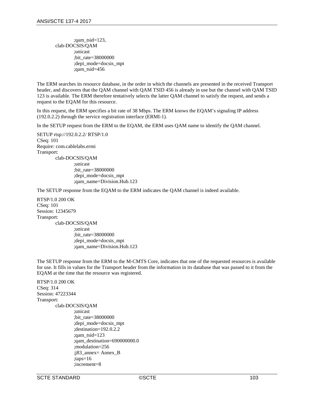;qam\_tsid=123, clab-DOCSIS/QAM ;unicast ;bit\_rate=38000000 ;depi\_mode=docsis\_mpt ;qam\_tsid=456

The ERM searches its resource database, in the order in which the channels are presented in the received Transport header, and discovers that the QAM channel with QAM TSID 456 is already in use but the channel with QAM TSID 123 is available. The ERM therefore tentatively selects the latter QAM channel to satisfy the request, and sends a request to the EQAM for this resource.

In this request, the ERM specifies a bit rate of 38 Mbps. The ERM knows the EQAM's signaling IP address (192.0.2.2) through the service registration interface (ERMI-1).

In the SETUP request from the ERM to the EQAM, the ERM uses QAM name to identify the QAM channel.

SETUP rtsp://192.0.2.2/ RTSP/1.0 CSeq: 101 Require: com.cablelabs.ermi Transport: clab-DOCSIS/QAM ;unicast ;bit\_rate=38000000 ;depi\_mode=docsis\_mpt

;qam\_name=Division.Hub.123

The SETUP response from the EQAM to the ERM indicates the QAM channel is indeed available.

RTSP/1.0 200 OK CSeq: 101 Session: 12345679 Transport: clab-DOCSIS/QAM ;unicast ;bit\_rate=38000000 ;depi\_mode=docsis\_mpt ;qam\_name=Division.Hub.123

The SETUP response from the ERM to the M-CMTS Core, indicates that one of the requested resources is available for use. It fills in values for the Transport header from the information in its database that was passed to it from the EQAM at the time that the resource was registered.

```
RTSP/1.0 200 OK
CSeq: 314
Session: 47223344
Transport:
        clab-DOCSIS/QAM
                ;unicast
                ;bit_rate=38000000
                ;depi_mode=docsis_mpt
                ;destination=192.0.2.2
                ;qam_tsid=123
                ;qam_destination=690000000.0
                ;modulation=256
                ;j83_annex= Annex_B
                ;taps=16
                ;increment=8
```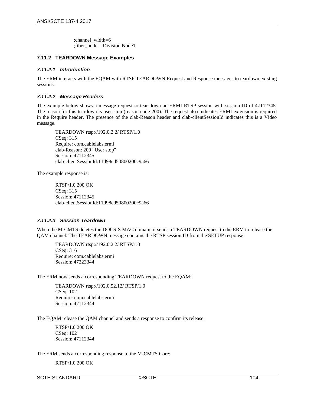;channel\_width=6  $:$ fiber  $node = Division.Node1$ 

# **7.11.2 TEARDOWN Message Examples**

### *7.11.2.1 Introduction*

The ERM interacts with the EQAM with RTSP TEARDOWN Request and Response messages to teardown existing sessions.

## *7.11.2.2 Message Headers*

The example below shows a message request to tear down an ERMI RTSP session with session ID of 47112345. The reason for this teardown is user stop (reason code 200). The request also indicates ERMI extension is required in the Require header. The presence of the clab-Reason header and clab-clientSessionId indicates this is a Video message.

TEARDOWN rtsp://192.0.2.2/ RTSP/1.0 CSeq: 315 Require: com.cablelabs.ermi clab-Reason: 200 "User stop" Session: 47112345 clab-clientSessionId:11d98cd50800200c9a66

The example response is:

RTSP/1.0 200 OK CSeq: 315 Session: 47112345 clab-clientSessionId:11d98cd50800200c9a66

## *7.11.2.3 Session Teardown*

When the M-CMTS deletes the DOCSIS MAC domain, it sends a TEARDOWN request to the ERM to release the QAM channel. The TEARDOWN message contains the RTSP session ID from the SETUP response:

TEARDOWN rtsp://192.0.2.2/ RTSP/1.0 CSeq: 316 Require: com.cablelabs.ermi Session: 47223344

The ERM now sends a corresponding TEARDOWN request to the EQAM:

TEARDOWN rtsp://192.0.52.12/ RTSP/1.0 CSeq: 102 Require: com.cablelabs.ermi Session: 47112344

The EQAM release the QAM channel and sends a response to confirm its release:

RTSP/1.0 200 OK CSeq: 102 Session: 47112344

The ERM sends a corresponding response to the M-CMTS Core:

RTSP/1.0 200 OK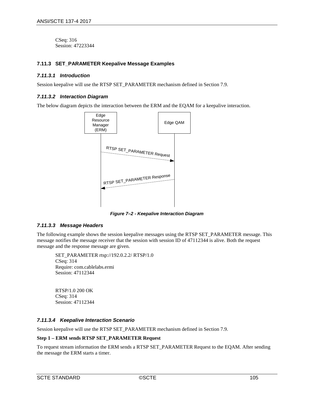CSeq: 316 Session: 47223344

## **7.11.3 SET\_PARAMETER Keepalive Message Examples**

### *7.11.3.1 Introduction*

Session keepalive will use the RTSP SET\_PARAMETER mechanism defined in Section [7.9.](#page-93-0)

#### *7.11.3.2 Interaction Diagram*

The below diagram depicts the interaction between the ERM and the EQAM for a keepalive interaction.



*Figure 7–2 - Keepalive Interaction Diagram*

### *7.11.3.3 Message Headers*

The following example shows the session keepalive messages using the RTSP SET\_PARAMETER message. This message notifies the message receiver that the session with session ID of 47112344 is alive. Both the request message and the response message are given.

SET\_PARAMETER rtsp://192.0.2.2/ RTSP/1.0 CSeq: 314 Require: com.cablelabs.ermi Session: 47112344

RTSP/1.0 200 OK CSeq: 314 Session: 47112344

### *7.11.3.4 Keepalive Interaction Scenario*

Session keepalive will use the RTSP SET\_PARAMETER mechanism defined in Section [7.9.](#page-93-0)

#### **Step 1 – ERM sends RTSP SET\_PARAMETER Request**

To request stream information the ERM sends a RTSP SET\_PARAMETER Request to the EQAM. After sending the message the ERM starts a timer.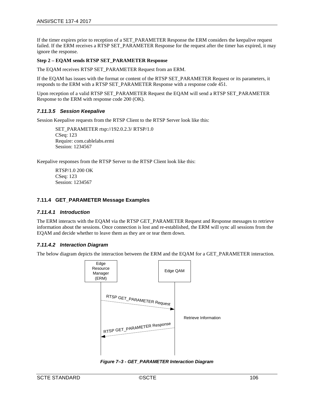If the timer expires prior to reception of a SET\_PARAMETER Response the ERM considers the keepalive request failed. If the ERM receives a RTSP SET\_PARAMETER Response for the request after the timer has expired, it may ignore the response.

### **Step 2 – EQAM sends RTSP SET\_PARAMETER Response**

The EQAM receives RTSP SET\_PARAMETER Request from an ERM.

If the EQAM has issues with the format or content of the RTSP SET\_PARAMETER Request or its parameters, it responds to the ERM with a RTSP SET\_PARAMETER Response with a response code 451.

Upon reception of a valid RTSP SET\_PARAMETER Request the EQAM will send a RTSP SET\_PARAMETER Response to the ERM with response code 200 (OK).

## *7.11.3.5 Session Keepalive*

Session Keepalive requests from the RTSP Client to the RTSP Server look like this:

SET\_PARAMETER rtsp://192.0.2.3/ RTSP/1.0 CSeq: 123 Require: com.cablelabs.ermi Session: 1234567

Keepalive responses from the RTSP Server to the RTSP Client look like this:

RTSP/1.0 200 OK CSeq: 123 Session: 1234567

### <span id="page-105-0"></span>**7.11.4 GET\_PARAMETER Message Examples**

### *7.11.4.1 Introduction*

The ERM interacts with the EQAM via the RTSP GET\_PARAMETER Request and Response messages to retrieve information about the sessions. Once connection is lost and re-established, the ERM will sync all sessions from the EQAM and decide whether to leave them as they are or tear them down.

### *7.11.4.2 Interaction Diagram*

The below diagram depicts the interaction between the ERM and the EQAM for a GET\_PARAMETER interaction.



*Figure 7–3 - GET\_PARAMETER Interaction Diagram*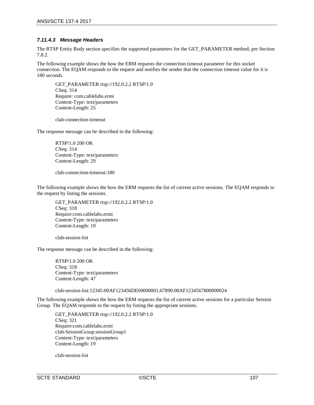# *7.11.4.3 Message Headers*

The RTSP Entity Body section specifies the supported parameters for the GET\_PARAMETER method, per Section [7.8.2.](#page-91-0)

The following example shows the how the ERM requests the connection timeout parameter for this socket connection. The EQAM responds to the request and notifies the sender that the connection timeout value for it is 180 seconds.

GET\_PARAMETER rtsp://192.0.2.2 RTSP/1.0 CSeq: 314 Require: com.cablelabs.ermi Content-Type: text/parameters Content-Length: 25

clab-connection-timeout

The response message can be described in the following:

RTSP/1.0 200 OK CSeq: 314 Content-Type: text/parameters Content-Length: 29

clab-connection-timeout:180

The following example shows the how the ERM requests the list of current active sessions. The EQAM responds to the request by listing the sessions.

GET\_PARAMETER rtsp://192.0.2.2 RTSP/1.0 CSeq: 318 Require:com.cablelabs.ermi Content-Type: text/parameters Content-Length: 19

clab-session-list

The response message can be described in the following:

RTSP/1.0 200 OK CSeq: 318 Content-Type: text/parameters Content-Length: 47

clab-session-list:12345:00AF123456DE00000001;67890:00AF1234567800000024

The following example shows the how the ERM requests the list of current active sessions for a particular Session Group. The EQAM responds to the request by listing the appropriate sessions.

GET\_PARAMETER rtsp://192.0.2.2 RTSP/1.0 CSeq: 321 Require:com.cablelabs.ermi clab-SessionGroup:sessionGroup1 Content-Type: text/parameters Content-Length: 19

clab-session-list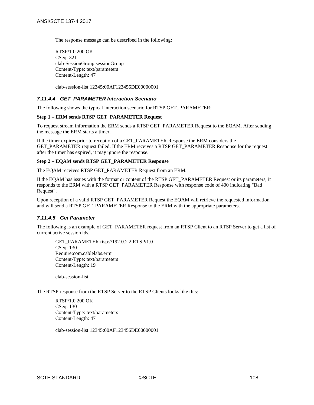The response message can be described in the following:

RTSP/1.0 200 OK CSeq: 321 clab-SessionGroup:sessionGroup1 Content-Type: text/parameters Content-Length: 47

clab-session-list:12345:00AF123456DE00000001

## *7.11.4.4 GET\_PARAMETER Interaction Scenario*

The following shows the typical interaction scenario for RTSP GET\_PARAMETER:

#### **Step 1 – ERM sends RTSP GET\_PARAMETER Request**

To request stream information the ERM sends a RTSP GET\_PARAMETER Request to the EQAM. After sending the message the ERM starts a timer.

If the timer expires prior to reception of a GET\_PARAMETER Response the ERM considers the GET\_PARAMETER request failed. If the ERM receives a RTSP GET\_PARAMETER Response for the request after the timer has expired, it may ignore the response.

## **Step 2 – EQAM sends RTSP GET\_PARAMETER Response**

The EQAM receives RTSP GET\_PARAMETER Request from an ERM.

If the EQAM has issues with the format or content of the RTSP GET\_PARAMETER Request or its parameters, it responds to the ERM with a RTSP GET\_PARAMETER Response with response code of 400 indicating "Bad Request".

Upon reception of a valid RTSP GET\_PARAMETER Request the EQAM will retrieve the requested information and will send a RTSP GET\_PARAMETER Response to the ERM with the appropriate parameters.

### *7.11.4.5 Get Parameter*

The following is an example of GET\_PARAMETER request from an RTSP Client to an RTSP Server to get a list of current active session ids.

GET\_PARAMETER rtsp://192.0.2.2 RTSP/1.0 CSeq: 130 Require:com.cablelabs.ermi Content-Type: text/parameters Content-Length: 19

clab-session-list

The RTSP response from the RTSP Server to the RTSP Clients looks like this:

RTSP/1.0 200 OK CSeq: 130 Content-Type: text/parameters Content-Length: 47

clab-session-list:12345:00AF123456DE00000001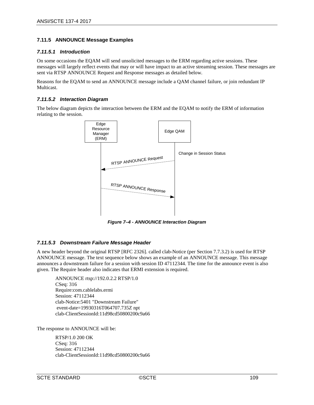## **7.11.5 ANNOUNCE Message Examples**

#### *7.11.5.1 Introduction*

On some occasions the EQAM will send unsolicited messages to the ERM regarding active sessions. These messages will largely reflect events that may or will have impact to an active streaming session. These messages are sent via RTSP ANNOUNCE Request and Response messages as detailed below.

Reasons for the EQAM to send an ANNOUNCE message include a QAM channel failure, or join redundant IP Multicast.

#### *7.11.5.2 Interaction Diagram*

The below diagram depicts the interaction between the ERM and the EQAM to notify the ERM of information relating to the session.



*Figure 7–4 - ANNOUNCE Interaction Diagram*

## *7.11.5.3 Downstream Failure Message Header*

A new header beyond the original RTSP [RFC [2326\].](#page-13-0) called clab-Notice (per Section [7.7.3.2\)](#page-78-0) is used for RTSP ANNOUNCE message. The text sequence below shows an example of an ANNOUNCE message. This message announces a downstream failure for a session with session ID 47112344. The time for the announce event is also given. The Require header also indicates that ERMI extension is required.

ANNOUNCE rtsp://192.0.2.2 RTSP/1.0 CSeq: 316 Require:com.cablelabs.ermi Session: 47112344 clab-Notice:5401 "Downstream Failure" event-date=19930316T064707.735Z npt clab-ClientSessionId:11d98cd50800200c9a66

The response to ANNOUNCE will be:

RTSP/1.0 200 OK CSeq: 316 Session: 47112344 clab-ClientSessionId:11d98cd50800200c9a66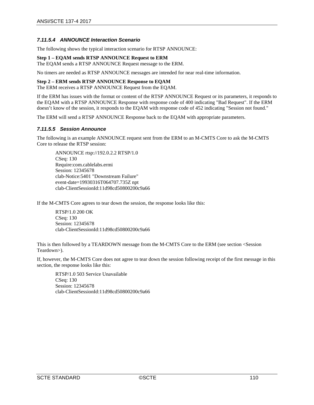### *7.11.5.4 ANNOUNCE Interaction Scenario*

The following shows the typical interaction scenario for RTSP ANNOUNCE:

#### **Step 1 – EQAM sends RTSP ANNOUNCE Request to ERM**

The EQAM sends a RTSP ANNOUNCE Request message to the ERM.

No timers are needed as RTSP ANNOUNCE messages are intended for near real-time information.

#### **Step 2 – ERM sends RTSP ANNOUNCE Response to EQAM**

The ERM receives a RTSP ANNOUNCE Request from the EQAM.

If the ERM has issues with the format or content of the RTSP ANNOUNCE Request or its parameters, it responds to the EQAM with a RTSP ANNOUNCE Response with response code of 400 indicating "Bad Request". If the ERM doesn't know of the session, it responds to the EQAM with response code of 452 indicating "Session not found."

The ERM will send a RTSP ANNOUNCE Response back to the EQAM with appropriate parameters.

#### *7.11.5.5 Session Announce*

The following is an example ANNOUNCE request sent from the ERM to an M-CMTS Core to ask the M-CMTS Core to release the RTSP session:

ANNOUNCE rtsp://192.0.2.2 RTSP/1.0 CSeq: 130 Require:com.cablelabs.ermi Session: 12345678 clab-Notice:5401 "Downstream Failure" event-date=19930316T064707.735Z npt clab-ClientSessionId:11d98cd50800200c9a66

If the M-CMTS Core agrees to tear down the session, the response looks like this:

RTSP/1.0 200 OK CSeq: 130 Session: 12345678 clab-ClientSessionId:11d98cd50800200c9a66

This is then followed by a TEARDOWN message from the M-CMTS Core to the ERM (see section <Session Teardown>).

If, however, the M-CMTS Core does not agree to tear down the session following receipt of the first message in this section, the response looks like this:

RTSP/1.0 503 Service Unavailable CSeq: 130 Session: 12345678 clab-ClientSessionId:11d98cd50800200c9a66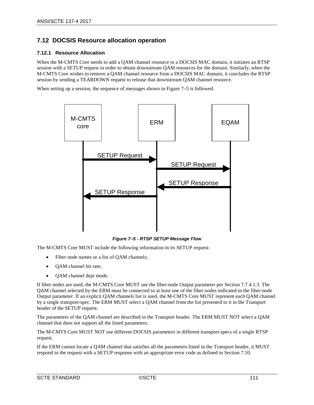# **7.12 DOCSIS Resource allocation operation**

### **7.12.1 Resource Allocation**

When the M-CMTS Core needs to add a QAM channel resource to a DOCSIS MAC domain, it initiates an RTSP session with a SETUP request in order to obtain downstream QAM resources for the domain. Similarly, when the M-CMTS Core wishes to remove a QAM channel resource from a DOCSIS MAC domain, it concludes the RTSP session by sending a TEARDOWN request to release that downstream QAM channel resource.

When setting up a session, the sequence of messages shown i[n Figure 7–5](#page-110-0) is followed.



*Figure 7–5 - RTSP SETUP Message Flow*

<span id="page-110-0"></span>The M-CMTS Core MUST include the following information in its SETUP request:

- Fiber node names or a list of QAM channels;
- QAM channel bit rate;
- QAM channel depi mode.

If fiber nodes are used, the M-CMTS Core MUST use the fiber-node Output parameter per Section [7.7.4.1.3.](#page-86-0) The QAM channel selected by the ERM must be connected to at least one of the fiber nodes indicated in the fiber-node Output parameter. If an explicit QAM channels list is used, the M-CMTS Core MUST represent each QAM channel by a single transport-spec. The ERM MUST select a QAM channel from the list presented to it in the Transport header of the SETUP request.

The parameters of the QAM channel are described in the Transport header. The ERM MUST NOT select a QAM channel that does not support all the listed parameters.

The M-CMTS Core MUST NOT use different DOCSIS parameters in different transport-specs of a single RTSP request.

If the ERM cannot locate a QAM channel that satisfies all the parameters listed in the Transport header, it MUST respond to the request with a SETUP response with an appropriate error code as defined in Section [7.10.](#page-94-0)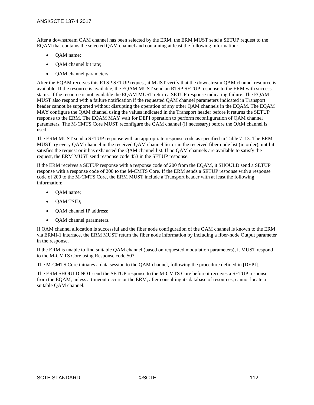After a downstream QAM channel has been selected by the ERM, the ERM MUST send a SETUP request to the EQAM that contains the selected QAM channel and containing at least the following information:

- QAM name;
- QAM channel bit rate;
- QAM channel parameters.

After the EQAM receives this RTSP SETUP request, it MUST verify that the downstream QAM channel resource is available. If the resource is available, the EQAM MUST send an RTSP SETUP response to the ERM with success status. If the resource is not available the EQAM MUST return a SETUP response indicating failure. The EQAM MUST also respond with a failure notification if the requested QAM channel parameters indicated in Transport header cannot be supported without disrupting the operation of any other QAM channels in the EQAM. The EQAM MAY configure the QAM channel using the values indicated in the Transport header before it returns the SETUP response to the ERM. The EQAM MAY wait for DEPI operation to perform reconfiguration of QAM channel parameters. The M-CMTS Core MUST reconfigure the QAM channel (if necessary) before the QAM channel is used.

The ERM MUST send a SETUP response with an appropriate response code as specified i[n Table](#page-94-1) 7–13. The ERM MUST try every QAM channel in the received QAM channel list or in the received fiber node list (in order), until it satisfies the request or it has exhausted the QAM channel list. If no QAM channels are available to satisfy the request, the ERM MUST send response code 453 in the SETUP response.

If the ERM receives a SETUP response with a response code of 200 from the EQAM, it SHOULD send a SETUP response with a response code of 200 to the M-CMTS Core. If the ERM sends a SETUP response with a response code of 200 to the M-CMTS Core, the ERM MUST include a Transport header with at least the following information:

- QAM name;
- QAM TSID;
- OAM channel IP address;
- QAM channel parameters.

If QAM channel allocation is successful and the fiber node configuration of the QAM channel is known to the ERM via ERMI-1 interface, the ERM MUST return the fiber node information by including a fiber-node Output parameter in the response.

If the ERM is unable to find suitable QAM channel (based on requested modulation parameters), it MUST respond to the M-CMTS Core using Response code 503.

The M-CMTS Core initiates a data session to the QAM channel, following the procedure defined in [\[DEPI\].](#page-13-1)

The ERM SHOULD NOT send the SETUP response to the M-CMTS Core before it receives a SETUP response from the EQAM, unless a timeout occurs or the ERM, after consulting its database of resources, cannot locate a suitable QAM channel.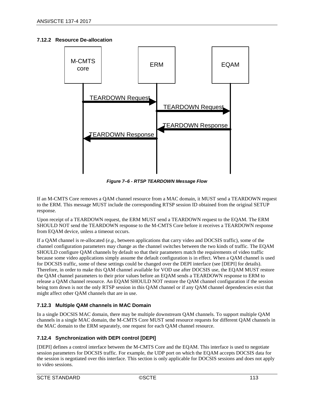#### **7.12.2 Resource De-allocation**



*Figure 7–6 - RTSP TEARDOWN Message Flow*

If an M-CMTS Core removes a QAM channel resource from a MAC domain, it MUST send a TEARDOWN request to the ERM. This message MUST include the corresponding RTSP session ID obtained from the original SETUP response.

Upon receipt of a TEARDOWN request, the ERM MUST send a TEARDOWN request to the EQAM. The ERM SHOULD NOT send the TEARDOWN response to the M-CMTS Core before it receives a TEARDOWN response from EQAM device, unless a timeout occurs.

If a QAM channel is re-allocated (*e.g.,* between applications that carry video and DOCSIS traffic), some of the channel configuration parameters may change as the channel switches between the two kinds of traffic. The EQAM SHOULD configure QAM channels by default so that their parameters match the requirements of video traffic because some video applications simply assume the default configuration is in effect. When a QAM channel is used for DOCSIS traffic, some of these settings could be changed over the DEPI interface (see [\[DEPI\]](#page-13-1) for details). Therefore, in order to make this QAM channel available for VOD use after DOCSIS use, the EQAM MUST restore the QAM channel parameters to their prior values before an EQAM sends a TEARDOWN response to ERM to release a QAM channel resource. An EQAM SHOULD NOT restore the QAM channel configuration if the session being torn down is not the only RTSP session in this QAM channel or if any QAM channel dependencies exist that might affect other QAM channels that are in use.

## **7.12.3 Multiple QAM channels in MAC Domain**

In a single DOCSIS MAC domain, there may be multiple downstream QAM channels. To support multiple QAM channels in a single MAC domain, the M-CMTS Core MUST send resource requests for different QAM channels in the MAC domain to the ERM separately, one request for each QAM channel resource.

## **7.12.4 Synchronization with DEPI control [\[DEPI\]](#page-13-1)**

[\[DEPI\]](#page-13-1) defines a control interface between the M-CMTS Core and the EQAM. This interface is used to negotiate session parameters for DOCSIS traffic. For example, the UDP port on which the EQAM accepts DOCSIS data for the session is negotiated over this interface. This section is only applicable for DOCSIS sessions and does not apply to video sessions.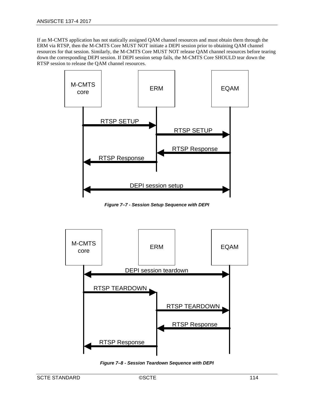If an M-CMTS application has not statically assigned QAM channel resources and must obtain them through the ERM via RTSP, then the M-CMTS Core MUST NOT initiate a DEPI session prior to obtaining QAM channel resources for that session. Similarly, the M-CMTS Core MUST NOT release QAM channel resources before tearing down the corresponding DEPI session. If DEPI session setup fails, the M-CMTS Core SHOULD tear down the RTSP session to release the QAM channel resources.



*Figure 7–7 - Session Setup Sequence with DEPI*



*Figure 7–8 - Session Teardown Sequence with DEPI*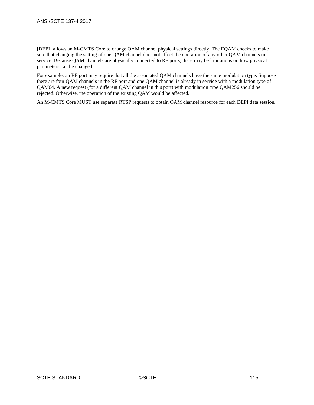[\[DEPI\]](#page-13-1) allows an M-CMTS Core to change QAM channel physical settings directly. The EQAM checks to make sure that changing the setting of one QAM channel does not affect the operation of any other QAM channels in service. Because QAM channels are physically connected to RF ports, there may be limitations on how physical parameters can be changed.

For example, an RF port may require that all the associated QAM channels have the same modulation type. Suppose there are four QAM channels in the RF port and one QAM channel is already in service with a modulation type of QAM64. A new request (for a different QAM channel in this port) with modulation type QAM256 should be rejected. Otherwise, the operation of the existing QAM would be affected.

An M-CMTS Core MUST use separate RTSP requests to obtain QAM channel resource for each DEPI data session.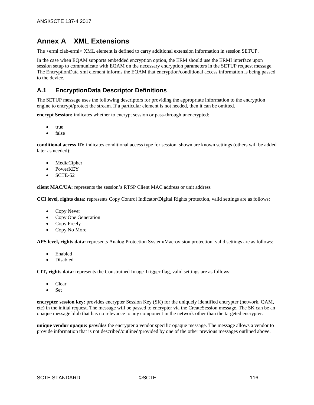# **Annex A XML Extensions**

The <ermi:clab-ermi> XML element is defined to carry additional extension information in session SETUP.

In the case when EQAM supports embedded encryption option, the ERM should use the ERMI interface upon session setup to communicate with EQAM on the necessary encryption parameters in the SETUP request message. The EncryptionData xml element informs the EQAM that encryption/conditional access information is being passed to the device.

# **A.1 EncryptionData Descriptor Definitions**

The SETUP message uses the following descriptors for providing the appropriate information to the encryption engine to encrypt/protect the stream. If a particular element is not needed, then it can be omitted.

**encrypt Session:** indicates whether to encrypt session or pass-through unencrypted:

- true
- false

**conditional access ID:** indicates conditional access type for session, shown are known settings (others will be added later as needed):

- MediaCipher
- PowerKEY
- SCTE-52

**client MAC/UA:** represents the session's RTSP Client MAC address or unit address

**CCI level, rights data:** represents Copy Control Indicator/Digital Rights protection, valid settings are as follows:

- Copy Never
- Copy One Generation
- Copy Freely
- Copy No More

**APS level, rights data:** represents Analog Protection System/Macrovision protection, valid settings are as follows:

- Enabled
- Disabled

**CIT, rights data:** represents the Constrained Image Trigger flag, valid settings are as follows:

- Clear
- Set

**encrypter session key:** provides encrypter Session Key (SK) for the uniquely identified encrypter (network, QAM, etc) in the initial request. The message will be passed to encrypter via the CreateSession message. The SK can be an opaque message blob that has no relevance to any component in the network other than the targeted encrypter.

**unique vendor opaque:** *provides* the encrypter a vendor specific opaque message. The message allows a vendor to provide information that is not described/outlined/provided by one of the other previous messages outlined above.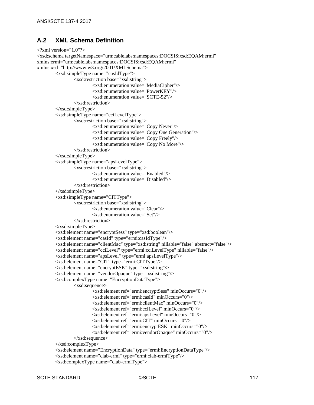# **A.2 XML Schema Definition**

```
\langle?xml version="1.0"?>
<xsd:schema targetNamespace="urn:cablelabs:namespaces:DOCSIS:xsd:EQAM:ermi" 
xmlns:ermi="urn:cablelabs:namespaces:DOCSIS:xsd:EQAM:ermi" 
xmlns:xsd="http://www.w3.org/2001/XMLSchema">
        <xsd:simpleType name="casIdType">
                <xsd:restriction base="xsd:string">
                        <xsd:enumeration value="MediaCipher"/>
                        <xsd:enumeration value="PowerKEY"/>
                         <xsd:enumeration value="SCTE-52"/>
                </xsd:restriction>
        </xsd:simpleType>
        <xsd:simpleType name="cciLevelType">
                <xsd:restriction base="xsd:string">
                        <xsd:enumeration value="Copy Never"/>
                        <xsd:enumeration value="Copy One Generation"/>
                        <xsd:enumeration value="Copy Freely"/>
                        <xsd:enumeration value="Copy No More"/>
                </xsd:restriction>
        </xsd:simpleType>
        <xsd:simpleType name="apsLevelType">
                <xsd:restriction base="xsd:string">
                        <xsd:enumeration value="Enabled"/>
                         <xsd:enumeration value="Disabled"/>
                </xsd:restriction>
        </xsd:simpleType>
        <xsd:simpleType name="CITType">
                <xsd:restriction base="xsd:string">
                        <xsd:enumeration value="Clear"/>
                        <xsd:enumeration value="Set"/>
                </xsd:restriction>
        </xsd:simpleType>
        <xsd:element name="encryptSess" type="xsd:boolean"/>
        <xsd:element name="casId" type="ermi:casIdType"/>
        <xsd:element name="clientMac" type="xsd:string" nillable="false" abstract="false"/>
        <xsd:element name="cciLevel" type="ermi:cciLevelType" nillable="false"/>
        <xsd:element name="apsLevel" type="ermi:apsLevelType"/>
        <xsd:element name="CIT" type="ermi:CITType"/>
        <xsd:element name="encryptESK" type="xsd:string"/>
        <xsd:element name="vendorOpaque" type="xsd:string"/>
        <xsd:complexType name="EncryptionDataType">
                <xsd:sequence>
                        <xsd:element ref="ermi:encryptSess" minOccurs="0"/>
                        <xsd:element ref="ermi:casId" minOccurs="0"/>
                         <xsd:element ref="ermi:clientMac" minOccurs="0"/>
                        <xsd:element ref="ermi:cciLevel" minOccurs="0"/>
                        <xsd:element ref="ermi:apsLevel" minOccurs="0"/>
                        <xsd:element ref="ermi:CIT" minOccurs="0"/>
                        <xsd:element ref="ermi:encryptESK" minOccurs="0"/>
                        <xsd:element ref="ermi:vendorOpaque" minOccurs="0"/>
                </xsd:sequence>
        \langle x\text{sd:complexType}\rangle<xsd:element name="EncryptionData" type="ermi:EncryptionDataType"/>
        <xsd:element name="clab-ermi" type="ermi:clab-ermiType"/>
        <xsd:complexType name="clab-ermiType">
```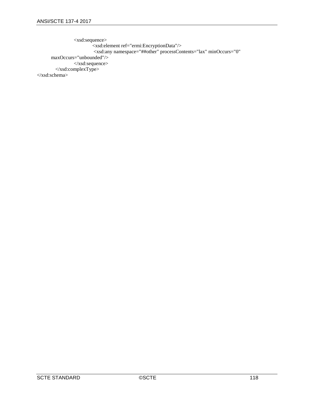<xsd:sequence> <xsd:element ref="ermi:EncryptionData"/> <xsd:any namespace="##other" processContents="lax" minOccurs="0" maxOccurs="unbounded"/> </xsd:sequence> </xsd:complexType> </xsd:schema>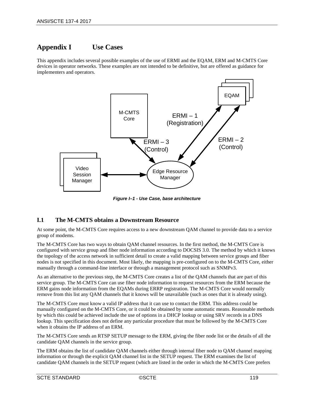# **Appendix I Use Cases**

This appendix includes several possible examples of the use of ERMI and the EQAM, ERM and M-CMTS Core devices in operator networks. These examples are not intended to be definitive, but are offered as guidance for implementers and operators.



*Figure I–1 - Use Case, base architecture*

# **I.1 The M-CMTS obtains a Downstream Resource**

At some point, the M-CMTS Core requires access to a new downstream QAM channel to provide data to a service group of modems.

The M-CMTS Core has two ways to obtain QAM channel resources. In the first method, the M-CMTS Core is configured with service group and fiber node information according to DOCSIS 3.0. The method by which it knows the topology of the access network in sufficient detail to create a valid mapping between service groups and fiber nodes is not specified in this document. Most likely, the mapping is pre-configured on to the M-CMTS Core, either manually through a command-line interface or through a management protocol such as SNMPv3.

As an alternative to the previous step, the M-CMTS Core creates a list of the QAM channels that are part of this service group. The M-CMTS Core can use fiber node information to request resources from the ERM because the ERM gains node information from the EQAMs during ERRP registration. The M-CMTS Core would normally remove from this list any QAM channels that it knows will be unavailable (such as ones that it is already using).

The M-CMTS Core must know a valid IP address that it can use to contact the ERM. This address could be manually configured on the M-CMTS Core, or it could be obtained by some automatic means. Reasonable methods by which this could be achieved include the use of options in a DHCP lookup or using SRV records in a DNS lookup. This specification does not define any particular procedure that must be followed by the M-CMTS Core when it obtains the IP address of an ERM.

The M-CMTS Core sends an RTSP SETUP message to the ERM, giving the fiber node list or the details of all the candidate QAM channels in the service group.

The ERM obtains the list of candidate QAM channels either through internal fiber node to QAM channel mapping information or through the explicit QAM channel list in the SETUP request. The ERM examines the list of candidate QAM channels in the SETUP request (which are listed in the order in which the M-CMTS Core prefers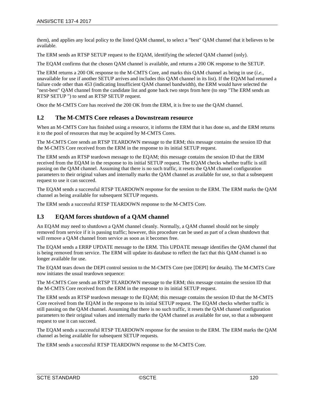them), and applies any local policy to the listed QAM channel, to select a "best" QAM channel that it believes to be available.

The ERM sends an RTSP SETUP request to the EQAM, identifying the selected QAM channel (only).

The EQAM confirms that the chosen QAM channel is available, and returns a 200 OK response to the SETUP.

The ERM returns a 200 OK response to the M-CMTS Core, and marks this QAM channel as being in use (*i.e.,*  unavailable for use if another SETUP arrives and includes this QAM channel in its list). If the EQAM had returned a failure code other than 453 (indicating Insufficient QAM channel bandwidth), the ERM would have selected the "next-best" QAM channel from the candidate list and gone back two steps from here (to step "The ERM sends an RTSP SETUP ") to send an RTSP SETUP request.

Once the M-CMTS Core has received the 200 OK from the ERM, it is free to use the QAM channel.

## **I.2 The M-CMTS Core releases a Downstream resource**

When an M-CMTS Core has finished using a resource, it informs the ERM that it has done so, and the ERM returns it to the pool of resources that may be acquired by M-CMTS Cores.

The M-CMTS Core sends an RTSP TEARDOWN message to the ERM; this message contains the session ID that the M-CMTS Core received from the ERM in the response to its initial SETUP request.

The ERM sends an RTSP teardown message to the EQAM; this message contains the session ID that the ERM received from the EQAM in the response to its initial SETUP request. The EQAM checks whether traffic is still passing on the QAM channel. Assuming that there is no such traffic, it resets the QAM channel configuration parameters to their original values and internally marks the QAM channel as available for use, so that a subsequent request to use it can succeed.

The EQAM sends a successful RTSP TEARDOWN response for the session to the ERM. The ERM marks the QAM channel as being available for subsequent SETUP requests.

The ERM sends a successful RTSP TEARDOWN response to the M-CMTS Core.

# **I.3 EQAM forces shutdown of a QAM channel**

An EQAM may need to shutdown a QAM channel cleanly. Normally, a QAM channel should not be simply removed from service if it is passing traffic; however, this procedure can be used as part of a clean shutdown that will remove a QAM channel from service as soon as it becomes free.

The EQAM sends a ERRP UPDATE message to the ERM. This UPDATE message identifies the QAM channel that is being removed from service. The ERM will update its database to reflect the fact that this QAM channel is no longer available for use.

The EQAM tears down the DEPI control session to the M-CMTS Core (see [\[DEPI\]](#page-13-1) for details). The M-CMTS Core now initiates the usual teardown sequence:

The M-CMTS Core sends an RTSP TEARDOWN message to the ERM; this message contains the session ID that the M-CMTS Core received from the ERM in the response to its initial SETUP request.

The ERM sends an RTSP teardown message to the EQAM; this message contains the session ID that the M-CMTS Core received from the EQAM in the response to its initial SETUP request. The EQAM checks whether traffic is still passing on the QAM channel. Assuming that there is no such traffic, it resets the QAM channel configuration parameters to their original values and internally marks the QAM channel as available for use, so that a subsequent request to use it can succeed.

The EQAM sends a successful RTSP TEARDOWN response for the session to the ERM. The ERM marks the QAM channel as being available for subsequent SETUP requests.

The ERM sends a successful RTSP TEARDOWN response to the M-CMTS Core.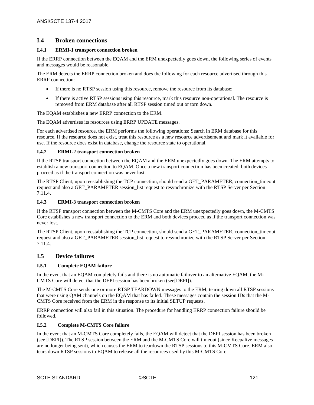# **I.4 Broken connections**

#### **I.4.1 ERMI-1 transport connection broken**

If the ERRP connection between the EQAM and the ERM unexpectedly goes down, the following series of events and messages would be reasonable.

The ERM detects the ERRP connection broken and does the following for each resource advertised through this ERRP connection:

- If there is no RTSP session using this resource, remove the resource from its database;
- If there is active RTSP sessions using this resource, mark this resource non-operational. The resource is removed from ERM database after all RTSP session timed out or torn down.

The EQAM establishes a new ERRP connection to the ERM.

The EQAM advertises its resources using ERRP UPDATE messages.

For each advertised resource, the ERM performs the following operations: Search in ERM database for this resource. If the resource does not exist, treat this resource as a new resource advertisement and mark it available for use. If the resource does exist in database, change the resource state to operational.

#### **I.4.2 ERMI-2 transport connection broken**

If the RTSP transport connection between the EQAM and the ERM unexpectedly goes down. The ERM attempts to establish a new transport connection to EQAM. Once a new transport connection has been created, both devices proceed as if the transport connection was never lost.

The RTSP Client, upon reestablishing the TCP connection, should send a GET\_PARAMETER, connection timeout request and also a GET\_PARAMETER session\_list request to resynchronize with the RTSP Server per Section [7.11.4.](#page-105-0)

#### **I.4.3 ERMI-3 transport connection broken**

If the RTSP transport connection between the M-CMTS Core and the ERM unexpectedly goes down, the M-CMTS Core establishes a new transport connection to the ERM and both devices proceed as if the transport connection was never lost.

The RTSP Client, upon reestablishing the TCP connection, should send a GET\_PARAMETER, connection timeout request and also a GET\_PARAMETER session\_list request to resynchronize with the RTSP Server per Section [7.11.4.](#page-105-0)

# **I.5 Device failures**

#### **I.5.1 Complete EQAM failure**

In the event that an EQAM completely fails and there is no automatic failover to an alternative EQAM, the M-CMTS Core will detect that the DEPI session has been broken (se[e\[DEPI\]\)](#page-13-1).

The M-CMTS Core sends one or more RTSP TEARDOWN messages to the ERM, tearing down all RTSP sessions that were using QAM channels on the EQAM that has failed. These messages contain the session IDs that the M-CMTS Core received from the ERM in the response to its initial SETUP requests.

ERRP connection will also fail in this situation. The procedure for handling ERRP connection failure should be followed.

#### <span id="page-120-0"></span>**I.5.2 Complete M-CMTS Core failure**

In the event that an M-CMTS Core completely fails, the EQAM will detect that the DEPI session has been broken (se[e \[DEPI\]\)](#page-13-1). The RTSP session between the ERM and the M-CMTS Core will timeout (since Keepalive messages are no longer being sent), which causes the ERM to teardown the RTSP sessions to this M-CMTS Core. ERM also tears down RTSP sessions to EQAM to release all the resources used by this M-CMTS Core.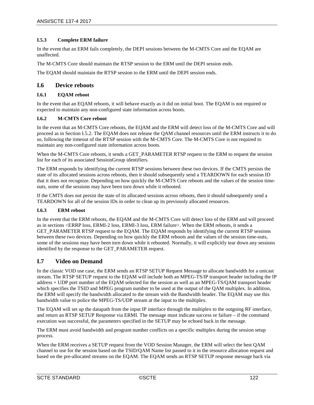#### **I.5.3 Complete ERM failure**

In the event that an ERM fails completely, the DEPI sessions between the M-CMTS Core and the EQAM are unaffected.

The M-CMTS Core should maintain the RTSP session to the ERM until the DEPI session ends.

The EQAM should maintain the RTSP session to the ERM until the DEPI session ends.

# **I.6 Device reboots**

#### **I.6.1 EQAM reboot**

In the event that an EQAM reboots, it will behave exactly as it did on initial boot. The EQAM is not required or expected to maintain any non-configured state information across boots.

#### **I.6.2 M-CMTS Core reboot**

In the event that an M-CMTS Core reboots, the EQAM and the ERM will detect loss of the M-CMTS Core and will proceed as in Sectio[n I.5.2.](#page-120-0) The EQAM does not release the QAM channel resources until the ERM instructs it to do so, following the timeout of the RTSP session with the M-CMTS Core. The M-CMTS Core is not required to maintain any non-configured state information across boots.

When the M-CMTS Core reboots, it sends a GET\_PARAMETER RTSP request to the ERM to request the session list for each of its associated SessionGroup identifiers.

The ERM responds by identifying the current RTSP sessions between these two devices. If the CMTS persists the state of its allocated sessions across reboots, then it should subsequently send a TEARDOWN for each session ID that it does not recognize. Depending on how quickly the M-CMTS Core reboots and the values of the session timeouts, some of the sessions may have been torn down while it rebooted.

If the CMTS does not persist the state of its allocated sessions across reboots, then it should subsequently send a TEARDOWN for all of the session IDs in order to clean up its previously allocated resources.

#### **I.6.3 ERM reboot**

In the event that the ERM reboots, the EQAM and the M-CMTS Core will detect loss of the ERM and will proceed as in sections <ERRP loss, ERMI-2 loss, ERMI-3 loss, ERM failure>. When the ERM reboots, it sends a GET\_PARAMETER RTSP request to the EQAM. The EQAM responds by identifying the current RTSP sessions between these two devices. Depending on how quickly the ERM reboots and the values of the session time-outs, some of the sessions may have been torn down while it rebooted. Normally, it will explicitly tear down any sessions identified by the response to the GET\_PARAMETER request.

## **I.7 Video on Demand**

In the classic VOD use case, the ERM sends an RTSP SETUP Request Message to allocate bandwidth for a unicast stream. The RTSP SETUP request to the EQAM will include both an MPEG-TS/IP transport header including the IP address + UDP port number of the EQAM selected for the session as well as an MPEG-TS/QAM transport header which specifies the TSID and MPEG program number to be used at the output of the QAM multiplex. In addition, the ERM will specify the bandwidth allocated to the stream with the Bandwidth header. The EQAM may use this bandwidth value to police the MPEG-TS/UDP stream at the input to the multiplex.

The EQAM will set up the datapath from the input IP interface through the multiplex to the outgoing RF interface, and return an RTSP SETUP Response via ERMI. The message must indicate success or failure – if the command execution was successful, the parameters specified in the SETUP may be echoed back in the message.

The ERM must avoid bandwidth and program number conflicts on a specific multiplex during the session setup process.

When the ERM receives a SETUP request from the VOD Session Manager, the ERM will select the best QAM channel to use for the session based on the TSID/QAM Name list passed to it in the resource allocation request and based on the pre-allocated streams on the EQAM. The EQAM sends an RTSP SETUP response message back via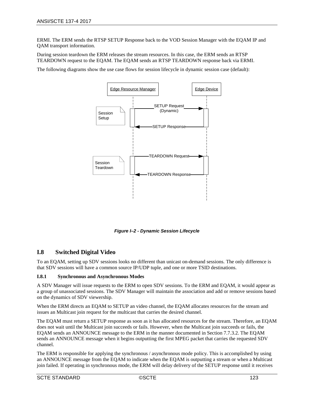ERMI. The ERM sends the RTSP SETUP Response back to the VOD Session Manager with the EQAM IP and QAM transport information.

During session teardown the ERM releases the stream resources. In this case, the ERM sends an RTSP TEARDOWN request to the EQAM. The EQAM sends an RTSP TEARDOWN response back via ERMI.

The following diagrams show the use case flows for session lifecycle in dynamic session case (default):



*Figure I–2 - Dynamic Session Lifecycle*

## **I.8 Switched Digital Video**

To an EQAM, setting up SDV sessions looks no different than unicast on-demand sessions. The only difference is that SDV sessions will have a common source IP/UDP tuple, and one or more TSID destinations.

#### <span id="page-122-0"></span>**I.8.1 Synchronous and Asynchronous Modes**

A SDV Manager will issue requests to the ERM to open SDV sessions. To the ERM and EQAM, it would appear as a group of unassociated sessions. The SDV Manager will maintain the association and add or remove sessions based on the dynamics of SDV viewership.

When the ERM directs an EQAM to SETUP an video channel, the EQAM allocates resources for the stream and issues an Multicast join request for the multicast that carries the desired channel.

The EQAM must return a SETUP response as soon as it has allocated resources for the stream. Therefore, an EQAM does not wait until the Multicast join succeeds or fails. However, when the Multicast join succeeds or fails, the EQAM sends an ANNOUNCE message to the ERM in the manner documented in Section [7.7.3.2.](#page-78-0) The EQAM sends an ANNOUNCE message when it begins outputting the first MPEG packet that carries the requested SDV channel.

The ERM is responsible for applying the synchronous / asynchronous mode policy. This is accomplished by using an ANNOUNCE message from the EQAM to indicate when the EQAM is outputting a stream or when a Multicast join failed. If operating in synchronous mode, the ERM will delay delivery of the SETUP response until it receives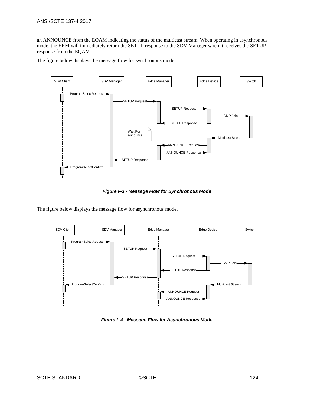an ANNOUNCE from the EQAM indicating the status of the multicast stream. When operating in asynchronous mode, the ERM will immediately return the SETUP response to the SDV Manager when it receives the SETUP response from the EQAM.

The figure below displays the message flow for synchronous mode.



*Figure I–3 - Message Flow for Synchronous Mode*

The figure below displays the message flow for asynchronous mode.



*Figure I–4 - Message Flow for Asynchronous Mode*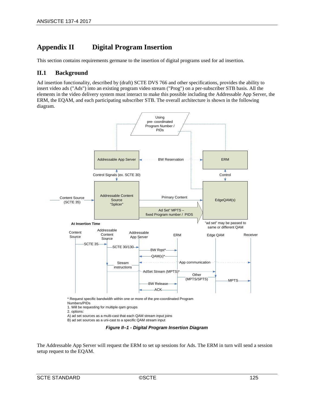# **Appendix II Digital Program Insertion**

This section contains requirements germane to the insertion of digital programs used for ad insertion.

# **II.1 Background**

Ad insertion functionality, described by (draft) SCTE DVS 766 and other specifications, provides the ability to insert video ads ("Ads") into an existing program video stream ("Prog") on a per-subscriber STB basis. All the elements in the video delivery system must interact to make this possible including the Addressable App Server, the ERM, the EQAM, and each participating subscriber STB. The overall architecture is shown in the following diagram.



B) ad set sources as a uni-cast to a specific QAM stream input

*Figure II–1 - Digital Program Insertion Diagram*

The Addressable App Server will request the ERM to set up sessions for Ads. The ERM in turn will send a session setup request to the EQAM.